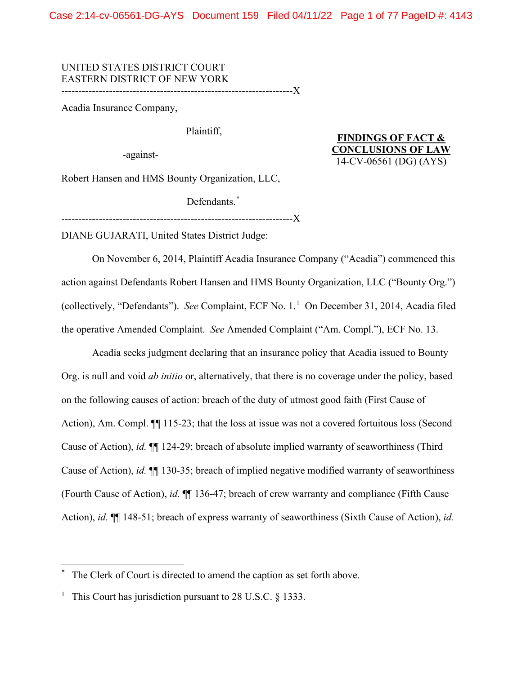Case 2:14-cv-06561-DG-AYS Document 159 Filed 04/11/22 Page 1 of 77 PageID #: 4143

# UNITED STATES DISTRICT COURT EASTERN DISTRICT OF NEW YORK

--------------------------------------------------------------------X

Acadia Insurance Company,

Plaintiff,

-against-

**FINDINGS OF FACT & CONCLUSIONS OF LAW** 14-CV-06561 (DG) (AYS)

Robert Hansen and HMS Bounty Organization, LLC,

Defendants.<sup>[\\*](#page-0-0)</sup>

--------------------------------------------------------------------X

DIANE GUJARATI, United States District Judge:

On November 6, 2014, Plaintiff Acadia Insurance Company ("Acadia") commenced this action against Defendants Robert Hansen and HMS Bounty Organization, LLC ("Bounty Org.") (collectively, "Defendants"). *See* Complaint, ECF No. 1. [1](#page-0-1) On December 31, 2014, Acadia filed the operative Amended Complaint. *See* Amended Complaint ("Am. Compl."), ECF No. 13.

Acadia seeks judgment declaring that an insurance policy that Acadia issued to Bounty Org. is null and void *ab initio* or, alternatively, that there is no coverage under the policy, based on the following causes of action: breach of the duty of utmost good faith (First Cause of Action), Am. Compl.  $\P$  115-23; that the loss at issue was not a covered fortuitous loss (Second Cause of Action), *id.* ¶¶ 124-29; breach of absolute implied warranty of seaworthiness (Third Cause of Action), *id.* ¶¶ 130-35; breach of implied negative modified warranty of seaworthiness (Fourth Cause of Action), *id.* ¶¶ 136-47; breach of crew warranty and compliance (Fifth Cause Action), *id.* ¶¶ 148-51; breach of express warranty of seaworthiness (Sixth Cause of Action), *id.*

<span id="page-0-0"></span>The Clerk of Court is directed to amend the caption as set forth above.

<span id="page-0-1"></span><sup>1</sup> This Court has jurisdiction pursuant to 28 U.S.C.  $\frac{1}{2}$  1333.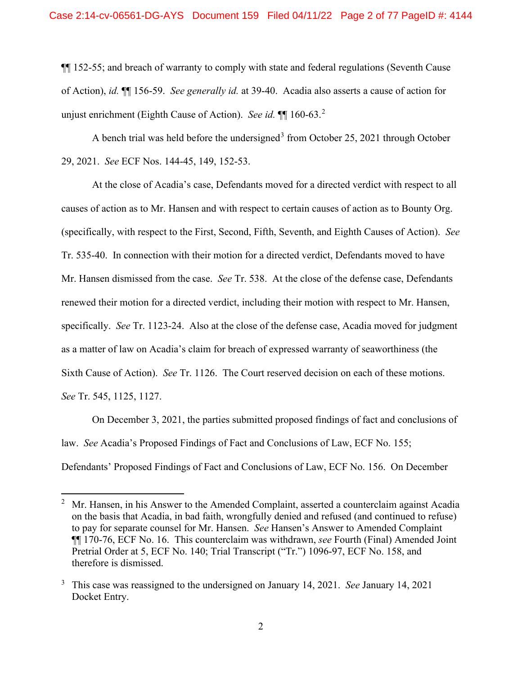¶¶ 152-55; and breach of warranty to comply with state and federal regulations (Seventh Cause of Action), *id.* ¶¶ 156-59. *See generally id.* at 39-40. Acadia also asserts a cause of action for unjust enrichment (Eighth Cause of Action). *See id.* ¶¶ 160-63.[2](#page-1-0)

A bench trial was held before the undersigned<sup>[3](#page-1-1)</sup> from October 25, 2021 through October 29, 2021. *See* ECF Nos. 144-45, 149, 152-53.

At the close of Acadia's case, Defendants moved for a directed verdict with respect to all causes of action as to Mr. Hansen and with respect to certain causes of action as to Bounty Org. (specifically, with respect to the First, Second, Fifth, Seventh, and Eighth Causes of Action). *See*  Tr. 535-40. In connection with their motion for a directed verdict, Defendants moved to have Mr. Hansen dismissed from the case. *See* Tr. 538. At the close of the defense case, Defendants renewed their motion for a directed verdict, including their motion with respect to Mr. Hansen, specifically. *See* Tr. 1123-24. Also at the close of the defense case, Acadia moved for judgment as a matter of law on Acadia's claim for breach of expressed warranty of seaworthiness (the Sixth Cause of Action). *See* Tr. 1126. The Court reserved decision on each of these motions. *See* Tr. 545, 1125, 1127.

On December 3, 2021, the parties submitted proposed findings of fact and conclusions of law. *See* Acadia's Proposed Findings of Fact and Conclusions of Law, ECF No. 155; Defendants' Proposed Findings of Fact and Conclusions of Law, ECF No. 156. On December

<span id="page-1-0"></span><sup>2</sup> Mr. Hansen, in his Answer to the Amended Complaint, asserted a counterclaim against Acadia on the basis that Acadia, in bad faith, wrongfully denied and refused (and continued to refuse) to pay for separate counsel for Mr. Hansen. *See* Hansen's Answer to Amended Complaint ¶¶ 170-76, ECF No. 16. This counterclaim was withdrawn, *see* Fourth (Final) Amended Joint Pretrial Order at 5, ECF No. 140; Trial Transcript ("Tr.") 1096-97, ECF No. 158, and therefore is dismissed.

<span id="page-1-1"></span><sup>3</sup> This case was reassigned to the undersigned on January 14, 2021. *See* January 14, 2021 Docket Entry.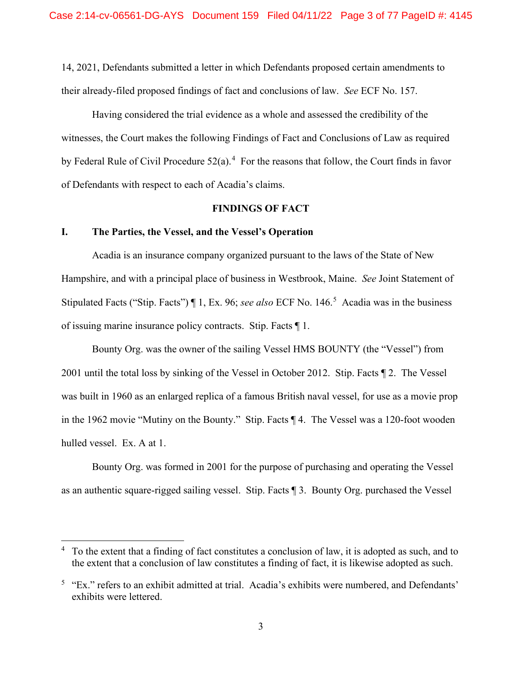14, 2021, Defendants submitted a letter in which Defendants proposed certain amendments to their already-filed proposed findings of fact and conclusions of law. *See* ECF No. 157.

Having considered the trial evidence as a whole and assessed the credibility of the witnesses, the Court makes the following Findings of Fact and Conclusions of Law as required by Federal Rule of Civil Procedure  $52(a)$ .<sup>[4](#page-2-0)</sup> For the reasons that follow, the Court finds in favor of Defendants with respect to each of Acadia's claims.

## **FINDINGS OF FACT**

## **I. The Parties, the Vessel, and the Vessel's Operation**

Acadia is an insurance company organized pursuant to the laws of the State of New Hampshire, and with a principal place of business in Westbrook, Maine. *See* Joint Statement of Stipulated Facts ("Stip. Facts") ¶ 1, Ex. 96; *see also* ECF No. 146. [5](#page-2-1) Acadia was in the business of issuing marine insurance policy contracts. Stip. Facts ¶ 1.

Bounty Org. was the owner of the sailing Vessel HMS BOUNTY (the "Vessel") from 2001 until the total loss by sinking of the Vessel in October 2012. Stip. Facts ¶ 2. The Vessel was built in 1960 as an enlarged replica of a famous British naval vessel, for use as a movie prop in the 1962 movie "Mutiny on the Bounty." Stip. Facts ¶ 4. The Vessel was a 120-foot wooden hulled vessel. Ex. A at 1.

Bounty Org. was formed in 2001 for the purpose of purchasing and operating the Vessel as an authentic square-rigged sailing vessel. Stip. Facts ¶ 3. Bounty Org. purchased the Vessel

<span id="page-2-0"></span> $4\degree$  To the extent that a finding of fact constitutes a conclusion of law, it is adopted as such, and to the extent that a conclusion of law constitutes a finding of fact, it is likewise adopted as such.

<span id="page-2-1"></span><sup>&</sup>lt;sup>5</sup> "Ex." refers to an exhibit admitted at trial. Acadia's exhibits were numbered, and Defendants' exhibits were lettered.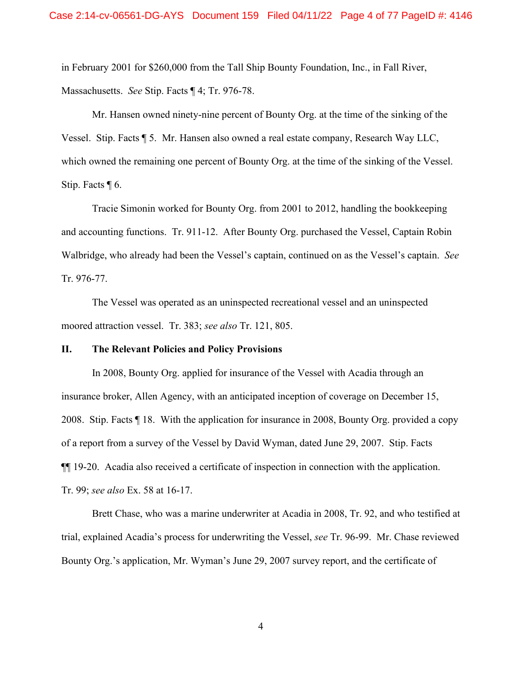in February 2001 for \$260,000 from the Tall Ship Bounty Foundation, Inc., in Fall River, Massachusetts. *See* Stip. Facts ¶ 4; Tr. 976-78.

Mr. Hansen owned ninety-nine percent of Bounty Org. at the time of the sinking of the Vessel. Stip. Facts ¶ 5. Mr. Hansen also owned a real estate company, Research Way LLC, which owned the remaining one percent of Bounty Org. at the time of the sinking of the Vessel. Stip. Facts ¶ 6.

Tracie Simonin worked for Bounty Org. from 2001 to 2012, handling the bookkeeping and accounting functions. Tr. 911-12. After Bounty Org. purchased the Vessel, Captain Robin Walbridge, who already had been the Vessel's captain, continued on as the Vessel's captain. *See*  Tr. 976-77.

The Vessel was operated as an uninspected recreational vessel and an uninspected moored attraction vessel. Tr. 383; *see also* Tr. 121, 805.

#### **II. The Relevant Policies and Policy Provisions**

In 2008, Bounty Org. applied for insurance of the Vessel with Acadia through an insurance broker, Allen Agency, with an anticipated inception of coverage on December 15, 2008. Stip. Facts ¶ 18. With the application for insurance in 2008, Bounty Org. provided a copy of a report from a survey of the Vessel by David Wyman, dated June 29, 2007. Stip. Facts ¶¶ 19-20. Acadia also received a certificate of inspection in connection with the application. Tr. 99; *see also* Ex. 58 at 16-17.

Brett Chase, who was a marine underwriter at Acadia in 2008, Tr. 92, and who testified at trial, explained Acadia's process for underwriting the Vessel, *see* Tr. 96-99. Mr. Chase reviewed Bounty Org.'s application, Mr. Wyman's June 29, 2007 survey report, and the certificate of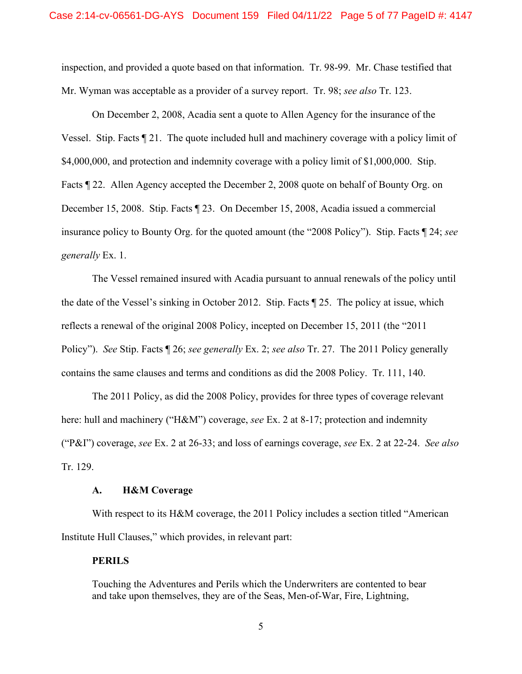inspection, and provided a quote based on that information. Tr. 98-99. Mr. Chase testified that Mr. Wyman was acceptable as a provider of a survey report. Tr. 98; *see also* Tr. 123.

On December 2, 2008, Acadia sent a quote to Allen Agency for the insurance of the Vessel. Stip. Facts ¶ 21. The quote included hull and machinery coverage with a policy limit of \$4,000,000, and protection and indemnity coverage with a policy limit of \$1,000,000. Stip. Facts ¶ 22. Allen Agency accepted the December 2, 2008 quote on behalf of Bounty Org. on December 15, 2008. Stip. Facts ¶ 23. On December 15, 2008, Acadia issued a commercial insurance policy to Bounty Org. for the quoted amount (the "2008 Policy"). Stip. Facts ¶ 24; *see generally* Ex. 1.

The Vessel remained insured with Acadia pursuant to annual renewals of the policy until the date of the Vessel's sinking in October 2012. Stip. Facts ¶ 25. The policy at issue, which reflects a renewal of the original 2008 Policy, incepted on December 15, 2011 (the "2011 Policy"). *See* Stip. Facts ¶ 26; *see generally* Ex. 2; *see also* Tr. 27. The 2011 Policy generally contains the same clauses and terms and conditions as did the 2008 Policy. Tr. 111, 140.

The 2011 Policy, as did the 2008 Policy, provides for three types of coverage relevant here: hull and machinery ("H&M") coverage, *see* Ex. 2 at 8-17; protection and indemnity ("P&I") coverage, *see* Ex. 2 at 26-33; and loss of earnings coverage, *see* Ex. 2 at 22-24. *See also* Tr. 129.

#### **A. H&M Coverage**

With respect to its H&M coverage, the 2011 Policy includes a section titled "American Institute Hull Clauses," which provides, in relevant part:

### **PERILS**

Touching the Adventures and Perils which the Underwriters are contented to bear and take upon themselves, they are of the Seas, Men-of-War, Fire, Lightning,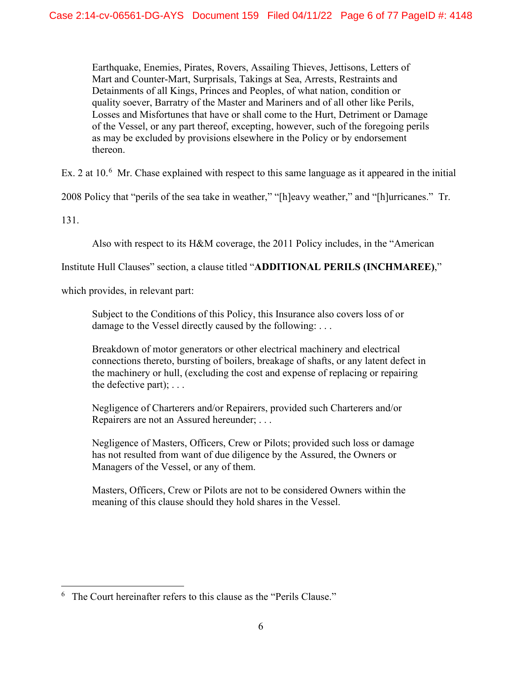Earthquake, Enemies, Pirates, Rovers, Assailing Thieves, Jettisons, Letters of Mart and Counter-Mart, Surprisals, Takings at Sea, Arrests, Restraints and Detainments of all Kings, Princes and Peoples, of what nation, condition or quality soever, Barratry of the Master and Mariners and of all other like Perils, Losses and Misfortunes that have or shall come to the Hurt, Detriment or Damage of the Vessel, or any part thereof, excepting, however, such of the foregoing perils as may be excluded by provisions elsewhere in the Policy or by endorsement thereon.

Ex. 2 at  $10<sup>6</sup>$  $10<sup>6</sup>$  $10<sup>6</sup>$  Mr. Chase explained with respect to this same language as it appeared in the initial

2008 Policy that "perils of the sea take in weather," "[h]eavy weather," and "[h]urricanes." Tr.

131.

Also with respect to its H&M coverage, the 2011 Policy includes, in the "American

Institute Hull Clauses" section, a clause titled "**ADDITIONAL PERILS (INCHMAREE)**,"

which provides, in relevant part:

Subject to the Conditions of this Policy, this Insurance also covers loss of or damage to the Vessel directly caused by the following: ...

Breakdown of motor generators or other electrical machinery and electrical connections thereto, bursting of boilers, breakage of shafts, or any latent defect in the machinery or hull, (excluding the cost and expense of replacing or repairing the defective part); . . .

Negligence of Charterers and/or Repairers, provided such Charterers and/or Repairers are not an Assured hereunder; . . .

Negligence of Masters, Officers, Crew or Pilots; provided such loss or damage has not resulted from want of due diligence by the Assured, the Owners or Managers of the Vessel, or any of them.

Masters, Officers, Crew or Pilots are not to be considered Owners within the meaning of this clause should they hold shares in the Vessel.

<span id="page-5-0"></span> $6$  The Court hereinafter refers to this clause as the "Perils Clause."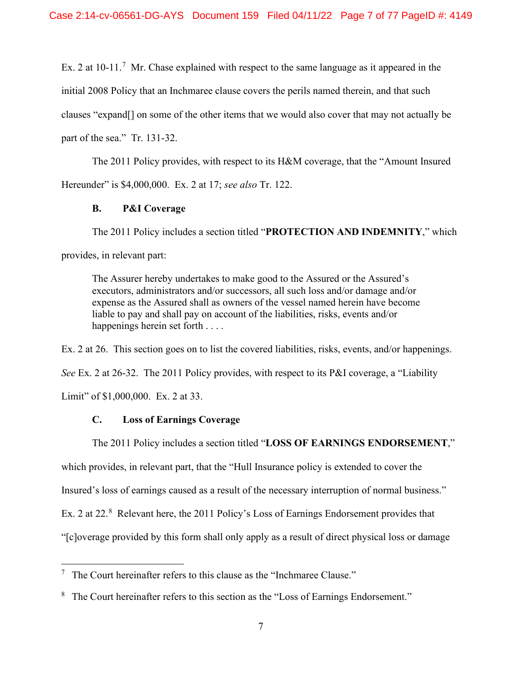Ex. 2 at  $10-11$ .<sup>[7](#page-6-0)</sup> Mr. Chase explained with respect to the same language as it appeared in the initial 2008 Policy that an Inchmaree clause covers the perils named therein, and that such clauses "expand[] on some of the other items that we would also cover that may not actually be part of the sea." Tr. 131-32.

The 2011 Policy provides, with respect to its H&M coverage, that the "Amount Insured Hereunder" is \$4,000,000. Ex. 2 at 17; *see also* Tr. 122.

## **B. P&I Coverage**

The 2011 Policy includes a section titled "**PROTECTION AND INDEMNITY**," which provides, in relevant part:

The Assurer hereby undertakes to make good to the Assured or the Assured's executors, administrators and/or successors, all such loss and/or damage and/or expense as the Assured shall as owners of the vessel named herein have become liable to pay and shall pay on account of the liabilities, risks, events and/or happenings herein set forth ....

Ex. 2 at 26. This section goes on to list the covered liabilities, risks, events, and/or happenings. *See* Ex. 2 at 26-32. The 2011 Policy provides, with respect to its P&I coverage, a "Liability Limit" of \$1,000,000. Ex. 2 at 33.

# **C. Loss of Earnings Coverage**

The 2011 Policy includes a section titled "**LOSS OF EARNINGS ENDORSEMENT**," which provides, in relevant part, that the "Hull Insurance policy is extended to cover the Insured's loss of earnings caused as a result of the necessary interruption of normal business." Ex. 2 at 22.<sup>[8](#page-6-1)</sup> Relevant here, the 2011 Policy's Loss of Earnings Endorsement provides that "[c]overage provided by this form shall only apply as a result of direct physical loss or damage

<span id="page-6-0"></span> $7$  The Court hereinafter refers to this clause as the "Inchmaree Clause."

<span id="page-6-1"></span><sup>&</sup>lt;sup>8</sup> The Court hereinafter refers to this section as the "Loss of Earnings Endorsement."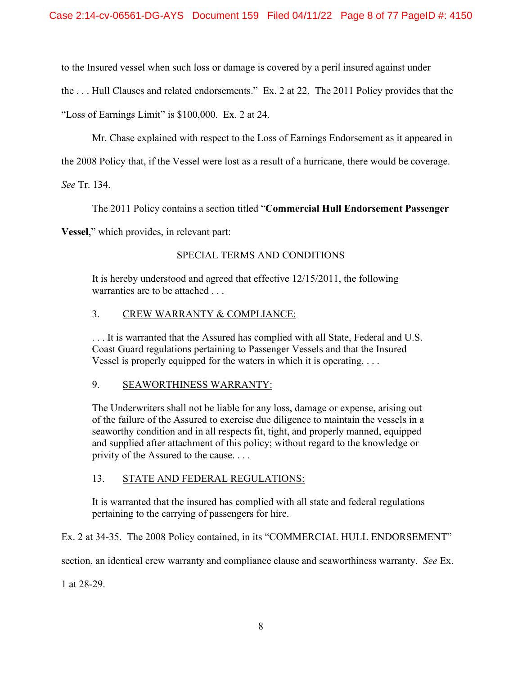to the Insured vessel when such loss or damage is covered by a peril insured against under

the . . . Hull Clauses and related endorsements." Ex. 2 at 22. The 2011 Policy provides that the

"Loss of Earnings Limit" is \$100,000. Ex. 2 at 24.

Mr. Chase explained with respect to the Loss of Earnings Endorsement as it appeared in

the 2008 Policy that, if the Vessel were lost as a result of a hurricane, there would be coverage.

*See* Tr. 134.

The 2011 Policy contains a section titled "**Commercial Hull Endorsement Passenger** 

**Vessel**," which provides, in relevant part:

# SPECIAL TERMS AND CONDITIONS

It is hereby understood and agreed that effective 12/15/2011, the following warranties are to be attached . . .

# 3. CREW WARRANTY & COMPLIANCE:

. . . It is warranted that the Assured has complied with all State, Federal and U.S. Coast Guard regulations pertaining to Passenger Vessels and that the Insured Vessel is properly equipped for the waters in which it is operating. . . .

### 9. SEAWORTHINESS WARRANTY:

The Underwriters shall not be liable for any loss, damage or expense, arising out of the failure of the Assured to exercise due diligence to maintain the vessels in a seaworthy condition and in all respects fit, tight, and properly manned, equipped and supplied after attachment of this policy; without regard to the knowledge or privity of the Assured to the cause. . . .

# 13. STATE AND FEDERAL REGULATIONS:

It is warranted that the insured has complied with all state and federal regulations pertaining to the carrying of passengers for hire.

Ex. 2 at 34-35. The 2008 Policy contained, in its "COMMERCIAL HULL ENDORSEMENT"

section, an identical crew warranty and compliance clause and seaworthiness warranty. *See* Ex.

1 at 28-29.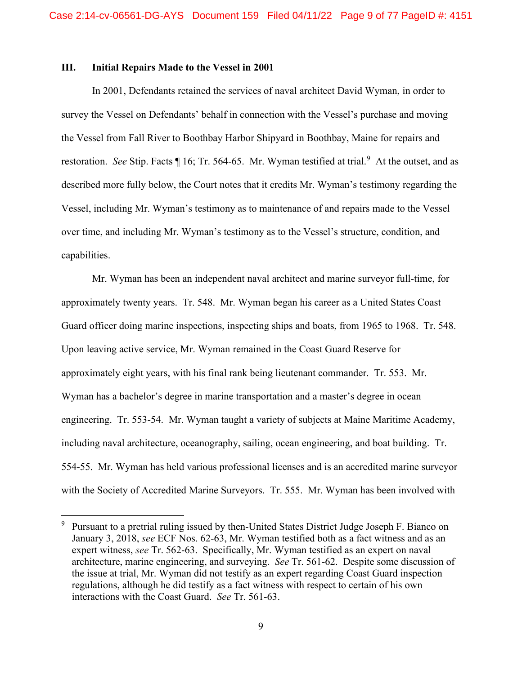#### **III. Initial Repairs Made to the Vessel in 2001**

In 2001, Defendants retained the services of naval architect David Wyman, in order to survey the Vessel on Defendants' behalf in connection with the Vessel's purchase and moving the Vessel from Fall River to Boothbay Harbor Shipyard in Boothbay, Maine for repairs and restoration. See Stip. Facts ¶ 16; Tr. 564-65. Mr. Wyman testified at trial.<sup>[9](#page-8-0)</sup> At the outset, and as described more fully below, the Court notes that it credits Mr. Wyman's testimony regarding the Vessel, including Mr. Wyman's testimony as to maintenance of and repairs made to the Vessel over time, and including Mr. Wyman's testimony as to the Vessel's structure, condition, and capabilities.

Mr. Wyman has been an independent naval architect and marine surveyor full-time, for approximately twenty years. Tr. 548. Mr. Wyman began his career as a United States Coast Guard officer doing marine inspections, inspecting ships and boats, from 1965 to 1968. Tr. 548. Upon leaving active service, Mr. Wyman remained in the Coast Guard Reserve for approximately eight years, with his final rank being lieutenant commander. Tr. 553. Mr. Wyman has a bachelor's degree in marine transportation and a master's degree in ocean engineering. Tr. 553-54. Mr. Wyman taught a variety of subjects at Maine Maritime Academy, including naval architecture, oceanography, sailing, ocean engineering, and boat building. Tr. 554-55. Mr. Wyman has held various professional licenses and is an accredited marine surveyor with the Society of Accredited Marine Surveyors. Tr. 555. Mr. Wyman has been involved with

<span id="page-8-0"></span><sup>&</sup>lt;sup>9</sup> Pursuant to a pretrial ruling issued by then-United States District Judge Joseph F. Bianco on January 3, 2018, *see* ECF Nos. 62-63, Mr. Wyman testified both as a fact witness and as an expert witness, *see* Tr. 562-63. Specifically, Mr. Wyman testified as an expert on naval architecture, marine engineering, and surveying. *See* Tr. 561-62. Despite some discussion of the issue at trial, Mr. Wyman did not testify as an expert regarding Coast Guard inspection regulations, although he did testify as a fact witness with respect to certain of his own interactions with the Coast Guard. *See* Tr. 561-63.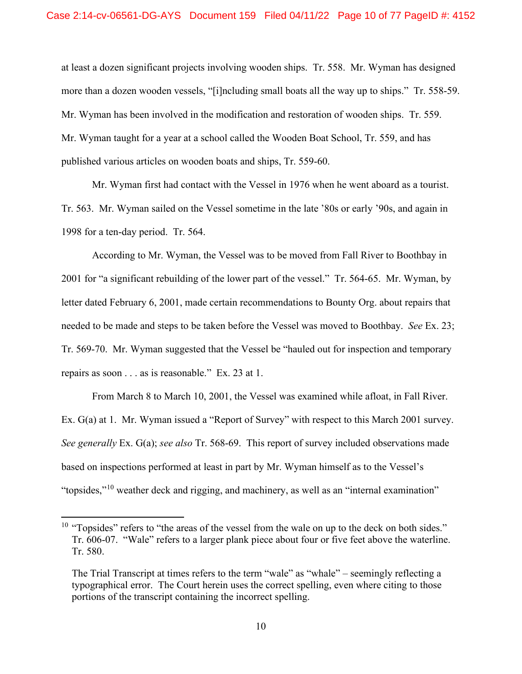at least a dozen significant projects involving wooden ships. Tr. 558. Mr. Wyman has designed more than a dozen wooden vessels, "[i]ncluding small boats all the way up to ships." Tr. 558-59. Mr. Wyman has been involved in the modification and restoration of wooden ships. Tr. 559. Mr. Wyman taught for a year at a school called the Wooden Boat School, Tr. 559, and has published various articles on wooden boats and ships, Tr. 559-60.

Mr. Wyman first had contact with the Vessel in 1976 when he went aboard as a tourist. Tr. 563. Mr. Wyman sailed on the Vessel sometime in the late '80s or early '90s, and again in 1998 for a ten-day period. Tr. 564.

According to Mr. Wyman, the Vessel was to be moved from Fall River to Boothbay in 2001 for "a significant rebuilding of the lower part of the vessel." Tr. 564-65. Mr. Wyman, by letter dated February 6, 2001, made certain recommendations to Bounty Org. about repairs that needed to be made and steps to be taken before the Vessel was moved to Boothbay. *See* Ex. 23; Tr. 569-70. Mr. Wyman suggested that the Vessel be "hauled out for inspection and temporary repairs as soon . . . as is reasonable." Ex. 23 at 1.

From March 8 to March 10, 2001, the Vessel was examined while afloat, in Fall River. Ex. G(a) at 1. Mr. Wyman issued a "Report of Survey" with respect to this March 2001 survey. *See generally* Ex. G(a); *see also* Tr. 568-69. This report of survey included observations made based on inspections performed at least in part by Mr. Wyman himself as to the Vessel's "topsides,"[10](#page-9-0) weather deck and rigging, and machinery, as well as an "internal examination"

<span id="page-9-0"></span> $10$  "Topsides" refers to "the areas of the vessel from the wale on up to the deck on both sides." Tr. 606-07. "Wale" refers to a larger plank piece about four or five feet above the waterline. Tr. 580.

The Trial Transcript at times refers to the term "wale" as "whale" – seemingly reflecting a typographical error. The Court herein uses the correct spelling, even where citing to those portions of the transcript containing the incorrect spelling.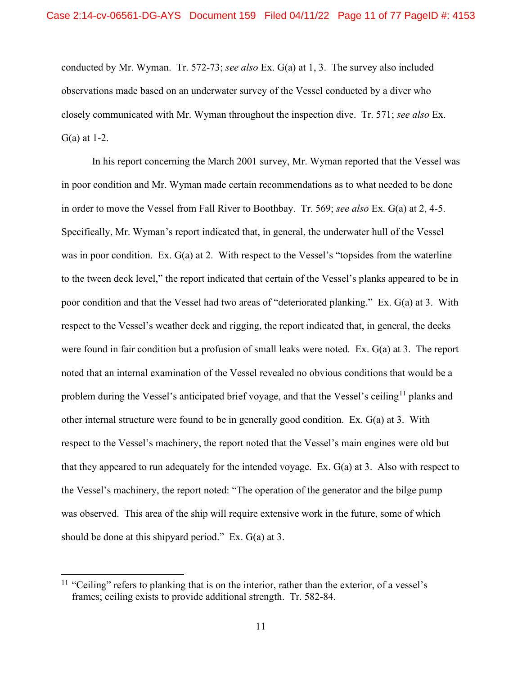conducted by Mr. Wyman. Tr. 572-73; *see also* Ex. G(a) at 1, 3. The survey also included observations made based on an underwater survey of the Vessel conducted by a diver who closely communicated with Mr. Wyman throughout the inspection dive. Tr. 571; *see also* Ex. G(a) at 1-2.

In his report concerning the March 2001 survey, Mr. Wyman reported that the Vessel was in poor condition and Mr. Wyman made certain recommendations as to what needed to be done in order to move the Vessel from Fall River to Boothbay. Tr. 569; *see also* Ex. G(a) at 2, 4-5. Specifically, Mr. Wyman's report indicated that, in general, the underwater hull of the Vessel was in poor condition. Ex. G(a) at 2. With respect to the Vessel's "topsides from the waterline to the tween deck level," the report indicated that certain of the Vessel's planks appeared to be in poor condition and that the Vessel had two areas of "deteriorated planking." Ex. G(a) at 3. With respect to the Vessel's weather deck and rigging, the report indicated that, in general, the decks were found in fair condition but a profusion of small leaks were noted. Ex. G(a) at 3. The report noted that an internal examination of the Vessel revealed no obvious conditions that would be a problem during the Vessel's anticipated brief voyage, and that the Vessel's ceiling<sup>[11](#page-10-0)</sup> planks and other internal structure were found to be in generally good condition. Ex. G(a) at 3. With respect to the Vessel's machinery, the report noted that the Vessel's main engines were old but that they appeared to run adequately for the intended voyage. Ex. G(a) at 3. Also with respect to the Vessel's machinery, the report noted: "The operation of the generator and the bilge pump was observed. This area of the ship will require extensive work in the future, some of which should be done at this shipyard period." Ex. G(a) at 3.

<span id="page-10-0"></span><sup>&</sup>lt;sup>11</sup> "Ceiling" refers to planking that is on the interior, rather than the exterior, of a vessel's frames; ceiling exists to provide additional strength. Tr. 582-84.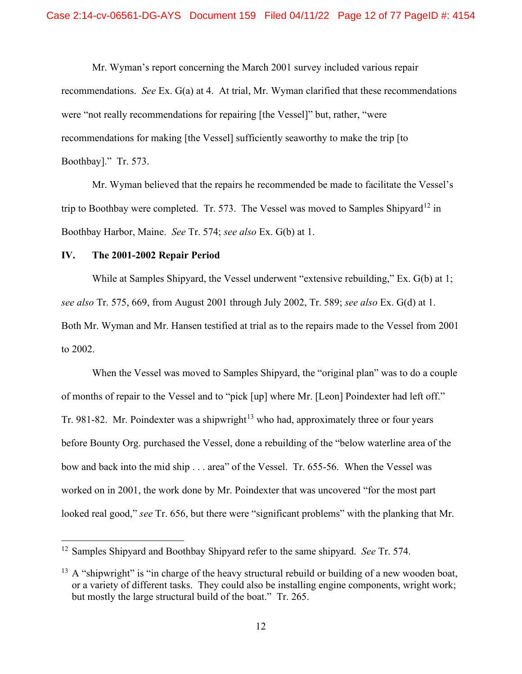Mr. Wyman's report concerning the March 2001 survey included various repair recommendations. *See* Ex. G(a) at 4. At trial, Mr. Wyman clarified that these recommendations were "not really recommendations for repairing [the Vessel]" but, rather, "were recommendations for making [the Vessel] sufficiently seaworthy to make the trip [to Boothbay]." Tr. 573.

Mr. Wyman believed that the repairs he recommended be made to facilitate the Vessel's trip to Boothbay were completed. Tr. 573. The Vessel was moved to Samples Shipyard<sup>[12](#page-11-0)</sup> in Boothbay Harbor, Maine. *See* Tr. 574; *see also* Ex. G(b) at 1.

### **IV. The 2001-2002 Repair Period**

While at Samples Shipyard, the Vessel underwent "extensive rebuilding," Ex. G(b) at 1; *see also* Tr. 575, 669, from August 2001 through July 2002, Tr. 589; *see also* Ex. G(d) at 1. Both Mr. Wyman and Mr. Hansen testified at trial as to the repairs made to the Vessel from 2001 to 2002.

When the Vessel was moved to Samples Shipyard, the "original plan" was to do a couple of months of repair to the Vessel and to "pick [up] where Mr. [Leon] Poindexter had left off." Tr. 981-82. Mr. Poindexter was a shipwright<sup>[13](#page-11-1)</sup> who had, approximately three or four years before Bounty Org. purchased the Vessel, done a rebuilding of the "below waterline area of the bow and back into the mid ship . . . area" of the Vessel. Tr. 655-56. When the Vessel was worked on in 2001, the work done by Mr. Poindexter that was uncovered "for the most part looked real good," *see* Tr. 656, but there were "significant problems" with the planking that Mr.

<span id="page-11-0"></span><sup>12</sup> Samples Shipyard and Boothbay Shipyard refer to the same shipyard. *See* Tr. 574.

<span id="page-11-1"></span> $13$  A "shipwright" is "in charge of the heavy structural rebuild or building of a new wooden boat, or a variety of different tasks. They could also be installing engine components, wright work; but mostly the large structural build of the boat." Tr. 265.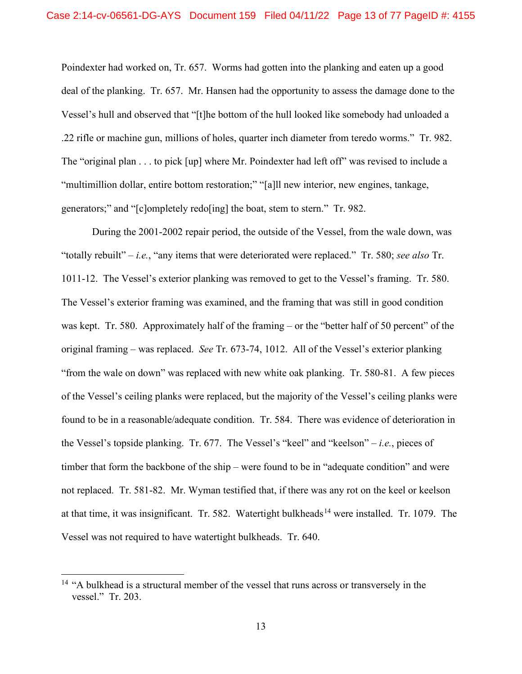Poindexter had worked on, Tr. 657. Worms had gotten into the planking and eaten up a good deal of the planking. Tr. 657. Mr. Hansen had the opportunity to assess the damage done to the Vessel's hull and observed that "[t]he bottom of the hull looked like somebody had unloaded a .22 rifle or machine gun, millions of holes, quarter inch diameter from teredo worms." Tr. 982. The "original plan . . . to pick [up] where Mr. Poindexter had left off" was revised to include a "multimillion dollar, entire bottom restoration;" "[a]ll new interior, new engines, tankage, generators;" and "[c]ompletely redo[ing] the boat, stem to stern." Tr. 982.

During the 2001-2002 repair period, the outside of the Vessel, from the wale down, was "totally rebuilt" – *i.e.*, "any items that were deteriorated were replaced." Tr. 580; *see also* Tr. 1011-12. The Vessel's exterior planking was removed to get to the Vessel's framing. Tr. 580. The Vessel's exterior framing was examined, and the framing that was still in good condition was kept. Tr. 580. Approximately half of the framing – or the "better half of 50 percent" of the original framing – was replaced. *See* Tr. 673-74, 1012. All of the Vessel's exterior planking "from the wale on down" was replaced with new white oak planking. Tr. 580-81. A few pieces of the Vessel's ceiling planks were replaced, but the majority of the Vessel's ceiling planks were found to be in a reasonable/adequate condition. Tr. 584. There was evidence of deterioration in the Vessel's topside planking. Tr. 677. The Vessel's "keel" and "keelson" – *i.e.*, pieces of timber that form the backbone of the ship – were found to be in "adequate condition" and were not replaced. Tr. 581-82. Mr. Wyman testified that, if there was any rot on the keel or keelson at that time, it was insignificant. Tr. 582. Watertight bulkheads<sup>[14](#page-12-0)</sup> were installed. Tr. 1079. The Vessel was not required to have watertight bulkheads. Tr. 640.

<span id="page-12-0"></span><sup>&</sup>lt;sup>14</sup> "A bulkhead is a structural member of the vessel that runs across or transversely in the vessel." Tr. 203.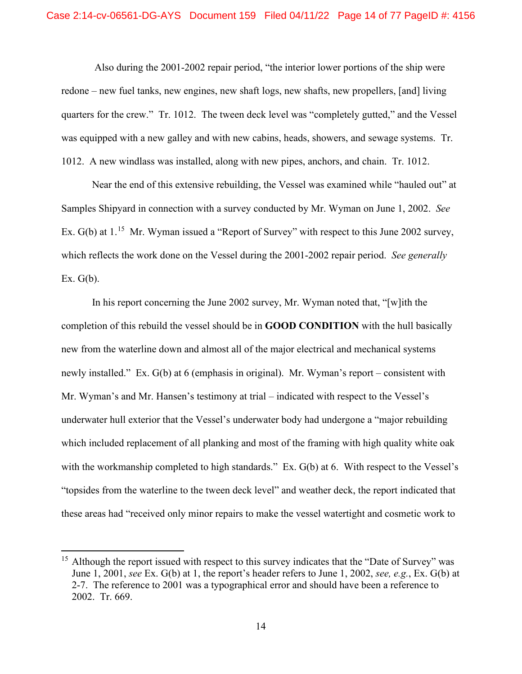Also during the 2001-2002 repair period, "the interior lower portions of the ship were redone – new fuel tanks, new engines, new shaft logs, new shafts, new propellers, [and] living quarters for the crew." Tr. 1012. The tween deck level was "completely gutted," and the Vessel was equipped with a new galley and with new cabins, heads, showers, and sewage systems. Tr. 1012. A new windlass was installed, along with new pipes, anchors, and chain. Tr. 1012.

Near the end of this extensive rebuilding, the Vessel was examined while "hauled out" at Samples Shipyard in connection with a survey conducted by Mr. Wyman on June 1, 2002. *See* Ex. G(b) at 1.<sup>[15](#page-13-0)</sup> Mr. Wyman issued a "Report of Survey" with respect to this June 2002 survey, which reflects the work done on the Vessel during the 2001-2002 repair period. *See generally*  Ex.  $G(b)$ .

In his report concerning the June 2002 survey, Mr. Wyman noted that, "[w]ith the completion of this rebuild the vessel should be in **GOOD CONDITION** with the hull basically new from the waterline down and almost all of the major electrical and mechanical systems newly installed." Ex. G(b) at 6 (emphasis in original). Mr. Wyman's report – consistent with Mr. Wyman's and Mr. Hansen's testimony at trial – indicated with respect to the Vessel's underwater hull exterior that the Vessel's underwater body had undergone a "major rebuilding which included replacement of all planking and most of the framing with high quality white oak with the workmanship completed to high standards." Ex. G(b) at 6. With respect to the Vessel's "topsides from the waterline to the tween deck level" and weather deck, the report indicated that these areas had "received only minor repairs to make the vessel watertight and cosmetic work to

<span id="page-13-0"></span><sup>&</sup>lt;sup>15</sup> Although the report issued with respect to this survey indicates that the "Date of Survey" was June 1, 2001, *see* Ex. G(b) at 1, the report's header refers to June 1, 2002, *see, e.g.*, Ex. G(b) at 2-7. The reference to 2001 was a typographical error and should have been a reference to 2002. Tr. 669.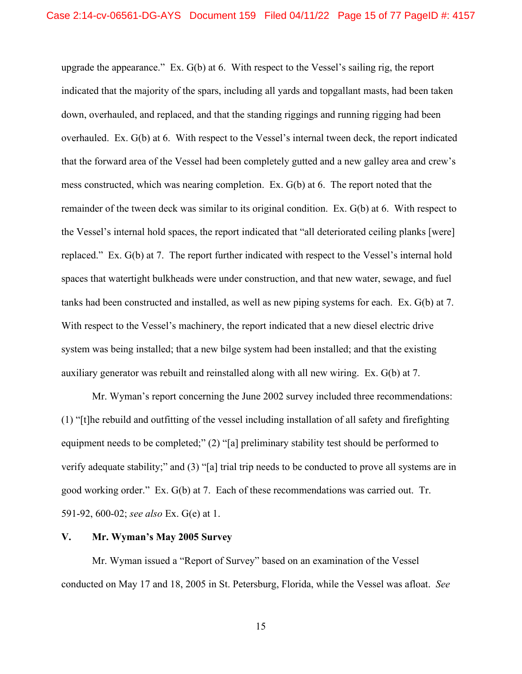upgrade the appearance." Ex. G(b) at 6. With respect to the Vessel's sailing rig, the report indicated that the majority of the spars, including all yards and topgallant masts, had been taken down, overhauled, and replaced, and that the standing riggings and running rigging had been overhauled. Ex. G(b) at 6. With respect to the Vessel's internal tween deck, the report indicated that the forward area of the Vessel had been completely gutted and a new galley area and crew's mess constructed, which was nearing completion. Ex. G(b) at 6. The report noted that the remainder of the tween deck was similar to its original condition. Ex. G(b) at 6. With respect to the Vessel's internal hold spaces, the report indicated that "all deteriorated ceiling planks [were] replaced." Ex. G(b) at 7. The report further indicated with respect to the Vessel's internal hold spaces that watertight bulkheads were under construction, and that new water, sewage, and fuel tanks had been constructed and installed, as well as new piping systems for each. Ex. G(b) at 7. With respect to the Vessel's machinery, the report indicated that a new diesel electric drive system was being installed; that a new bilge system had been installed; and that the existing auxiliary generator was rebuilt and reinstalled along with all new wiring. Ex. G(b) at 7.

Mr. Wyman's report concerning the June 2002 survey included three recommendations: (1) "[t]he rebuild and outfitting of the vessel including installation of all safety and firefighting equipment needs to be completed;" (2) "[a] preliminary stability test should be performed to verify adequate stability;" and (3) "[a] trial trip needs to be conducted to prove all systems are in good working order." Ex. G(b) at 7. Each of these recommendations was carried out. Tr. 591-92, 600-02; *see also* Ex. G(e) at 1.

### **V. Mr. Wyman's May 2005 Survey**

Mr. Wyman issued a "Report of Survey" based on an examination of the Vessel conducted on May 17 and 18, 2005 in St. Petersburg, Florida, while the Vessel was afloat. *See*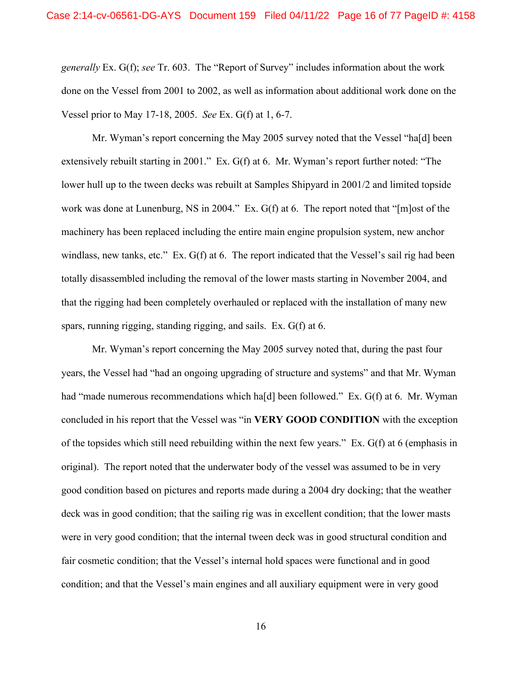*generally* Ex. G(f); *see* Tr. 603. The "Report of Survey" includes information about the work done on the Vessel from 2001 to 2002, as well as information about additional work done on the Vessel prior to May 17-18, 2005. *See* Ex. G(f) at 1, 6-7.

Mr. Wyman's report concerning the May 2005 survey noted that the Vessel "ha[d] been extensively rebuilt starting in 2001." Ex. G(f) at 6. Mr. Wyman's report further noted: "The lower hull up to the tween decks was rebuilt at Samples Shipyard in 2001/2 and limited topside work was done at Lunenburg, NS in 2004." Ex. G(f) at 6. The report noted that "[m]ost of the machinery has been replaced including the entire main engine propulsion system, new anchor windlass, new tanks, etc." Ex. G(f) at 6. The report indicated that the Vessel's sail rig had been totally disassembled including the removal of the lower masts starting in November 2004, and that the rigging had been completely overhauled or replaced with the installation of many new spars, running rigging, standing rigging, and sails. Ex. G(f) at 6.

Mr. Wyman's report concerning the May 2005 survey noted that, during the past four years, the Vessel had "had an ongoing upgrading of structure and systems" and that Mr. Wyman had "made numerous recommendations which ha<sup>[d]</sup> been followed." Ex. G(f) at 6. Mr. Wyman concluded in his report that the Vessel was "in **VERY GOOD CONDITION** with the exception of the topsides which still need rebuilding within the next few years." Ex.  $G(f)$  at 6 (emphasis in original). The report noted that the underwater body of the vessel was assumed to be in very good condition based on pictures and reports made during a 2004 dry docking; that the weather deck was in good condition; that the sailing rig was in excellent condition; that the lower masts were in very good condition; that the internal tween deck was in good structural condition and fair cosmetic condition; that the Vessel's internal hold spaces were functional and in good condition; and that the Vessel's main engines and all auxiliary equipment were in very good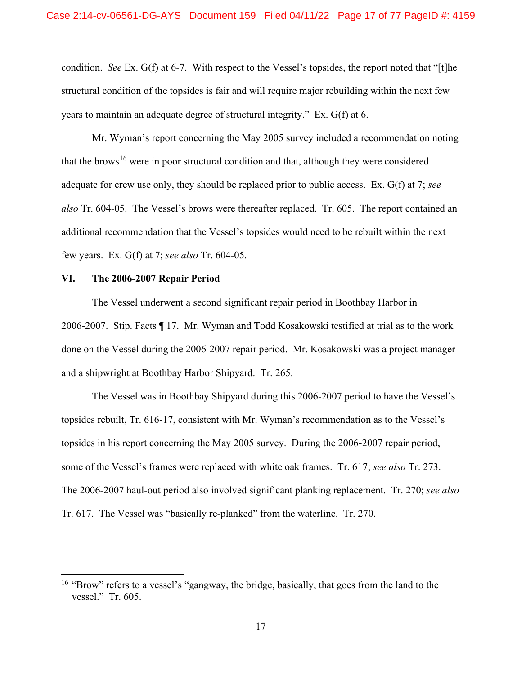condition. *See* Ex. G(f) at 6-7. With respect to the Vessel's topsides, the report noted that "[t]he structural condition of the topsides is fair and will require major rebuilding within the next few years to maintain an adequate degree of structural integrity." Ex. G(f) at 6.

Mr. Wyman's report concerning the May 2005 survey included a recommendation noting that the brows<sup>[16](#page-16-0)</sup> were in poor structural condition and that, although they were considered adequate for crew use only, they should be replaced prior to public access. Ex. G(f) at 7; *see also* Tr. 604-05. The Vessel's brows were thereafter replaced. Tr. 605. The report contained an additional recommendation that the Vessel's topsides would need to be rebuilt within the next few years. Ex. G(f) at 7; *see also* Tr. 604-05.

### **VI. The 2006-2007 Repair Period**

The Vessel underwent a second significant repair period in Boothbay Harbor in 2006-2007. Stip. Facts ¶ 17. Mr. Wyman and Todd Kosakowski testified at trial as to the work done on the Vessel during the 2006-2007 repair period. Mr. Kosakowski was a project manager and a shipwright at Boothbay Harbor Shipyard. Tr. 265.

The Vessel was in Boothbay Shipyard during this 2006-2007 period to have the Vessel's topsides rebuilt, Tr. 616-17, consistent with Mr. Wyman's recommendation as to the Vessel's topsides in his report concerning the May 2005 survey. During the 2006-2007 repair period, some of the Vessel's frames were replaced with white oak frames. Tr. 617; *see also* Tr. 273. The 2006-2007 haul-out period also involved significant planking replacement. Tr. 270; *see also*  Tr. 617. The Vessel was "basically re-planked" from the waterline. Tr. 270.

<span id="page-16-0"></span><sup>&</sup>lt;sup>16</sup> "Brow" refers to a vessel's "gangway, the bridge, basically, that goes from the land to the vessel." Tr. 605.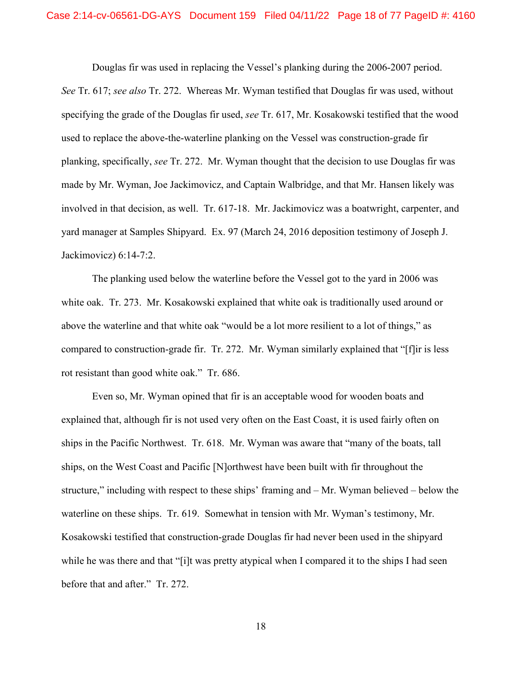Douglas fir was used in replacing the Vessel's planking during the 2006-2007 period. *See* Tr. 617; *see also* Tr. 272. Whereas Mr. Wyman testified that Douglas fir was used, without specifying the grade of the Douglas fir used, *see* Tr. 617, Mr. Kosakowski testified that the wood used to replace the above-the-waterline planking on the Vessel was construction-grade fir planking, specifically, *see* Tr. 272. Mr. Wyman thought that the decision to use Douglas fir was made by Mr. Wyman, Joe Jackimovicz, and Captain Walbridge, and that Mr. Hansen likely was involved in that decision, as well. Tr. 617-18. Mr. Jackimovicz was a boatwright, carpenter, and yard manager at Samples Shipyard. Ex. 97 (March 24, 2016 deposition testimony of Joseph J. Jackimovicz) 6:14-7:2.

The planking used below the waterline before the Vessel got to the yard in 2006 was white oak. Tr. 273. Mr. Kosakowski explained that white oak is traditionally used around or above the waterline and that white oak "would be a lot more resilient to a lot of things," as compared to construction-grade fir. Tr. 272. Mr. Wyman similarly explained that "[f]ir is less rot resistant than good white oak." Tr. 686.

Even so, Mr. Wyman opined that fir is an acceptable wood for wooden boats and explained that, although fir is not used very often on the East Coast, it is used fairly often on ships in the Pacific Northwest. Tr. 618. Mr. Wyman was aware that "many of the boats, tall ships, on the West Coast and Pacific [N]orthwest have been built with fir throughout the structure," including with respect to these ships' framing and – Mr. Wyman believed – below the waterline on these ships. Tr. 619. Somewhat in tension with Mr. Wyman's testimony, Mr. Kosakowski testified that construction-grade Douglas fir had never been used in the shipyard while he was there and that "[i]t was pretty atypical when I compared it to the ships I had seen before that and after." Tr. 272.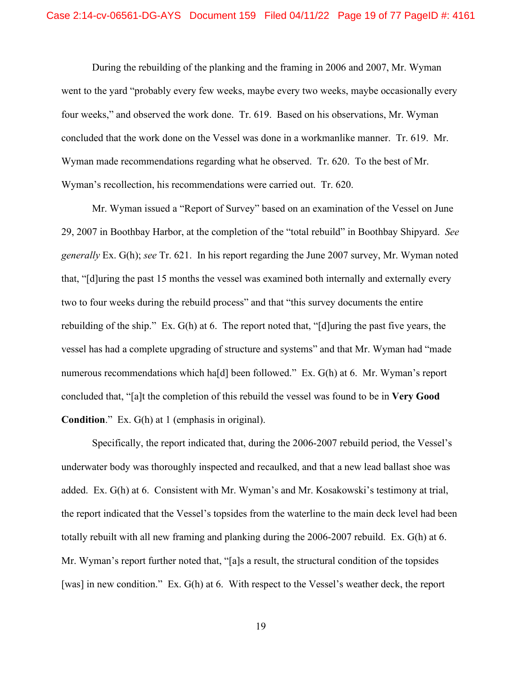During the rebuilding of the planking and the framing in 2006 and 2007, Mr. Wyman went to the yard "probably every few weeks, maybe every two weeks, maybe occasionally every four weeks," and observed the work done. Tr. 619. Based on his observations, Mr. Wyman concluded that the work done on the Vessel was done in a workmanlike manner. Tr. 619. Mr. Wyman made recommendations regarding what he observed. Tr. 620. To the best of Mr. Wyman's recollection, his recommendations were carried out. Tr. 620.

Mr. Wyman issued a "Report of Survey" based on an examination of the Vessel on June 29, 2007 in Boothbay Harbor, at the completion of the "total rebuild" in Boothbay Shipyard. *See generally* Ex. G(h); *see* Tr. 621. In his report regarding the June 2007 survey, Mr. Wyman noted that, "[d]uring the past 15 months the vessel was examined both internally and externally every two to four weeks during the rebuild process" and that "this survey documents the entire rebuilding of the ship." Ex. G(h) at 6. The report noted that, "[d]uring the past five years, the vessel has had a complete upgrading of structure and systems" and that Mr. Wyman had "made numerous recommendations which ha[d] been followed." Ex. G(h) at 6. Mr. Wyman's report concluded that, "[a]t the completion of this rebuild the vessel was found to be in **Very Good Condition**." Ex. G(h) at 1 (emphasis in original).

Specifically, the report indicated that, during the 2006-2007 rebuild period, the Vessel's underwater body was thoroughly inspected and recaulked, and that a new lead ballast shoe was added. Ex. G(h) at 6. Consistent with Mr. Wyman's and Mr. Kosakowski's testimony at trial, the report indicated that the Vessel's topsides from the waterline to the main deck level had been totally rebuilt with all new framing and planking during the 2006-2007 rebuild. Ex. G(h) at 6. Mr. Wyman's report further noted that, "[a]s a result, the structural condition of the topsides [was] in new condition." Ex. G(h) at 6. With respect to the Vessel's weather deck, the report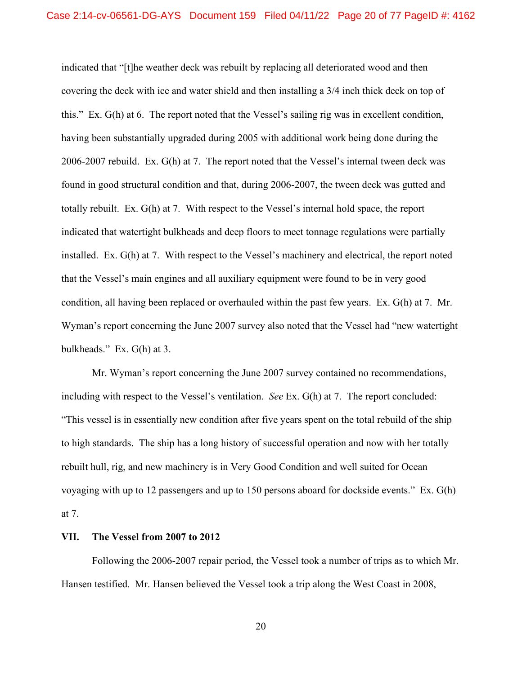indicated that "[t]he weather deck was rebuilt by replacing all deteriorated wood and then covering the deck with ice and water shield and then installing a 3/4 inch thick deck on top of this." Ex. G(h) at 6. The report noted that the Vessel's sailing rig was in excellent condition, having been substantially upgraded during 2005 with additional work being done during the 2006-2007 rebuild. Ex. G(h) at 7. The report noted that the Vessel's internal tween deck was found in good structural condition and that, during 2006-2007, the tween deck was gutted and totally rebuilt. Ex. G(h) at 7. With respect to the Vessel's internal hold space, the report indicated that watertight bulkheads and deep floors to meet tonnage regulations were partially installed. Ex. G(h) at 7. With respect to the Vessel's machinery and electrical, the report noted that the Vessel's main engines and all auxiliary equipment were found to be in very good condition, all having been replaced or overhauled within the past few years. Ex. G(h) at 7. Mr. Wyman's report concerning the June 2007 survey also noted that the Vessel had "new watertight" bulkheads." Ex. G(h) at 3.

Mr. Wyman's report concerning the June 2007 survey contained no recommendations, including with respect to the Vessel's ventilation. *See* Ex. G(h) at 7. The report concluded: "This vessel is in essentially new condition after five years spent on the total rebuild of the ship to high standards. The ship has a long history of successful operation and now with her totally rebuilt hull, rig, and new machinery is in Very Good Condition and well suited for Ocean voyaging with up to 12 passengers and up to 150 persons aboard for dockside events." Ex. G(h) at 7.

### **VII. The Vessel from 2007 to 2012**

Following the 2006-2007 repair period, the Vessel took a number of trips as to which Mr. Hansen testified. Mr. Hansen believed the Vessel took a trip along the West Coast in 2008,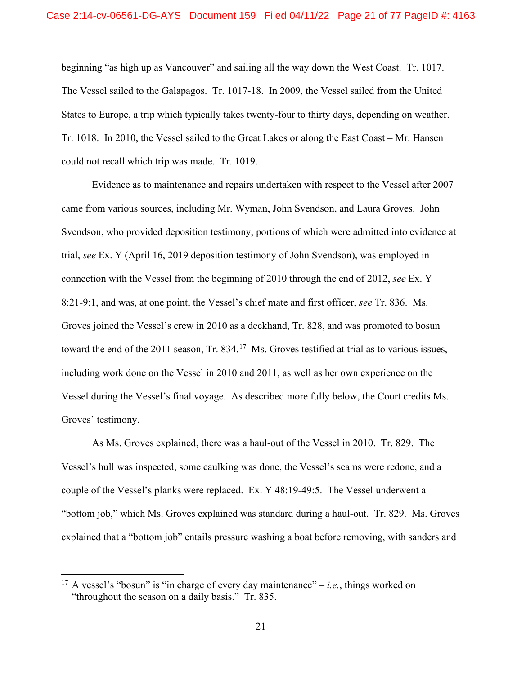beginning "as high up as Vancouver" and sailing all the way down the West Coast. Tr. 1017. The Vessel sailed to the Galapagos. Tr. 1017-18. In 2009, the Vessel sailed from the United States to Europe, a trip which typically takes twenty-four to thirty days, depending on weather. Tr. 1018. In 2010, the Vessel sailed to the Great Lakes or along the East Coast – Mr. Hansen could not recall which trip was made. Tr. 1019.

Evidence as to maintenance and repairs undertaken with respect to the Vessel after 2007 came from various sources, including Mr. Wyman, John Svendson, and Laura Groves. John Svendson, who provided deposition testimony, portions of which were admitted into evidence at trial, *see* Ex. Y (April 16, 2019 deposition testimony of John Svendson), was employed in connection with the Vessel from the beginning of 2010 through the end of 2012, *see* Ex. Y 8:21-9:1, and was, at one point, the Vessel's chief mate and first officer, *see* Tr. 836. Ms. Groves joined the Vessel's crew in 2010 as a deckhand, Tr. 828, and was promoted to bosun toward the end of the 2011 season, Tr. 834.<sup>17</sup> Ms. Groves testified at trial as to various issues, including work done on the Vessel in 2010 and 2011, as well as her own experience on the Vessel during the Vessel's final voyage. As described more fully below, the Court credits Ms. Groves' testimony.

As Ms. Groves explained, there was a haul-out of the Vessel in 2010. Tr. 829. The Vessel's hull was inspected, some caulking was done, the Vessel's seams were redone, and a couple of the Vessel's planks were replaced. Ex. Y 48:19-49:5. The Vessel underwent a "bottom job," which Ms. Groves explained was standard during a haul-out. Tr. 829. Ms. Groves explained that a "bottom job" entails pressure washing a boat before removing, with sanders and

<span id="page-20-0"></span><sup>&</sup>lt;sup>17</sup> A vessel's "bosun" is "in charge of every day maintenance" – *i.e.*, things worked on "throughout the season on a daily basis." Tr. 835.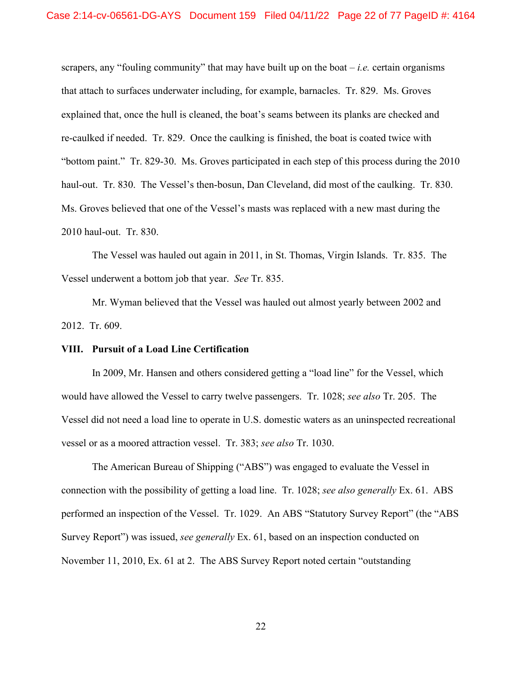scrapers, any "fouling community" that may have built up on the boat  $-i.e.$  certain organisms that attach to surfaces underwater including, for example, barnacles. Tr. 829. Ms. Groves explained that, once the hull is cleaned, the boat's seams between its planks are checked and re-caulked if needed. Tr. 829. Once the caulking is finished, the boat is coated twice with "bottom paint." Tr. 829-30. Ms. Groves participated in each step of this process during the 2010 haul-out. Tr. 830. The Vessel's then-bosun, Dan Cleveland, did most of the caulking. Tr. 830. Ms. Groves believed that one of the Vessel's masts was replaced with a new mast during the 2010 haul-out. Tr. 830.

The Vessel was hauled out again in 2011, in St. Thomas, Virgin Islands. Tr. 835. The Vessel underwent a bottom job that year. *See* Tr. 835.

Mr. Wyman believed that the Vessel was hauled out almost yearly between 2002 and 2012. Tr. 609.

### **VIII. Pursuit of a Load Line Certification**

In 2009, Mr. Hansen and others considered getting a "load line" for the Vessel, which would have allowed the Vessel to carry twelve passengers. Tr. 1028; *see also* Tr. 205. The Vessel did not need a load line to operate in U.S. domestic waters as an uninspected recreational vessel or as a moored attraction vessel. Tr. 383; *see also* Tr. 1030.

The American Bureau of Shipping ("ABS") was engaged to evaluate the Vessel in connection with the possibility of getting a load line. Tr. 1028; *see also generally* Ex. 61. ABS performed an inspection of the Vessel. Tr. 1029. An ABS "Statutory Survey Report" (the "ABS Survey Report") was issued, *see generally* Ex. 61, based on an inspection conducted on November 11, 2010, Ex. 61 at 2. The ABS Survey Report noted certain "outstanding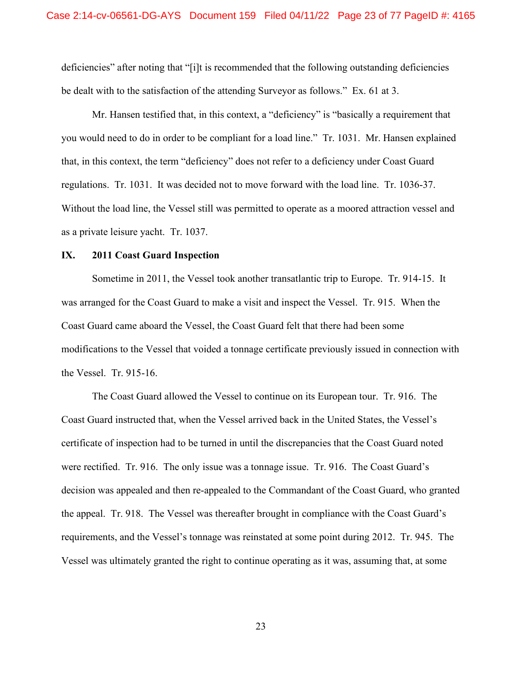deficiencies" after noting that "[i]t is recommended that the following outstanding deficiencies be dealt with to the satisfaction of the attending Surveyor as follows." Ex. 61 at 3.

Mr. Hansen testified that, in this context, a "deficiency" is "basically a requirement that you would need to do in order to be compliant for a load line." Tr. 1031. Mr. Hansen explained that, in this context, the term "deficiency" does not refer to a deficiency under Coast Guard regulations. Tr. 1031. It was decided not to move forward with the load line. Tr. 1036-37. Without the load line, the Vessel still was permitted to operate as a moored attraction vessel and as a private leisure yacht. Tr. 1037.

### **IX. 2011 Coast Guard Inspection**

Sometime in 2011, the Vessel took another transatlantic trip to Europe. Tr. 914-15. It was arranged for the Coast Guard to make a visit and inspect the Vessel. Tr. 915. When the Coast Guard came aboard the Vessel, the Coast Guard felt that there had been some modifications to the Vessel that voided a tonnage certificate previously issued in connection with the Vessel. Tr. 915-16.

The Coast Guard allowed the Vessel to continue on its European tour. Tr. 916. The Coast Guard instructed that, when the Vessel arrived back in the United States, the Vessel's certificate of inspection had to be turned in until the discrepancies that the Coast Guard noted were rectified. Tr. 916. The only issue was a tonnage issue. Tr. 916. The Coast Guard's decision was appealed and then re-appealed to the Commandant of the Coast Guard, who granted the appeal. Tr. 918. The Vessel was thereafter brought in compliance with the Coast Guard's requirements, and the Vessel's tonnage was reinstated at some point during 2012. Tr. 945. The Vessel was ultimately granted the right to continue operating as it was, assuming that, at some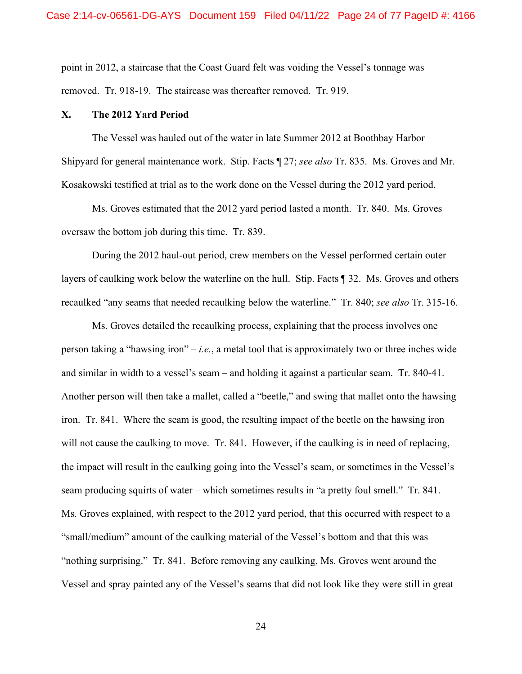point in 2012, a staircase that the Coast Guard felt was voiding the Vessel's tonnage was removed. Tr. 918-19. The staircase was thereafter removed. Tr. 919.

### **X. The 2012 Yard Period**

The Vessel was hauled out of the water in late Summer 2012 at Boothbay Harbor Shipyard for general maintenance work. Stip. Facts ¶ 27; *see also* Tr. 835. Ms. Groves and Mr. Kosakowski testified at trial as to the work done on the Vessel during the 2012 yard period.

Ms. Groves estimated that the 2012 yard period lasted a month. Tr. 840. Ms. Groves oversaw the bottom job during this time. Tr. 839.

During the 2012 haul-out period, crew members on the Vessel performed certain outer layers of caulking work below the waterline on the hull. Stip. Facts ¶ 32. Ms. Groves and others recaulked "any seams that needed recaulking below the waterline." Tr. 840; *see also* Tr. 315-16.

Ms. Groves detailed the recaulking process, explaining that the process involves one person taking a "hawsing iron" – *i.e.*, a metal tool that is approximately two or three inches wide and similar in width to a vessel's seam – and holding it against a particular seam. Tr. 840-41. Another person will then take a mallet, called a "beetle," and swing that mallet onto the hawsing iron. Tr. 841. Where the seam is good, the resulting impact of the beetle on the hawsing iron will not cause the caulking to move. Tr. 841. However, if the caulking is in need of replacing, the impact will result in the caulking going into the Vessel's seam, or sometimes in the Vessel's seam producing squirts of water – which sometimes results in "a pretty foul smell." Tr. 841. Ms. Groves explained, with respect to the 2012 yard period, that this occurred with respect to a "small/medium" amount of the caulking material of the Vessel's bottom and that this was "nothing surprising." Tr. 841. Before removing any caulking, Ms. Groves went around the Vessel and spray painted any of the Vessel's seams that did not look like they were still in great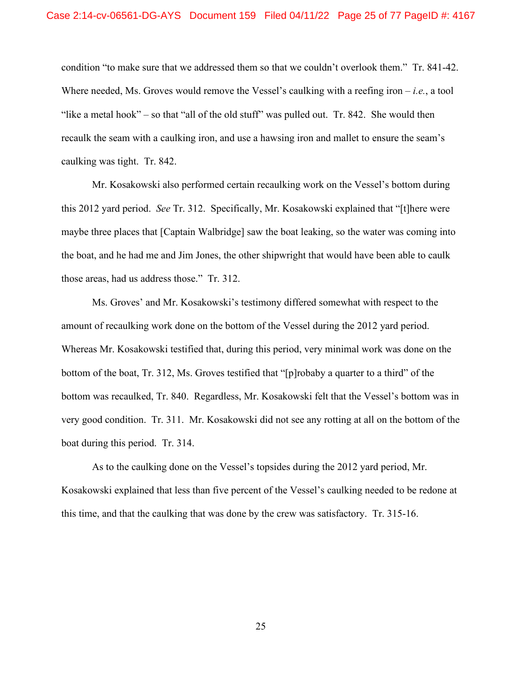condition "to make sure that we addressed them so that we couldn't overlook them." Tr. 841-42. Where needed, Ms. Groves would remove the Vessel's caulking with a reefing iron – *i.e.*, a tool "like a metal hook" – so that "all of the old stuff" was pulled out. Tr. 842. She would then recaulk the seam with a caulking iron, and use a hawsing iron and mallet to ensure the seam's caulking was tight. Tr. 842.

Mr. Kosakowski also performed certain recaulking work on the Vessel's bottom during this 2012 yard period. *See* Tr. 312. Specifically, Mr. Kosakowski explained that "[t]here were maybe three places that [Captain Walbridge] saw the boat leaking, so the water was coming into the boat, and he had me and Jim Jones, the other shipwright that would have been able to caulk those areas, had us address those." Tr. 312.

Ms. Groves' and Mr. Kosakowski's testimony differed somewhat with respect to the amount of recaulking work done on the bottom of the Vessel during the 2012 yard period. Whereas Mr. Kosakowski testified that, during this period, very minimal work was done on the bottom of the boat, Tr. 312, Ms. Groves testified that "[p]robaby a quarter to a third" of the bottom was recaulked, Tr. 840. Regardless, Mr. Kosakowski felt that the Vessel's bottom was in very good condition. Tr. 311. Mr. Kosakowski did not see any rotting at all on the bottom of the boat during this period. Tr. 314.

As to the caulking done on the Vessel's topsides during the 2012 yard period, Mr. Kosakowski explained that less than five percent of the Vessel's caulking needed to be redone at this time, and that the caulking that was done by the crew was satisfactory. Tr. 315-16.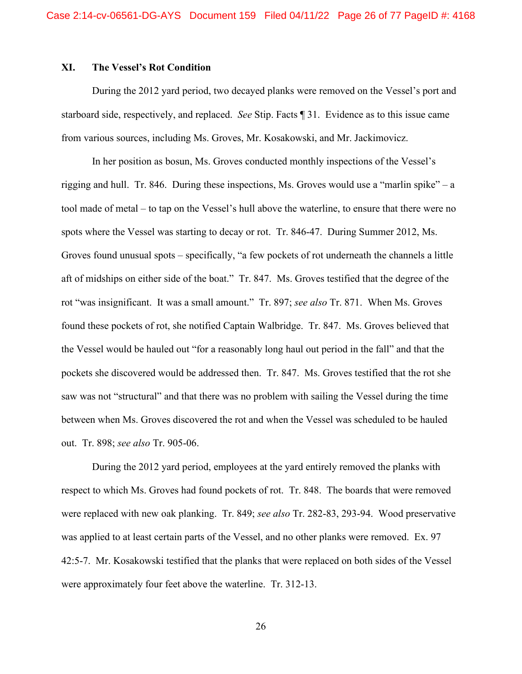### **XI. The Vessel's Rot Condition**

During the 2012 yard period, two decayed planks were removed on the Vessel's port and starboard side, respectively, and replaced. *See* Stip. Facts ¶ 31. Evidence as to this issue came from various sources, including Ms. Groves, Mr. Kosakowski, and Mr. Jackimovicz.

In her position as bosun, Ms. Groves conducted monthly inspections of the Vessel's rigging and hull. Tr. 846. During these inspections, Ms. Groves would use a "marlin spike" – a tool made of metal – to tap on the Vessel's hull above the waterline, to ensure that there were no spots where the Vessel was starting to decay or rot. Tr. 846-47. During Summer 2012, Ms. Groves found unusual spots – specifically, "a few pockets of rot underneath the channels a little aft of midships on either side of the boat." Tr. 847. Ms. Groves testified that the degree of the rot "was insignificant. It was a small amount." Tr. 897; *see also* Tr. 871. When Ms. Groves found these pockets of rot, she notified Captain Walbridge. Tr. 847. Ms. Groves believed that the Vessel would be hauled out "for a reasonably long haul out period in the fall" and that the pockets she discovered would be addressed then. Tr. 847. Ms. Groves testified that the rot she saw was not "structural" and that there was no problem with sailing the Vessel during the time between when Ms. Groves discovered the rot and when the Vessel was scheduled to be hauled out. Tr. 898; *see also* Tr. 905-06.

During the 2012 yard period, employees at the yard entirely removed the planks with respect to which Ms. Groves had found pockets of rot. Tr. 848. The boards that were removed were replaced with new oak planking. Tr. 849; *see also* Tr. 282-83, 293-94. Wood preservative was applied to at least certain parts of the Vessel, and no other planks were removed. Ex. 97 42:5-7. Mr. Kosakowski testified that the planks that were replaced on both sides of the Vessel were approximately four feet above the waterline. Tr. 312-13.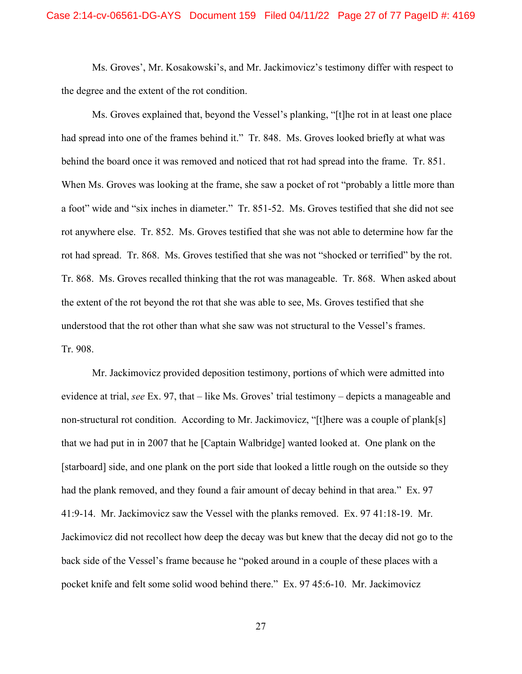Ms. Groves', Mr. Kosakowski's, and Mr. Jackimovicz's testimony differ with respect to the degree and the extent of the rot condition.

Ms. Groves explained that, beyond the Vessel's planking, "[t]he rot in at least one place had spread into one of the frames behind it." Tr. 848. Ms. Groves looked briefly at what was behind the board once it was removed and noticed that rot had spread into the frame. Tr. 851. When Ms. Groves was looking at the frame, she saw a pocket of rot "probably a little more than a foot" wide and "six inches in diameter." Tr. 851-52. Ms. Groves testified that she did not see rot anywhere else. Tr. 852. Ms. Groves testified that she was not able to determine how far the rot had spread. Tr. 868. Ms. Groves testified that she was not "shocked or terrified" by the rot. Tr. 868. Ms. Groves recalled thinking that the rot was manageable. Tr. 868. When asked about the extent of the rot beyond the rot that she was able to see, Ms. Groves testified that she understood that the rot other than what she saw was not structural to the Vessel's frames. Tr. 908.

Mr. Jackimovicz provided deposition testimony, portions of which were admitted into evidence at trial, *see* Ex. 97, that – like Ms. Groves' trial testimony – depicts a manageable and non-structural rot condition. According to Mr. Jackimovicz, "[t]here was a couple of plank[s] that we had put in in 2007 that he [Captain Walbridge] wanted looked at. One plank on the [starboard] side, and one plank on the port side that looked a little rough on the outside so they had the plank removed, and they found a fair amount of decay behind in that area." Ex. 97 41:9-14. Mr. Jackimovicz saw the Vessel with the planks removed. Ex. 97 41:18-19. Mr. Jackimovicz did not recollect how deep the decay was but knew that the decay did not go to the back side of the Vessel's frame because he "poked around in a couple of these places with a pocket knife and felt some solid wood behind there." Ex. 97 45:6-10. Mr. Jackimovicz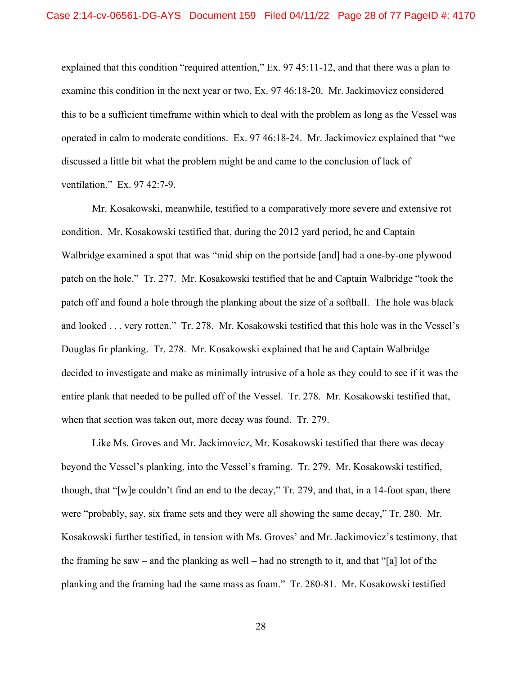explained that this condition "required attention," Ex. 97 45:11-12, and that there was a plan to examine this condition in the next year or two, Ex. 97 46:18-20. Mr. Jackimovicz considered this to be a sufficient timeframe within which to deal with the problem as long as the Vessel was operated in calm to moderate conditions. Ex. 97 46:18-24. Mr. Jackimovicz explained that "we discussed a little bit what the problem might be and came to the conclusion of lack of ventilation." Ex. 97 42:7-9.

Mr. Kosakowski, meanwhile, testified to a comparatively more severe and extensive rot condition. Mr. Kosakowski testified that, during the 2012 yard period, he and Captain Walbridge examined a spot that was "mid ship on the portside [and] had a one-by-one plywood patch on the hole." Tr. 277. Mr. Kosakowski testified that he and Captain Walbridge "took the patch off and found a hole through the planking about the size of a softball. The hole was black and looked . . . very rotten." Tr. 278. Mr. Kosakowski testified that this hole was in the Vessel's Douglas fir planking. Tr. 278. Mr. Kosakowski explained that he and Captain Walbridge decided to investigate and make as minimally intrusive of a hole as they could to see if it was the entire plank that needed to be pulled off of the Vessel. Tr. 278. Mr. Kosakowski testified that, when that section was taken out, more decay was found. Tr. 279.

Like Ms. Groves and Mr. Jackimovicz, Mr. Kosakowski testified that there was decay beyond the Vessel's planking, into the Vessel's framing. Tr. 279. Mr. Kosakowski testified, though, that "[w]e couldn't find an end to the decay," Tr. 279, and that, in a 14-foot span, there were "probably, say, six frame sets and they were all showing the same decay," Tr. 280. Mr. Kosakowski further testified, in tension with Ms. Groves' and Mr. Jackimovicz's testimony, that the framing he saw – and the planking as well – had no strength to it, and that "[a] lot of the planking and the framing had the same mass as foam." Tr. 280-81. Mr. Kosakowski testified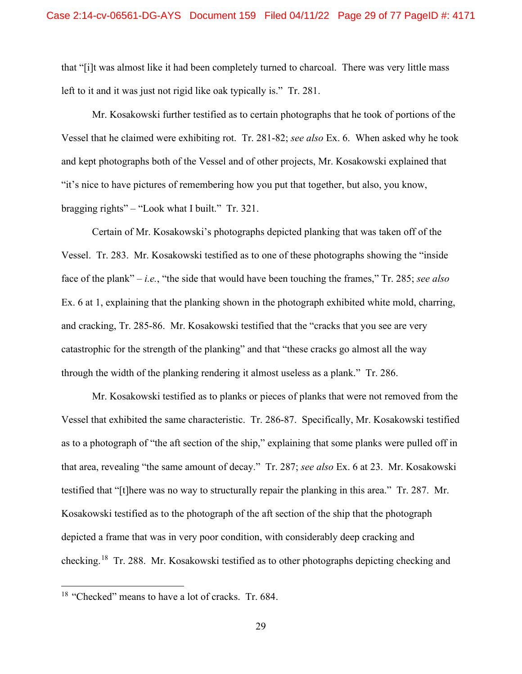that "[i]t was almost like it had been completely turned to charcoal. There was very little mass left to it and it was just not rigid like oak typically is." Tr. 281.

Mr. Kosakowski further testified as to certain photographs that he took of portions of the Vessel that he claimed were exhibiting rot. Tr. 281-82; *see also* Ex. 6. When asked why he took and kept photographs both of the Vessel and of other projects, Mr. Kosakowski explained that "it's nice to have pictures of remembering how you put that together, but also, you know, bragging rights" – "Look what I built." Tr. 321.

Certain of Mr. Kosakowski's photographs depicted planking that was taken off of the Vessel. Tr. 283. Mr. Kosakowski testified as to one of these photographs showing the "inside face of the plank" – *i.e.*, "the side that would have been touching the frames," Tr. 285; *see also*  Ex. 6 at 1, explaining that the planking shown in the photograph exhibited white mold, charring, and cracking, Tr. 285-86. Mr. Kosakowski testified that the "cracks that you see are very catastrophic for the strength of the planking" and that "these cracks go almost all the way through the width of the planking rendering it almost useless as a plank." Tr. 286.

Mr. Kosakowski testified as to planks or pieces of planks that were not removed from the Vessel that exhibited the same characteristic. Tr. 286-87. Specifically, Mr. Kosakowski testified as to a photograph of "the aft section of the ship," explaining that some planks were pulled off in that area, revealing "the same amount of decay." Tr. 287; *see also* Ex. 6 at 23. Mr. Kosakowski testified that "[t]here was no way to structurally repair the planking in this area." Tr. 287. Mr. Kosakowski testified as to the photograph of the aft section of the ship that the photograph depicted a frame that was in very poor condition, with considerably deep cracking and checking.[18](#page-28-0) Tr. 288. Mr. Kosakowski testified as to other photographs depicting checking and

<span id="page-28-0"></span><sup>&</sup>lt;sup>18</sup> "Checked" means to have a lot of cracks. Tr. 684.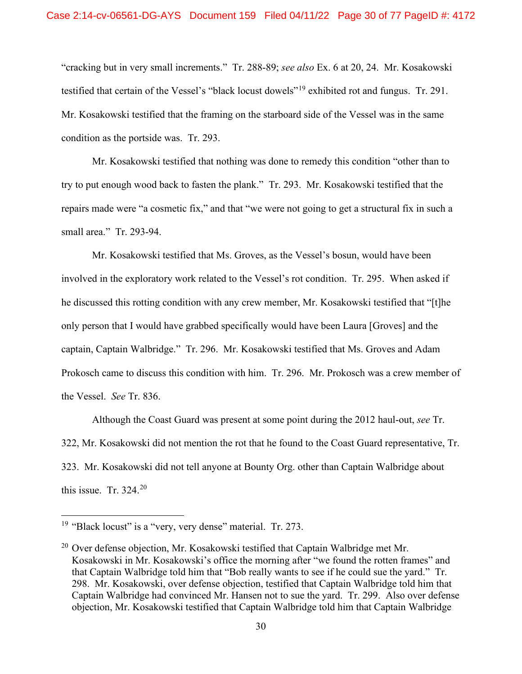"cracking but in very small increments." Tr. 288-89; *see also* Ex. 6 at 20, 24. Mr. Kosakowski testified that certain of the Vessel's "black locust dowels"[19](#page-29-0) exhibited rot and fungus. Tr. 291. Mr. Kosakowski testified that the framing on the starboard side of the Vessel was in the same condition as the portside was. Tr. 293.

Mr. Kosakowski testified that nothing was done to remedy this condition "other than to try to put enough wood back to fasten the plank." Tr. 293. Mr. Kosakowski testified that the repairs made were "a cosmetic fix," and that "we were not going to get a structural fix in such a small area." Tr. 293-94.

Mr. Kosakowski testified that Ms. Groves, as the Vessel's bosun, would have been involved in the exploratory work related to the Vessel's rot condition. Tr. 295. When asked if he discussed this rotting condition with any crew member, Mr. Kosakowski testified that "[t]he only person that I would have grabbed specifically would have been Laura [Groves] and the captain, Captain Walbridge." Tr. 296. Mr. Kosakowski testified that Ms. Groves and Adam Prokosch came to discuss this condition with him. Tr. 296. Mr. Prokosch was a crew member of the Vessel. *See* Tr. 836.

Although the Coast Guard was present at some point during the 2012 haul-out, *see* Tr. 322, Mr. Kosakowski did not mention the rot that he found to the Coast Guard representative, Tr. 323. Mr. Kosakowski did not tell anyone at Bounty Org. other than Captain Walbridge about this issue. Tr.  $324<sup>20</sup>$  $324<sup>20</sup>$  $324<sup>20</sup>$ 

<span id="page-29-0"></span><sup>&</sup>lt;sup>19</sup> "Black locust" is a "very, very dense" material. Tr. 273.

<span id="page-29-1"></span> $20$  Over defense objection, Mr. Kosakowski testified that Captain Walbridge met Mr. Kosakowski in Mr. Kosakowski's office the morning after "we found the rotten frames" and that Captain Walbridge told him that "Bob really wants to see if he could sue the yard." Tr. 298. Mr. Kosakowski, over defense objection, testified that Captain Walbridge told him that Captain Walbridge had convinced Mr. Hansen not to sue the yard. Tr. 299. Also over defense objection, Mr. Kosakowski testified that Captain Walbridge told him that Captain Walbridge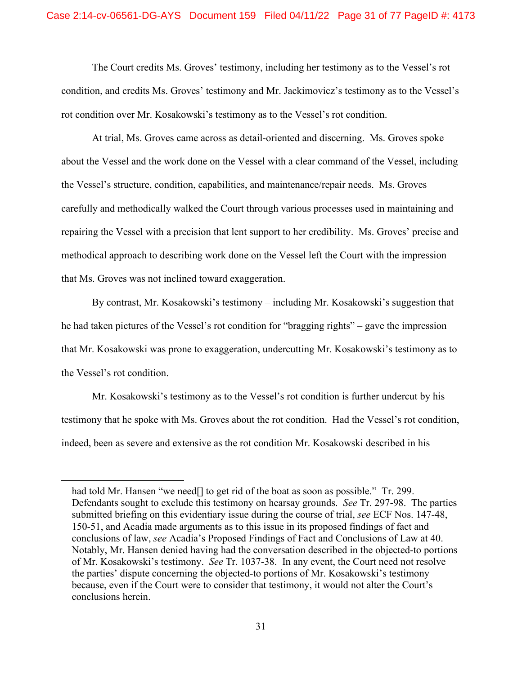The Court credits Ms. Groves' testimony, including her testimony as to the Vessel's rot condition, and credits Ms. Groves' testimony and Mr. Jackimovicz's testimony as to the Vessel's rot condition over Mr. Kosakowski's testimony as to the Vessel's rot condition.

At trial, Ms. Groves came across as detail-oriented and discerning. Ms. Groves spoke about the Vessel and the work done on the Vessel with a clear command of the Vessel, including the Vessel's structure, condition, capabilities, and maintenance/repair needs. Ms. Groves carefully and methodically walked the Court through various processes used in maintaining and repairing the Vessel with a precision that lent support to her credibility. Ms. Groves' precise and methodical approach to describing work done on the Vessel left the Court with the impression that Ms. Groves was not inclined toward exaggeration.

By contrast, Mr. Kosakowski's testimony – including Mr. Kosakowski's suggestion that he had taken pictures of the Vessel's rot condition for "bragging rights" – gave the impression that Mr. Kosakowski was prone to exaggeration, undercutting Mr. Kosakowski's testimony as to the Vessel's rot condition.

Mr. Kosakowski's testimony as to the Vessel's rot condition is further undercut by his testimony that he spoke with Ms. Groves about the rot condition. Had the Vessel's rot condition, indeed, been as severe and extensive as the rot condition Mr. Kosakowski described in his

had told Mr. Hansen "we need<sup>[]</sup> to get rid of the boat as soon as possible." Tr. 299. Defendants sought to exclude this testimony on hearsay grounds. *See* Tr. 297-98. The parties submitted briefing on this evidentiary issue during the course of trial, *see* ECF Nos. 147-48, 150-51, and Acadia made arguments as to this issue in its proposed findings of fact and conclusions of law, *see* Acadia's Proposed Findings of Fact and Conclusions of Law at 40. Notably, Mr. Hansen denied having had the conversation described in the objected-to portions of Mr. Kosakowski's testimony. *See* Tr. 1037-38. In any event, the Court need not resolve the parties' dispute concerning the objected-to portions of Mr. Kosakowski's testimony because, even if the Court were to consider that testimony, it would not alter the Court's conclusions herein.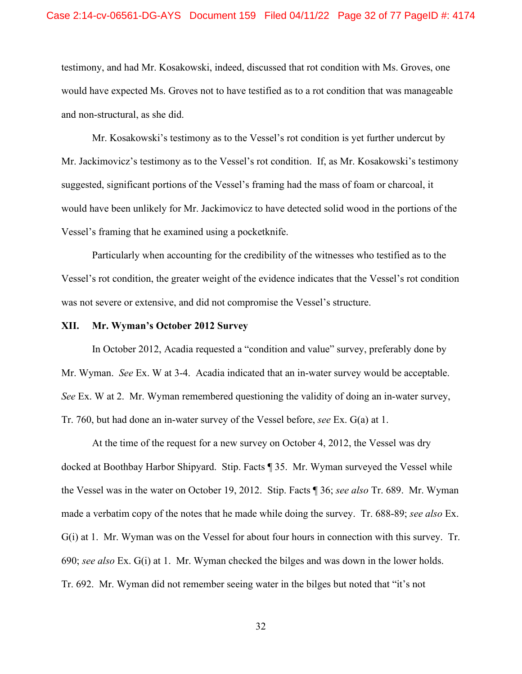testimony, and had Mr. Kosakowski, indeed, discussed that rot condition with Ms. Groves, one would have expected Ms. Groves not to have testified as to a rot condition that was manageable and non-structural, as she did.

Mr. Kosakowski's testimony as to the Vessel's rot condition is yet further undercut by Mr. Jackimovicz's testimony as to the Vessel's rot condition. If, as Mr. Kosakowski's testimony suggested, significant portions of the Vessel's framing had the mass of foam or charcoal, it would have been unlikely for Mr. Jackimovicz to have detected solid wood in the portions of the Vessel's framing that he examined using a pocketknife.

Particularly when accounting for the credibility of the witnesses who testified as to the Vessel's rot condition, the greater weight of the evidence indicates that the Vessel's rot condition was not severe or extensive, and did not compromise the Vessel's structure.

#### **XII. Mr. Wyman's October 2012 Survey**

In October 2012, Acadia requested a "condition and value" survey, preferably done by Mr. Wyman. *See* Ex. W at 3-4. Acadia indicated that an in-water survey would be acceptable. *See* Ex. W at 2. Mr. Wyman remembered questioning the validity of doing an in-water survey, Tr. 760, but had done an in-water survey of the Vessel before, *see* Ex. G(a) at 1.

At the time of the request for a new survey on October 4, 2012, the Vessel was dry docked at Boothbay Harbor Shipyard. Stip. Facts ¶ 35. Mr. Wyman surveyed the Vessel while the Vessel was in the water on October 19, 2012. Stip. Facts ¶ 36; *see also* Tr. 689. Mr. Wyman made a verbatim copy of the notes that he made while doing the survey. Tr. 688-89; *see also* Ex. G(i) at 1. Mr. Wyman was on the Vessel for about four hours in connection with this survey. Tr. 690; *see also* Ex. G(i) at 1. Mr. Wyman checked the bilges and was down in the lower holds. Tr. 692. Mr. Wyman did not remember seeing water in the bilges but noted that "it's not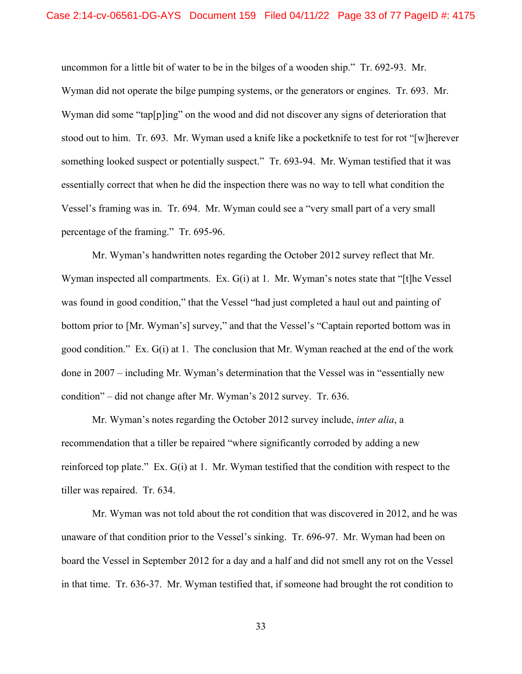uncommon for a little bit of water to be in the bilges of a wooden ship." Tr. 692-93. Mr. Wyman did not operate the bilge pumping systems, or the generators or engines. Tr. 693. Mr. Wyman did some "tap[p]ing" on the wood and did not discover any signs of deterioration that stood out to him. Tr. 693. Mr. Wyman used a knife like a pocketknife to test for rot "[w]herever something looked suspect or potentially suspect." Tr. 693-94. Mr. Wyman testified that it was essentially correct that when he did the inspection there was no way to tell what condition the Vessel's framing was in. Tr. 694. Mr. Wyman could see a "very small part of a very small percentage of the framing." Tr. 695-96.

Mr. Wyman's handwritten notes regarding the October 2012 survey reflect that Mr. Wyman inspected all compartments. Ex. G(i) at 1. Mr. Wyman's notes state that "[t]he Vessel was found in good condition," that the Vessel "had just completed a haul out and painting of bottom prior to [Mr. Wyman's] survey," and that the Vessel's "Captain reported bottom was in good condition." Ex. G(i) at 1. The conclusion that Mr. Wyman reached at the end of the work done in 2007 – including Mr. Wyman's determination that the Vessel was in "essentially new condition" – did not change after Mr. Wyman's 2012 survey. Tr. 636.

Mr. Wyman's notes regarding the October 2012 survey include, *inter alia*, a recommendation that a tiller be repaired "where significantly corroded by adding a new reinforced top plate." Ex. G(i) at 1. Mr. Wyman testified that the condition with respect to the tiller was repaired. Tr. 634.

Mr. Wyman was not told about the rot condition that was discovered in 2012, and he was unaware of that condition prior to the Vessel's sinking. Tr. 696-97. Mr. Wyman had been on board the Vessel in September 2012 for a day and a half and did not smell any rot on the Vessel in that time. Tr. 636-37. Mr. Wyman testified that, if someone had brought the rot condition to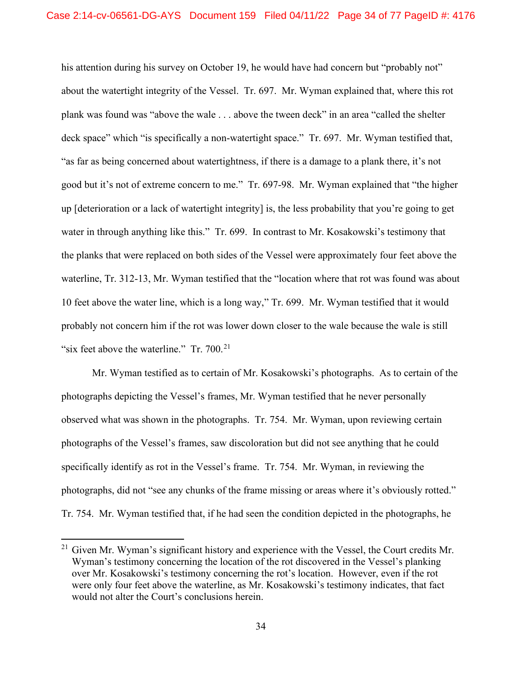his attention during his survey on October 19, he would have had concern but "probably not" about the watertight integrity of the Vessel. Tr. 697. Mr. Wyman explained that, where this rot plank was found was "above the wale . . . above the tween deck" in an area "called the shelter deck space" which "is specifically a non-watertight space." Tr. 697. Mr. Wyman testified that, "as far as being concerned about watertightness, if there is a damage to a plank there, it's not good but it's not of extreme concern to me." Tr. 697-98. Mr. Wyman explained that "the higher up [deterioration or a lack of watertight integrity] is, the less probability that you're going to get water in through anything like this." Tr. 699. In contrast to Mr. Kosakowski's testimony that the planks that were replaced on both sides of the Vessel were approximately four feet above the waterline, Tr. 312-13, Mr. Wyman testified that the "location where that rot was found was about 10 feet above the water line, which is a long way," Tr. 699. Mr. Wyman testified that it would probably not concern him if the rot was lower down closer to the wale because the wale is still "six feet above the waterline."  $Tr. 700^{21}$  $Tr. 700^{21}$  $Tr. 700^{21}$ 

Mr. Wyman testified as to certain of Mr. Kosakowski's photographs. As to certain of the photographs depicting the Vessel's frames, Mr. Wyman testified that he never personally observed what was shown in the photographs. Tr. 754. Mr. Wyman, upon reviewing certain photographs of the Vessel's frames, saw discoloration but did not see anything that he could specifically identify as rot in the Vessel's frame. Tr. 754. Mr. Wyman, in reviewing the photographs, did not "see any chunks of the frame missing or areas where it's obviously rotted." Tr. 754. Mr. Wyman testified that, if he had seen the condition depicted in the photographs, he

<span id="page-33-0"></span> $21$  Given Mr. Wyman's significant history and experience with the Vessel, the Court credits Mr. Wyman's testimony concerning the location of the rot discovered in the Vessel's planking over Mr. Kosakowski's testimony concerning the rot's location. However, even if the rot were only four feet above the waterline, as Mr. Kosakowski's testimony indicates, that fact would not alter the Court's conclusions herein.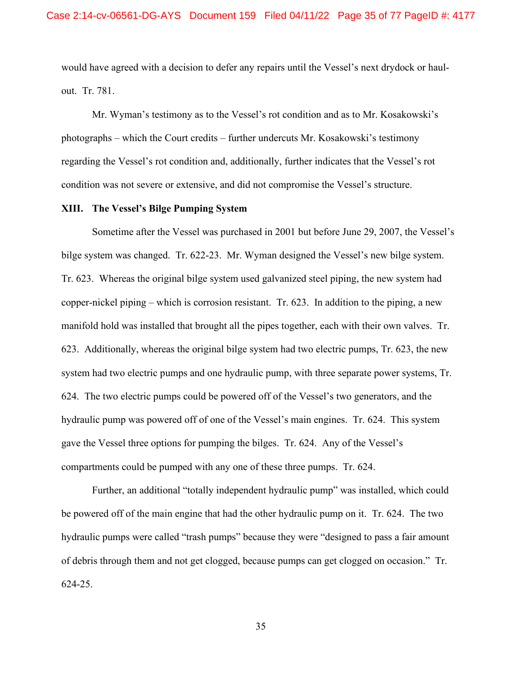would have agreed with a decision to defer any repairs until the Vessel's next drydock or haulout. Tr. 781.

Mr. Wyman's testimony as to the Vessel's rot condition and as to Mr. Kosakowski's photographs – which the Court credits – further undercuts Mr. Kosakowski's testimony regarding the Vessel's rot condition and, additionally, further indicates that the Vessel's rot condition was not severe or extensive, and did not compromise the Vessel's structure.

#### **XIII. The Vessel's Bilge Pumping System**

Sometime after the Vessel was purchased in 2001 but before June 29, 2007, the Vessel's bilge system was changed. Tr. 622-23. Mr. Wyman designed the Vessel's new bilge system. Tr. 623. Whereas the original bilge system used galvanized steel piping, the new system had copper-nickel piping – which is corrosion resistant. Tr. 623. In addition to the piping, a new manifold hold was installed that brought all the pipes together, each with their own valves. Tr. 623. Additionally, whereas the original bilge system had two electric pumps, Tr. 623, the new system had two electric pumps and one hydraulic pump, with three separate power systems, Tr. 624. The two electric pumps could be powered off of the Vessel's two generators, and the hydraulic pump was powered off of one of the Vessel's main engines. Tr. 624. This system gave the Vessel three options for pumping the bilges. Tr. 624. Any of the Vessel's compartments could be pumped with any one of these three pumps. Tr. 624.

Further, an additional "totally independent hydraulic pump" was installed, which could be powered off of the main engine that had the other hydraulic pump on it. Tr. 624. The two hydraulic pumps were called "trash pumps" because they were "designed to pass a fair amount of debris through them and not get clogged, because pumps can get clogged on occasion." Tr. 624-25.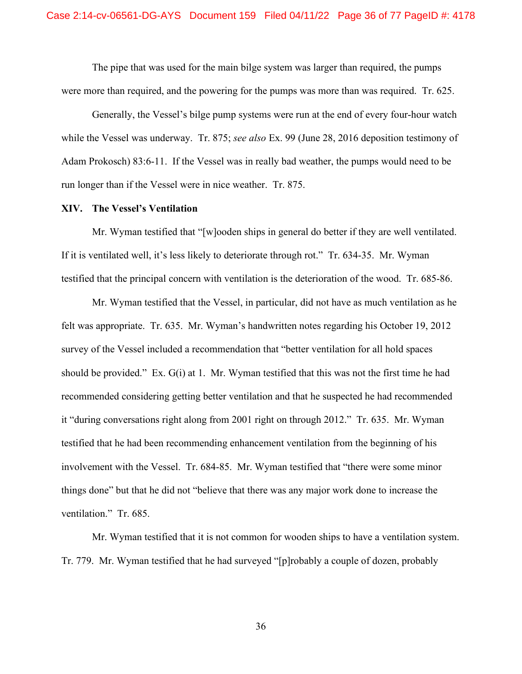The pipe that was used for the main bilge system was larger than required, the pumps were more than required, and the powering for the pumps was more than was required. Tr. 625.

Generally, the Vessel's bilge pump systems were run at the end of every four-hour watch while the Vessel was underway. Tr. 875; *see also* Ex. 99 (June 28, 2016 deposition testimony of Adam Prokosch) 83:6-11. If the Vessel was in really bad weather, the pumps would need to be run longer than if the Vessel were in nice weather. Tr. 875.

#### **XIV. The Vessel's Ventilation**

Mr. Wyman testified that "[w]ooden ships in general do better if they are well ventilated. If it is ventilated well, it's less likely to deteriorate through rot." Tr. 634-35. Mr. Wyman testified that the principal concern with ventilation is the deterioration of the wood. Tr. 685-86.

Mr. Wyman testified that the Vessel, in particular, did not have as much ventilation as he felt was appropriate. Tr. 635. Mr. Wyman's handwritten notes regarding his October 19, 2012 survey of the Vessel included a recommendation that "better ventilation for all hold spaces should be provided." Ex. G(i) at 1. Mr. Wyman testified that this was not the first time he had recommended considering getting better ventilation and that he suspected he had recommended it "during conversations right along from 2001 right on through 2012." Tr. 635. Mr. Wyman testified that he had been recommending enhancement ventilation from the beginning of his involvement with the Vessel. Tr. 684-85. Mr. Wyman testified that "there were some minor things done" but that he did not "believe that there was any major work done to increase the ventilation." Tr. 685.

Mr. Wyman testified that it is not common for wooden ships to have a ventilation system. Tr. 779. Mr. Wyman testified that he had surveyed "[p]robably a couple of dozen, probably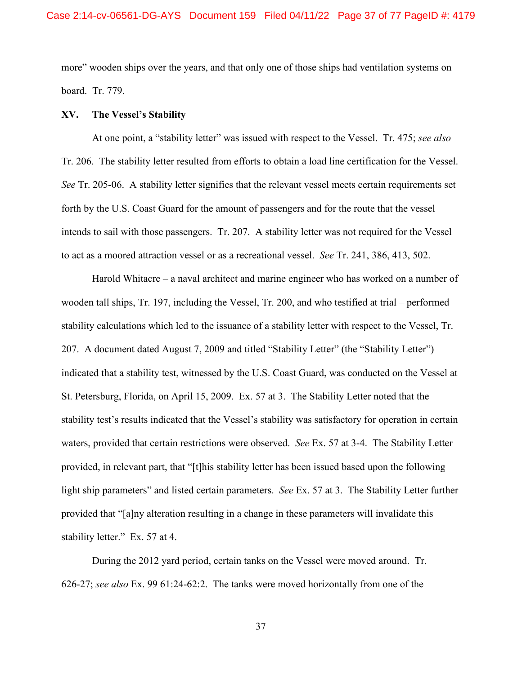more" wooden ships over the years, and that only one of those ships had ventilation systems on board. Tr. 779.

#### **XV. The Vessel's Stability**

At one point, a "stability letter" was issued with respect to the Vessel. Tr. 475; *see also*  Tr. 206. The stability letter resulted from efforts to obtain a load line certification for the Vessel. *See* Tr. 205-06. A stability letter signifies that the relevant vessel meets certain requirements set forth by the U.S. Coast Guard for the amount of passengers and for the route that the vessel intends to sail with those passengers. Tr. 207. A stability letter was not required for the Vessel to act as a moored attraction vessel or as a recreational vessel. *See* Tr. 241, 386, 413, 502.

Harold Whitacre – a naval architect and marine engineer who has worked on a number of wooden tall ships, Tr. 197, including the Vessel, Tr. 200, and who testified at trial – performed stability calculations which led to the issuance of a stability letter with respect to the Vessel, Tr. 207. A document dated August 7, 2009 and titled "Stability Letter" (the "Stability Letter") indicated that a stability test, witnessed by the U.S. Coast Guard, was conducted on the Vessel at St. Petersburg, Florida, on April 15, 2009. Ex. 57 at 3. The Stability Letter noted that the stability test's results indicated that the Vessel's stability was satisfactory for operation in certain waters, provided that certain restrictions were observed. *See* Ex. 57 at 3-4. The Stability Letter provided, in relevant part, that "[t]his stability letter has been issued based upon the following light ship parameters" and listed certain parameters. *See* Ex. 57 at 3. The Stability Letter further provided that "[a]ny alteration resulting in a change in these parameters will invalidate this stability letter." Ex. 57 at 4.

During the 2012 yard period, certain tanks on the Vessel were moved around. Tr. 626-27; *see also* Ex. 99 61:24-62:2. The tanks were moved horizontally from one of the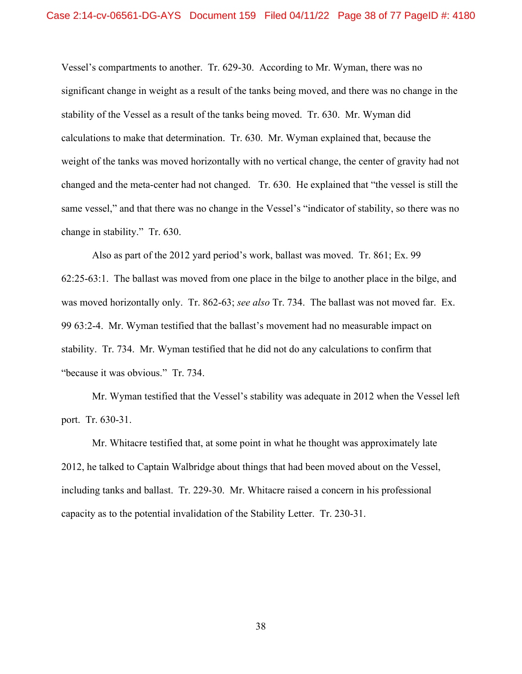Vessel's compartments to another. Tr. 629-30. According to Mr. Wyman, there was no significant change in weight as a result of the tanks being moved, and there was no change in the stability of the Vessel as a result of the tanks being moved. Tr. 630. Mr. Wyman did calculations to make that determination. Tr. 630. Mr. Wyman explained that, because the weight of the tanks was moved horizontally with no vertical change, the center of gravity had not changed and the meta-center had not changed. Tr. 630. He explained that "the vessel is still the same vessel," and that there was no change in the Vessel's "indicator of stability, so there was no change in stability." Tr. 630.

Also as part of the 2012 yard period's work, ballast was moved. Tr. 861; Ex. 99 62:25-63:1. The ballast was moved from one place in the bilge to another place in the bilge, and was moved horizontally only. Tr. 862-63; *see also* Tr. 734. The ballast was not moved far. Ex. 99 63:2-4. Mr. Wyman testified that the ballast's movement had no measurable impact on stability. Tr. 734. Mr. Wyman testified that he did not do any calculations to confirm that "because it was obvious." Tr. 734.

Mr. Wyman testified that the Vessel's stability was adequate in 2012 when the Vessel left port. Tr. 630-31.

Mr. Whitacre testified that, at some point in what he thought was approximately late 2012, he talked to Captain Walbridge about things that had been moved about on the Vessel, including tanks and ballast. Tr. 229-30. Mr. Whitacre raised a concern in his professional capacity as to the potential invalidation of the Stability Letter. Tr. 230-31.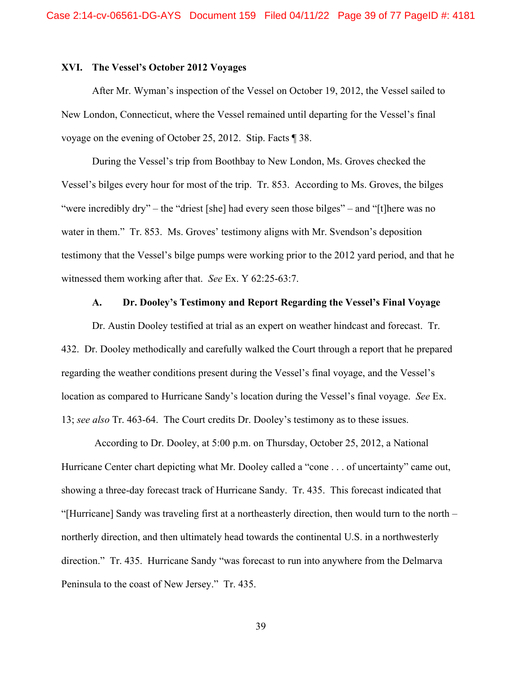### **XVI. The Vessel's October 2012 Voyages**

After Mr. Wyman's inspection of the Vessel on October 19, 2012, the Vessel sailed to New London, Connecticut, where the Vessel remained until departing for the Vessel's final voyage on the evening of October 25, 2012. Stip. Facts ¶ 38.

During the Vessel's trip from Boothbay to New London, Ms. Groves checked the Vessel's bilges every hour for most of the trip. Tr. 853. According to Ms. Groves, the bilges "were incredibly dry" – the "driest [she] had every seen those bilges" – and "[t]here was no water in them." Tr. 853. Ms. Groves' testimony aligns with Mr. Svendson's deposition testimony that the Vessel's bilge pumps were working prior to the 2012 yard period, and that he witnessed them working after that. *See* Ex. Y 62:25-63:7.

#### **A. Dr. Dooley's Testimony and Report Regarding the Vessel's Final Voyage**

Dr. Austin Dooley testified at trial as an expert on weather hindcast and forecast. Tr. 432. Dr. Dooley methodically and carefully walked the Court through a report that he prepared regarding the weather conditions present during the Vessel's final voyage, and the Vessel's location as compared to Hurricane Sandy's location during the Vessel's final voyage. *See* Ex. 13; *see also* Tr. 463-64. The Court credits Dr. Dooley's testimony as to these issues.

According to Dr. Dooley, at 5:00 p.m. on Thursday, October 25, 2012, a National Hurricane Center chart depicting what Mr. Dooley called a "cone . . . of uncertainty" came out, showing a three-day forecast track of Hurricane Sandy. Tr. 435. This forecast indicated that "[Hurricane] Sandy was traveling first at a northeasterly direction, then would turn to the north – northerly direction, and then ultimately head towards the continental U.S. in a northwesterly direction." Tr. 435. Hurricane Sandy "was forecast to run into anywhere from the Delmarva Peninsula to the coast of New Jersey." Tr. 435.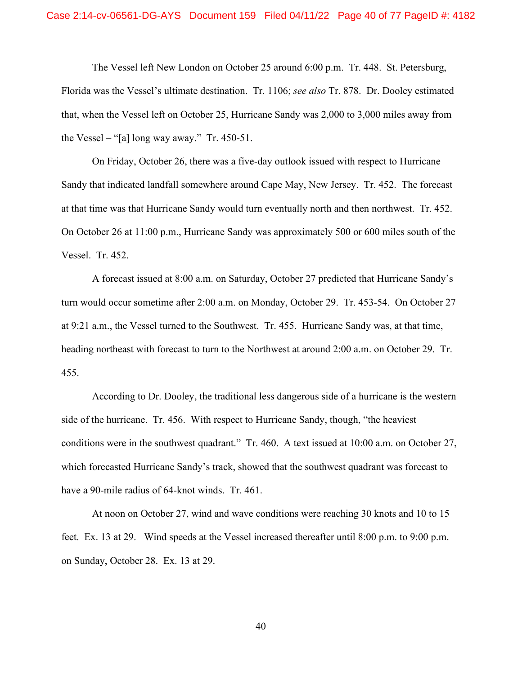#### Case 2:14-cv-06561-DG-AYS Document 159 Filed 04/11/22 Page 40 of 77 PageID #: 4182

The Vessel left New London on October 25 around 6:00 p.m. Tr. 448. St. Petersburg, Florida was the Vessel's ultimate destination. Tr. 1106; *see also* Tr. 878. Dr. Dooley estimated that, when the Vessel left on October 25, Hurricane Sandy was 2,000 to 3,000 miles away from the Vessel – "[a] long way away." Tr. 450-51.

On Friday, October 26, there was a five-day outlook issued with respect to Hurricane Sandy that indicated landfall somewhere around Cape May, New Jersey. Tr. 452. The forecast at that time was that Hurricane Sandy would turn eventually north and then northwest. Tr. 452. On October 26 at 11:00 p.m., Hurricane Sandy was approximately 500 or 600 miles south of the Vessel. Tr. 452.

A forecast issued at 8:00 a.m. on Saturday, October 27 predicted that Hurricane Sandy's turn would occur sometime after 2:00 a.m. on Monday, October 29. Tr. 453-54. On October 27 at 9:21 a.m., the Vessel turned to the Southwest. Tr. 455. Hurricane Sandy was, at that time, heading northeast with forecast to turn to the Northwest at around 2:00 a.m. on October 29. Tr. 455.

According to Dr. Dooley, the traditional less dangerous side of a hurricane is the western side of the hurricane. Tr. 456. With respect to Hurricane Sandy, though, "the heaviest conditions were in the southwest quadrant." Tr. 460. A text issued at 10:00 a.m. on October 27, which forecasted Hurricane Sandy's track, showed that the southwest quadrant was forecast to have a 90-mile radius of 64-knot winds. Tr. 461.

At noon on October 27, wind and wave conditions were reaching 30 knots and 10 to 15 feet. Ex. 13 at 29. Wind speeds at the Vessel increased thereafter until 8:00 p.m. to 9:00 p.m. on Sunday, October 28. Ex. 13 at 29.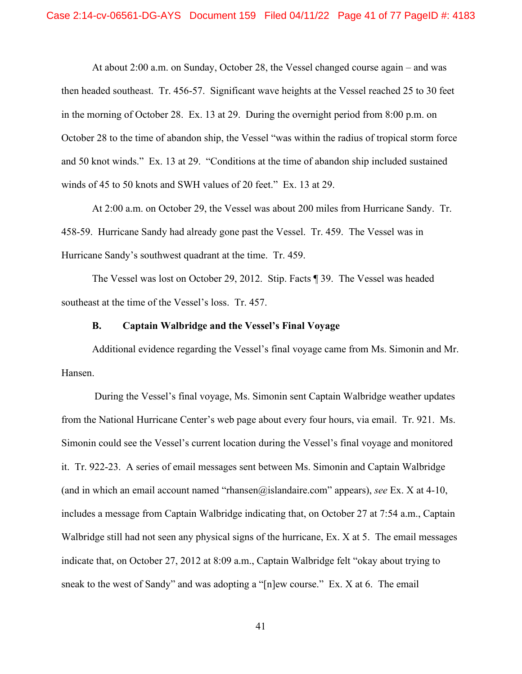At about 2:00 a.m. on Sunday, October 28, the Vessel changed course again – and was then headed southeast. Tr. 456-57. Significant wave heights at the Vessel reached 25 to 30 feet in the morning of October 28. Ex. 13 at 29. During the overnight period from 8:00 p.m. on October 28 to the time of abandon ship, the Vessel "was within the radius of tropical storm force and 50 knot winds." Ex. 13 at 29. "Conditions at the time of abandon ship included sustained winds of 45 to 50 knots and SWH values of 20 feet." Ex. 13 at 29.

At 2:00 a.m. on October 29, the Vessel was about 200 miles from Hurricane Sandy. Tr. 458-59. Hurricane Sandy had already gone past the Vessel. Tr. 459. The Vessel was in Hurricane Sandy's southwest quadrant at the time. Tr. 459.

The Vessel was lost on October 29, 2012. Stip. Facts ¶ 39. The Vessel was headed southeast at the time of the Vessel's loss. Tr. 457.

### **B. Captain Walbridge and the Vessel's Final Voyage**

Additional evidence regarding the Vessel's final voyage came from Ms. Simonin and Mr. Hansen.

During the Vessel's final voyage, Ms. Simonin sent Captain Walbridge weather updates from the National Hurricane Center's web page about every four hours, via email. Tr. 921. Ms. Simonin could see the Vessel's current location during the Vessel's final voyage and monitored it. Tr. 922-23. A series of email messages sent between Ms. Simonin and Captain Walbridge (and in which an email account named "rhansen@islandaire.com" appears), *see* Ex. X at 4-10, includes a message from Captain Walbridge indicating that, on October 27 at 7:54 a.m., Captain Walbridge still had not seen any physical signs of the hurricane, Ex. X at 5. The email messages indicate that, on October 27, 2012 at 8:09 a.m., Captain Walbridge felt "okay about trying to sneak to the west of Sandy" and was adopting a "[n]ew course." Ex. X at 6. The email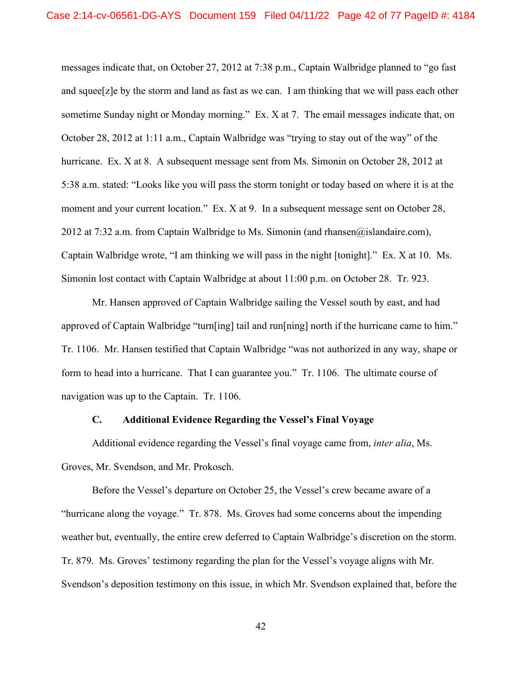messages indicate that, on October 27, 2012 at 7:38 p.m., Captain Walbridge planned to "go fast and squee $[z]e$  by the storm and land as fast as we can. I am thinking that we will pass each other sometime Sunday night or Monday morning." Ex. X at 7. The email messages indicate that, on October 28, 2012 at 1:11 a.m., Captain Walbridge was "trying to stay out of the way" of the hurricane. Ex. X at 8. A subsequent message sent from Ms. Simonin on October 28, 2012 at 5:38 a.m. stated: "Looks like you will pass the storm tonight or today based on where it is at the moment and your current location." Ex. X at 9. In a subsequent message sent on October 28, 2012 at 7:32 a.m. from Captain Walbridge to Ms. Simonin (and rhansen@islandaire.com), Captain Walbridge wrote, "I am thinking we will pass in the night [tonight]." Ex. X at 10. Ms. Simonin lost contact with Captain Walbridge at about 11:00 p.m. on October 28. Tr. 923.

Mr. Hansen approved of Captain Walbridge sailing the Vessel south by east, and had approved of Captain Walbridge "turn[ing] tail and run[ning] north if the hurricane came to him." Tr. 1106. Mr. Hansen testified that Captain Walbridge "was not authorized in any way, shape or form to head into a hurricane. That I can guarantee you." Tr. 1106. The ultimate course of navigation was up to the Captain. Tr. 1106.

### **C. Additional Evidence Regarding the Vessel's Final Voyage**

Additional evidence regarding the Vessel's final voyage came from, *inter alia*, Ms. Groves, Mr. Svendson, and Mr. Prokosch.

Before the Vessel's departure on October 25, the Vessel's crew became aware of a "hurricane along the voyage." Tr. 878. Ms. Groves had some concerns about the impending weather but, eventually, the entire crew deferred to Captain Walbridge's discretion on the storm. Tr. 879. Ms. Groves' testimony regarding the plan for the Vessel's voyage aligns with Mr. Svendson's deposition testimony on this issue, in which Mr. Svendson explained that, before the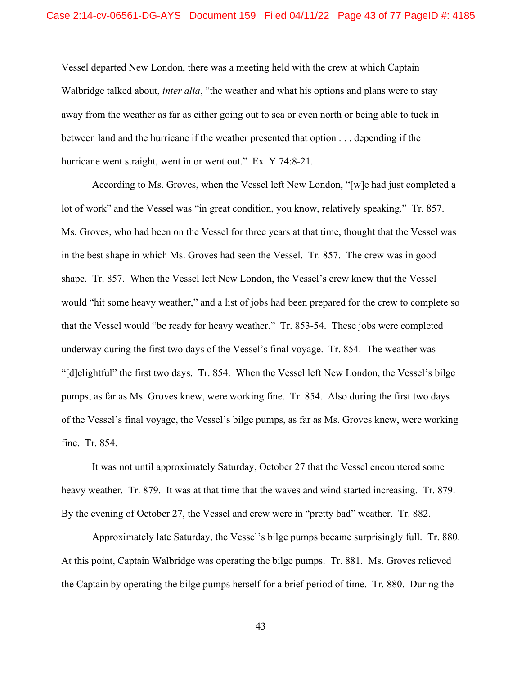Vessel departed New London, there was a meeting held with the crew at which Captain Walbridge talked about, *inter alia*, "the weather and what his options and plans were to stay away from the weather as far as either going out to sea or even north or being able to tuck in between land and the hurricane if the weather presented that option . . . depending if the hurricane went straight, went in or went out." Ex. Y 74:8-21.

According to Ms. Groves, when the Vessel left New London, "[w]e had just completed a lot of work" and the Vessel was "in great condition, you know, relatively speaking." Tr. 857. Ms. Groves, who had been on the Vessel for three years at that time, thought that the Vessel was in the best shape in which Ms. Groves had seen the Vessel. Tr. 857. The crew was in good shape. Tr. 857. When the Vessel left New London, the Vessel's crew knew that the Vessel would "hit some heavy weather," and a list of jobs had been prepared for the crew to complete so that the Vessel would "be ready for heavy weather." Tr. 853-54. These jobs were completed underway during the first two days of the Vessel's final voyage. Tr. 854. The weather was "[d]elightful" the first two days. Tr. 854. When the Vessel left New London, the Vessel's bilge pumps, as far as Ms. Groves knew, were working fine. Tr. 854. Also during the first two days of the Vessel's final voyage, the Vessel's bilge pumps, as far as Ms. Groves knew, were working fine. Tr. 854.

It was not until approximately Saturday, October 27 that the Vessel encountered some heavy weather. Tr. 879. It was at that time that the waves and wind started increasing. Tr. 879. By the evening of October 27, the Vessel and crew were in "pretty bad" weather. Tr. 882.

Approximately late Saturday, the Vessel's bilge pumps became surprisingly full. Tr. 880. At this point, Captain Walbridge was operating the bilge pumps. Tr. 881. Ms. Groves relieved the Captain by operating the bilge pumps herself for a brief period of time. Tr. 880. During the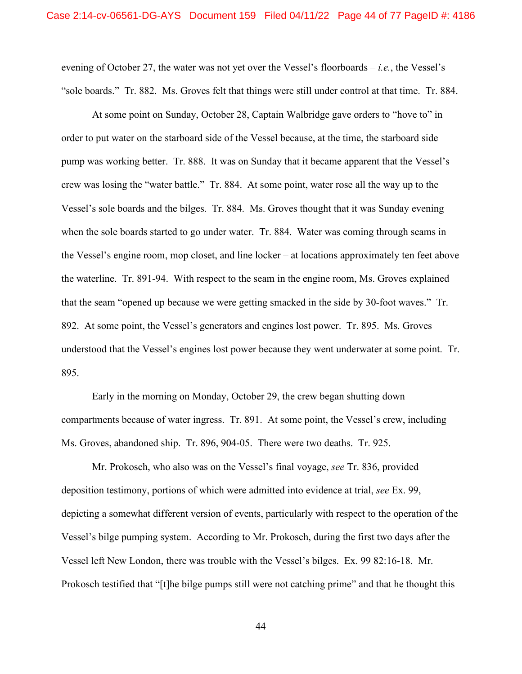evening of October 27, the water was not yet over the Vessel's floorboards – *i.e.*, the Vessel's "sole boards." Tr. 882. Ms. Groves felt that things were still under control at that time. Tr. 884.

At some point on Sunday, October 28, Captain Walbridge gave orders to "hove to" in order to put water on the starboard side of the Vessel because, at the time, the starboard side pump was working better. Tr. 888. It was on Sunday that it became apparent that the Vessel's crew was losing the "water battle." Tr. 884. At some point, water rose all the way up to the Vessel's sole boards and the bilges. Tr. 884. Ms. Groves thought that it was Sunday evening when the sole boards started to go under water. Tr. 884. Water was coming through seams in the Vessel's engine room, mop closet, and line locker – at locations approximately ten feet above the waterline. Tr. 891-94. With respect to the seam in the engine room, Ms. Groves explained that the seam "opened up because we were getting smacked in the side by 30-foot waves." Tr. 892. At some point, the Vessel's generators and engines lost power. Tr. 895. Ms. Groves understood that the Vessel's engines lost power because they went underwater at some point. Tr. 895.

Early in the morning on Monday, October 29, the crew began shutting down compartments because of water ingress. Tr. 891. At some point, the Vessel's crew, including Ms. Groves, abandoned ship. Tr. 896, 904-05. There were two deaths. Tr. 925.

Mr. Prokosch, who also was on the Vessel's final voyage, *see* Tr. 836, provided deposition testimony, portions of which were admitted into evidence at trial, *see* Ex. 99, depicting a somewhat different version of events, particularly with respect to the operation of the Vessel's bilge pumping system. According to Mr. Prokosch, during the first two days after the Vessel left New London, there was trouble with the Vessel's bilges. Ex. 99 82:16-18. Mr. Prokosch testified that "[t]he bilge pumps still were not catching prime" and that he thought this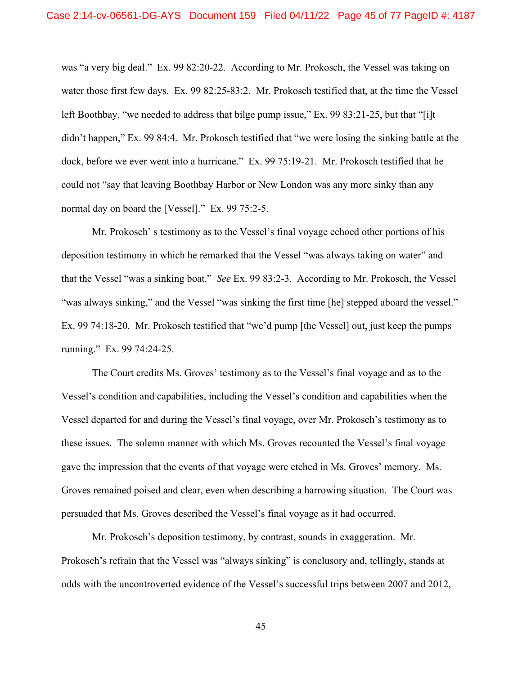was "a very big deal." Ex. 99 82:20-22. According to Mr. Prokosch, the Vessel was taking on water those first few days. Ex. 99 82:25-83:2. Mr. Prokosch testified that, at the time the Vessel left Boothbay, "we needed to address that bilge pump issue," Ex. 99 83:21-25, but that "[i]t didn't happen," Ex. 99 84:4. Mr. Prokosch testified that "we were losing the sinking battle at the dock, before we ever went into a hurricane." Ex. 99 75:19-21. Mr. Prokosch testified that he could not "say that leaving Boothbay Harbor or New London was any more sinky than any normal day on board the [Vessel]." Ex. 99 75:2-5.

Mr. Prokosch' s testimony as to the Vessel's final voyage echoed other portions of his deposition testimony in which he remarked that the Vessel "was always taking on water" and that the Vessel "was a sinking boat." *See* Ex. 99 83:2-3. According to Mr. Prokosch, the Vessel "was always sinking," and the Vessel "was sinking the first time [he] stepped aboard the vessel." Ex. 99 74:18-20. Mr. Prokosch testified that "we'd pump [the Vessel] out, just keep the pumps running." Ex. 99 74:24-25.

The Court credits Ms. Groves' testimony as to the Vessel's final voyage and as to the Vessel's condition and capabilities, including the Vessel's condition and capabilities when the Vessel departed for and during the Vessel's final voyage, over Mr. Prokosch's testimony as to these issues. The solemn manner with which Ms. Groves recounted the Vessel's final voyage gave the impression that the events of that voyage were etched in Ms. Groves' memory. Ms. Groves remained poised and clear, even when describing a harrowing situation. The Court was persuaded that Ms. Groves described the Vessel's final voyage as it had occurred.

Mr. Prokosch's deposition testimony, by contrast, sounds in exaggeration. Mr. Prokosch's refrain that the Vessel was "always sinking" is conclusory and, tellingly, stands at odds with the uncontroverted evidence of the Vessel's successful trips between 2007 and 2012,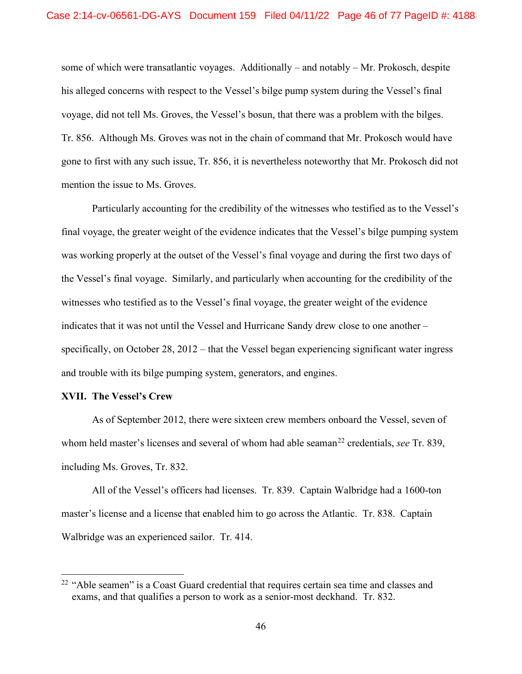some of which were transatlantic voyages. Additionally – and notably – Mr. Prokosch, despite his alleged concerns with respect to the Vessel's bilge pump system during the Vessel's final voyage, did not tell Ms. Groves, the Vessel's bosun, that there was a problem with the bilges. Tr. 856. Although Ms. Groves was not in the chain of command that Mr. Prokosch would have gone to first with any such issue, Tr. 856, it is nevertheless noteworthy that Mr. Prokosch did not mention the issue to Ms. Groves.

Particularly accounting for the credibility of the witnesses who testified as to the Vessel's final voyage, the greater weight of the evidence indicates that the Vessel's bilge pumping system was working properly at the outset of the Vessel's final voyage and during the first two days of the Vessel's final voyage. Similarly, and particularly when accounting for the credibility of the witnesses who testified as to the Vessel's final voyage, the greater weight of the evidence indicates that it was not until the Vessel and Hurricane Sandy drew close to one another – specifically, on October 28, 2012 – that the Vessel began experiencing significant water ingress and trouble with its bilge pumping system, generators, and engines.

### **XVII. The Vessel's Crew**

As of September 2012, there were sixteen crew members onboard the Vessel, seven of whom held master's licenses and several of whom had able seaman<sup>[22](#page-45-0)</sup> credentials, *see* Tr. 839, including Ms. Groves, Tr. 832.

All of the Vessel's officers had licenses. Tr. 839. Captain Walbridge had a 1600-ton master's license and a license that enabled him to go across the Atlantic. Tr. 838. Captain Walbridge was an experienced sailor. Tr. 414.

<span id="page-45-0"></span><sup>&</sup>lt;sup>22</sup> "Able seamen" is a Coast Guard credential that requires certain sea time and classes and exams, and that qualifies a person to work as a senior-most deckhand. Tr. 832.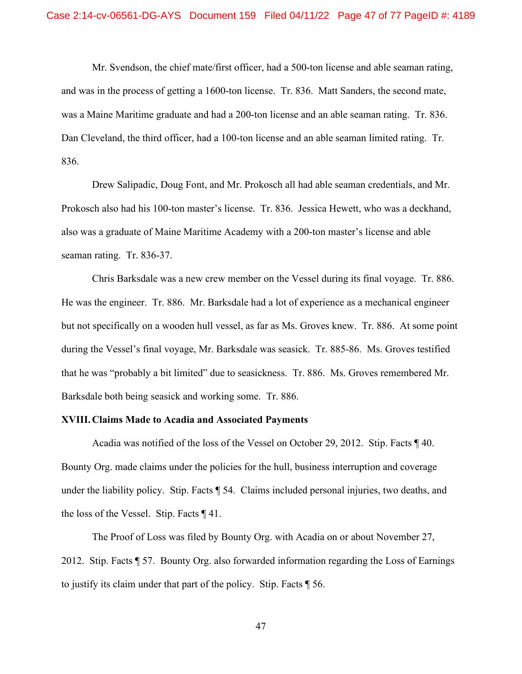Mr. Svendson, the chief mate/first officer, had a 500-ton license and able seaman rating, and was in the process of getting a 1600-ton license. Tr. 836. Matt Sanders, the second mate, was a Maine Maritime graduate and had a 200-ton license and an able seaman rating. Tr. 836. Dan Cleveland, the third officer, had a 100-ton license and an able seaman limited rating. Tr. 836.

Drew Salipadic, Doug Font, and Mr. Prokosch all had able seaman credentials, and Mr. Prokosch also had his 100-ton master's license. Tr. 836. Jessica Hewett, who was a deckhand, also was a graduate of Maine Maritime Academy with a 200-ton master's license and able seaman rating. Tr. 836-37.

Chris Barksdale was a new crew member on the Vessel during its final voyage. Tr. 886. He was the engineer. Tr. 886. Mr. Barksdale had a lot of experience as a mechanical engineer but not specifically on a wooden hull vessel, as far as Ms. Groves knew. Tr. 886. At some point during the Vessel's final voyage, Mr. Barksdale was seasick. Tr. 885-86. Ms. Groves testified that he was "probably a bit limited" due to seasickness. Tr. 886. Ms. Groves remembered Mr. Barksdale both being seasick and working some. Tr. 886.

### **XVIII.Claims Made to Acadia and Associated Payments**

Acadia was notified of the loss of the Vessel on October 29, 2012. Stip. Facts ¶ 40. Bounty Org. made claims under the policies for the hull, business interruption and coverage under the liability policy. Stip. Facts ¶ 54. Claims included personal injuries, two deaths, and the loss of the Vessel. Stip. Facts ¶ 41.

The Proof of Loss was filed by Bounty Org. with Acadia on or about November 27, 2012. Stip. Facts ¶ 57. Bounty Org. also forwarded information regarding the Loss of Earnings to justify its claim under that part of the policy. Stip. Facts ¶ 56.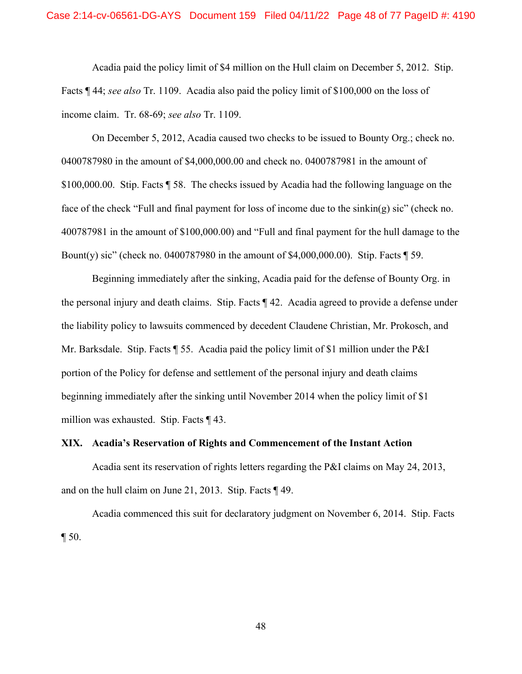Acadia paid the policy limit of \$4 million on the Hull claim on December 5, 2012. Stip. Facts ¶ 44; *see also* Tr. 1109. Acadia also paid the policy limit of \$100,000 on the loss of income claim. Tr. 68-69; *see also* Tr. 1109.

On December 5, 2012, Acadia caused two checks to be issued to Bounty Org.; check no. 0400787980 in the amount of \$4,000,000.00 and check no. 0400787981 in the amount of \$100,000.00. Stip. Facts ¶ 58. The checks issued by Acadia had the following language on the face of the check "Full and final payment for loss of income due to the sinkin(g) sic" (check no. 400787981 in the amount of \$100,000.00) and "Full and final payment for the hull damage to the Bount(y) sic" (check no. 0400787980 in the amount of \$4,000,000.00). Stip. Facts ¶ 59.

Beginning immediately after the sinking, Acadia paid for the defense of Bounty Org. in the personal injury and death claims. Stip. Facts ¶ 42. Acadia agreed to provide a defense under the liability policy to lawsuits commenced by decedent Claudene Christian, Mr. Prokosch, and Mr. Barksdale. Stip. Facts ¶ 55. Acadia paid the policy limit of \$1 million under the P&I portion of the Policy for defense and settlement of the personal injury and death claims beginning immediately after the sinking until November 2014 when the policy limit of \$1 million was exhausted. Stip. Facts ¶ 43.

### **XIX. Acadia's Reservation of Rights and Commencement of the Instant Action**

Acadia sent its reservation of rights letters regarding the P&I claims on May 24, 2013, and on the hull claim on June 21, 2013. Stip. Facts ¶ 49.

Acadia commenced this suit for declaratory judgment on November 6, 2014. Stip. Facts  $\P$  50.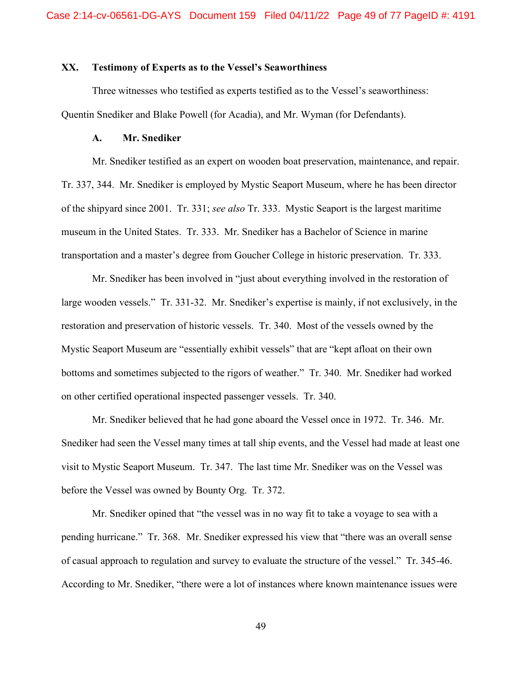#### **XX. Testimony of Experts as to the Vessel's Seaworthiness**

Three witnesses who testified as experts testified as to the Vessel's seaworthiness: Quentin Snediker and Blake Powell (for Acadia), and Mr. Wyman (for Defendants).

#### **A. Mr. Snediker**

Mr. Snediker testified as an expert on wooden boat preservation, maintenance, and repair. Tr. 337, 344. Mr. Snediker is employed by Mystic Seaport Museum, where he has been director of the shipyard since 2001. Tr. 331; *see also* Tr. 333. Mystic Seaport is the largest maritime museum in the United States. Tr. 333. Mr. Snediker has a Bachelor of Science in marine transportation and a master's degree from Goucher College in historic preservation. Tr. 333.

Mr. Snediker has been involved in "just about everything involved in the restoration of large wooden vessels." Tr. 331-32. Mr. Snediker's expertise is mainly, if not exclusively, in the restoration and preservation of historic vessels. Tr. 340. Most of the vessels owned by the Mystic Seaport Museum are "essentially exhibit vessels" that are "kept afloat on their own bottoms and sometimes subjected to the rigors of weather." Tr. 340. Mr. Snediker had worked on other certified operational inspected passenger vessels. Tr. 340.

Mr. Snediker believed that he had gone aboard the Vessel once in 1972. Tr. 346. Mr. Snediker had seen the Vessel many times at tall ship events, and the Vessel had made at least one visit to Mystic Seaport Museum. Tr. 347. The last time Mr. Snediker was on the Vessel was before the Vessel was owned by Bounty Org. Tr. 372.

Mr. Snediker opined that "the vessel was in no way fit to take a voyage to sea with a pending hurricane." Tr. 368. Mr. Snediker expressed his view that "there was an overall sense of casual approach to regulation and survey to evaluate the structure of the vessel." Tr. 345-46. According to Mr. Snediker, "there were a lot of instances where known maintenance issues were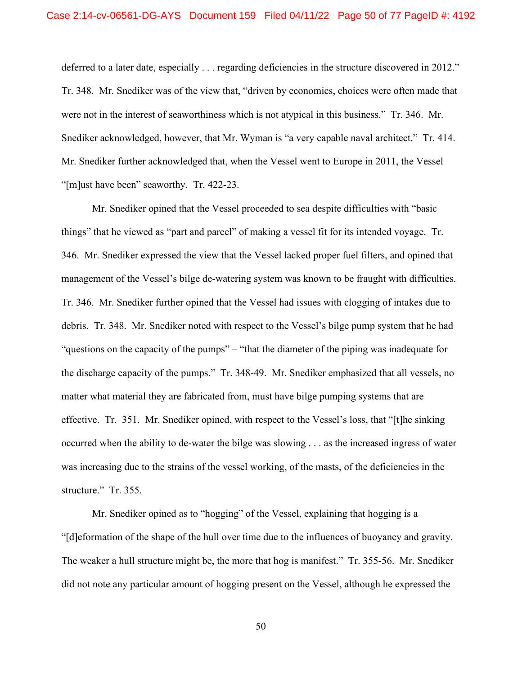deferred to a later date, especially . . . regarding deficiencies in the structure discovered in 2012." Tr. 348. Mr. Snediker was of the view that, "driven by economics, choices were often made that were not in the interest of seaworthiness which is not atypical in this business." Tr. 346. Mr. Snediker acknowledged, however, that Mr. Wyman is "a very capable naval architect." Tr. 414. Mr. Snediker further acknowledged that, when the Vessel went to Europe in 2011, the Vessel "[m]ust have been" seaworthy. Tr. 422-23.

Mr. Snediker opined that the Vessel proceeded to sea despite difficulties with "basic things" that he viewed as "part and parcel" of making a vessel fit for its intended voyage. Tr. 346. Mr. Snediker expressed the view that the Vessel lacked proper fuel filters, and opined that management of the Vessel's bilge de-watering system was known to be fraught with difficulties. Tr. 346. Mr. Snediker further opined that the Vessel had issues with clogging of intakes due to debris. Tr. 348. Mr. Snediker noted with respect to the Vessel's bilge pump system that he had "questions on the capacity of the pumps" – "that the diameter of the piping was inadequate for the discharge capacity of the pumps." Tr. 348-49. Mr. Snediker emphasized that all vessels, no matter what material they are fabricated from, must have bilge pumping systems that are effective. Tr. 351. Mr. Snediker opined, with respect to the Vessel's loss, that "[t]he sinking occurred when the ability to de-water the bilge was slowing . . . as the increased ingress of water was increasing due to the strains of the vessel working, of the masts, of the deficiencies in the structure." Tr. 355.

Mr. Snediker opined as to "hogging" of the Vessel, explaining that hogging is a "[d]eformation of the shape of the hull over time due to the influences of buoyancy and gravity. The weaker a hull structure might be, the more that hog is manifest." Tr. 355-56. Mr. Snediker did not note any particular amount of hogging present on the Vessel, although he expressed the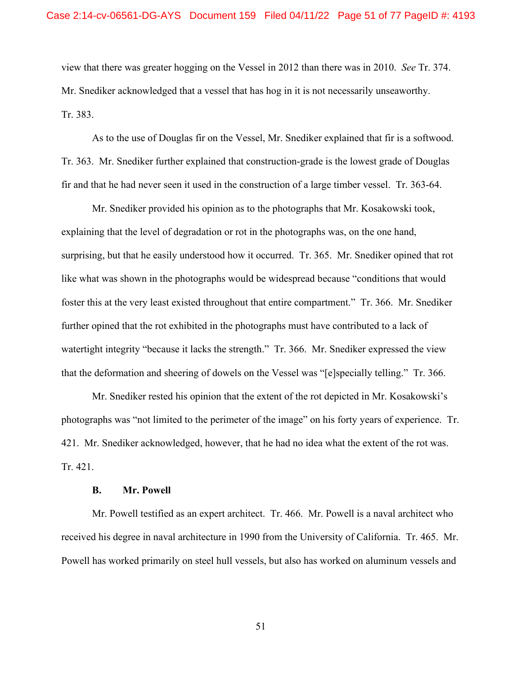view that there was greater hogging on the Vessel in 2012 than there was in 2010. *See* Tr. 374. Mr. Snediker acknowledged that a vessel that has hog in it is not necessarily unseaworthy. Tr. 383.

As to the use of Douglas fir on the Vessel, Mr. Snediker explained that fir is a softwood. Tr. 363. Mr. Snediker further explained that construction-grade is the lowest grade of Douglas fir and that he had never seen it used in the construction of a large timber vessel. Tr. 363-64.

Mr. Snediker provided his opinion as to the photographs that Mr. Kosakowski took, explaining that the level of degradation or rot in the photographs was, on the one hand, surprising, but that he easily understood how it occurred. Tr. 365. Mr. Snediker opined that rot like what was shown in the photographs would be widespread because "conditions that would foster this at the very least existed throughout that entire compartment." Tr. 366. Mr. Snediker further opined that the rot exhibited in the photographs must have contributed to a lack of watertight integrity "because it lacks the strength." Tr. 366. Mr. Snediker expressed the view that the deformation and sheering of dowels on the Vessel was "[e]specially telling." Tr. 366.

Mr. Snediker rested his opinion that the extent of the rot depicted in Mr. Kosakowski's photographs was "not limited to the perimeter of the image" on his forty years of experience. Tr. 421. Mr. Snediker acknowledged, however, that he had no idea what the extent of the rot was. Tr. 421.

#### **B. Mr. Powell**

Mr. Powell testified as an expert architect. Tr. 466. Mr. Powell is a naval architect who received his degree in naval architecture in 1990 from the University of California. Tr. 465. Mr. Powell has worked primarily on steel hull vessels, but also has worked on aluminum vessels and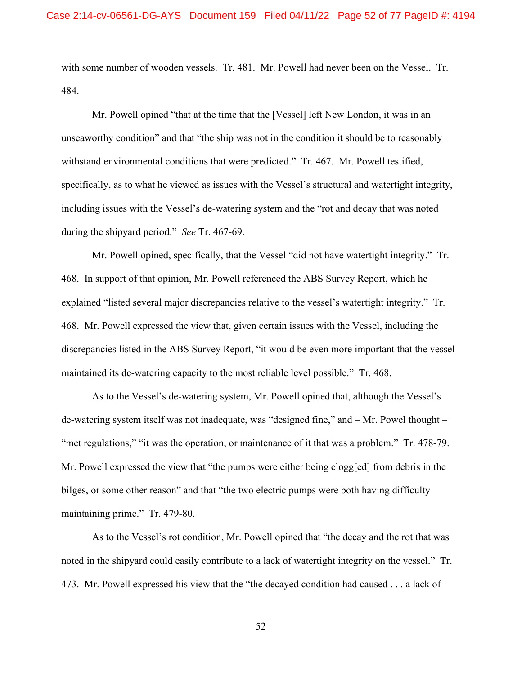with some number of wooden vessels. Tr. 481. Mr. Powell had never been on the Vessel. Tr. 484.

Mr. Powell opined "that at the time that the [Vessel] left New London, it was in an unseaworthy condition" and that "the ship was not in the condition it should be to reasonably withstand environmental conditions that were predicted." Tr. 467. Mr. Powell testified, specifically, as to what he viewed as issues with the Vessel's structural and watertight integrity, including issues with the Vessel's de-watering system and the "rot and decay that was noted during the shipyard period." *See* Tr. 467-69.

Mr. Powell opined, specifically, that the Vessel "did not have watertight integrity." Tr. 468. In support of that opinion, Mr. Powell referenced the ABS Survey Report, which he explained "listed several major discrepancies relative to the vessel's watertight integrity." Tr. 468. Mr. Powell expressed the view that, given certain issues with the Vessel, including the discrepancies listed in the ABS Survey Report, "it would be even more important that the vessel maintained its de-watering capacity to the most reliable level possible." Tr. 468.

As to the Vessel's de-watering system, Mr. Powell opined that, although the Vessel's de-watering system itself was not inadequate, was "designed fine," and – Mr. Powel thought – "met regulations," "it was the operation, or maintenance of it that was a problem." Tr. 478-79. Mr. Powell expressed the view that "the pumps were either being clogg[ed] from debris in the bilges, or some other reason" and that "the two electric pumps were both having difficulty maintaining prime." Tr. 479-80.

As to the Vessel's rot condition, Mr. Powell opined that "the decay and the rot that was noted in the shipyard could easily contribute to a lack of watertight integrity on the vessel." Tr. 473. Mr. Powell expressed his view that the "the decayed condition had caused . . . a lack of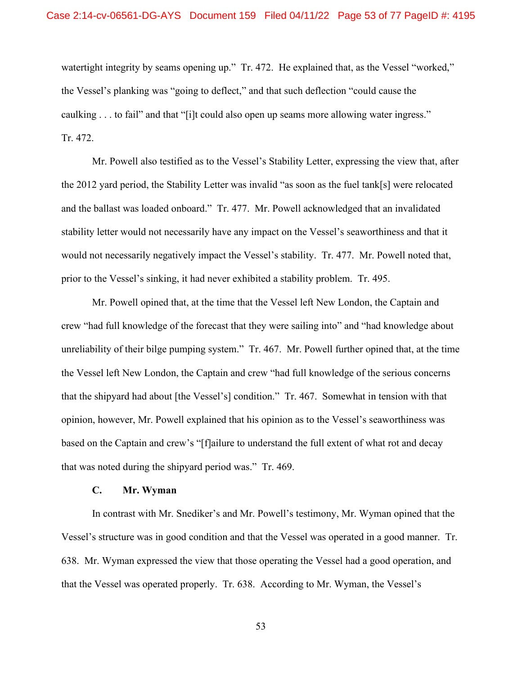watertight integrity by seams opening up." Tr. 472. He explained that, as the Vessel "worked," the Vessel's planking was "going to deflect," and that such deflection "could cause the caulking . . . to fail" and that "[i]t could also open up seams more allowing water ingress." Tr. 472.

Mr. Powell also testified as to the Vessel's Stability Letter, expressing the view that, after the 2012 yard period, the Stability Letter was invalid "as soon as the fuel tank[s] were relocated and the ballast was loaded onboard." Tr. 477. Mr. Powell acknowledged that an invalidated stability letter would not necessarily have any impact on the Vessel's seaworthiness and that it would not necessarily negatively impact the Vessel's stability. Tr. 477. Mr. Powell noted that, prior to the Vessel's sinking, it had never exhibited a stability problem. Tr. 495.

Mr. Powell opined that, at the time that the Vessel left New London, the Captain and crew "had full knowledge of the forecast that they were sailing into" and "had knowledge about unreliability of their bilge pumping system." Tr. 467. Mr. Powell further opined that, at the time the Vessel left New London, the Captain and crew "had full knowledge of the serious concerns that the shipyard had about [the Vessel's] condition." Tr. 467. Somewhat in tension with that opinion, however, Mr. Powell explained that his opinion as to the Vessel's seaworthiness was based on the Captain and crew's "[f]ailure to understand the full extent of what rot and decay that was noted during the shipyard period was." Tr. 469.

#### **C. Mr. Wyman**

In contrast with Mr. Snediker's and Mr. Powell's testimony, Mr. Wyman opined that the Vessel's structure was in good condition and that the Vessel was operated in a good manner. Tr. 638. Mr. Wyman expressed the view that those operating the Vessel had a good operation, and that the Vessel was operated properly. Tr. 638. According to Mr. Wyman, the Vessel's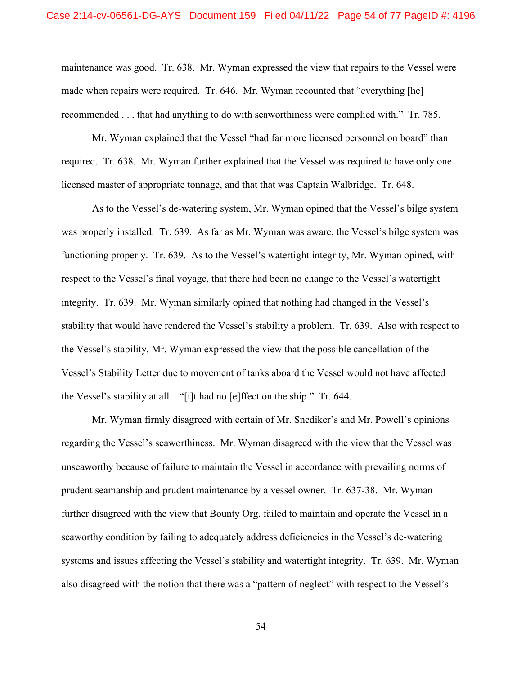maintenance was good. Tr. 638. Mr. Wyman expressed the view that repairs to the Vessel were made when repairs were required. Tr. 646. Mr. Wyman recounted that "everything [he] recommended . . . that had anything to do with seaworthiness were complied with." Tr. 785.

Mr. Wyman explained that the Vessel "had far more licensed personnel on board" than required. Tr. 638. Mr. Wyman further explained that the Vessel was required to have only one licensed master of appropriate tonnage, and that that was Captain Walbridge. Tr. 648.

As to the Vessel's de-watering system, Mr. Wyman opined that the Vessel's bilge system was properly installed. Tr. 639. As far as Mr. Wyman was aware, the Vessel's bilge system was functioning properly. Tr. 639. As to the Vessel's watertight integrity, Mr. Wyman opined, with respect to the Vessel's final voyage, that there had been no change to the Vessel's watertight integrity. Tr. 639. Mr. Wyman similarly opined that nothing had changed in the Vessel's stability that would have rendered the Vessel's stability a problem. Tr. 639. Also with respect to the Vessel's stability, Mr. Wyman expressed the view that the possible cancellation of the Vessel's Stability Letter due to movement of tanks aboard the Vessel would not have affected the Vessel's stability at all – "[i]t had no [e]ffect on the ship." Tr. 644.

Mr. Wyman firmly disagreed with certain of Mr. Snediker's and Mr. Powell's opinions regarding the Vessel's seaworthiness. Mr. Wyman disagreed with the view that the Vessel was unseaworthy because of failure to maintain the Vessel in accordance with prevailing norms of prudent seamanship and prudent maintenance by a vessel owner. Tr. 637-38. Mr. Wyman further disagreed with the view that Bounty Org. failed to maintain and operate the Vessel in a seaworthy condition by failing to adequately address deficiencies in the Vessel's de-watering systems and issues affecting the Vessel's stability and watertight integrity. Tr. 639. Mr. Wyman also disagreed with the notion that there was a "pattern of neglect" with respect to the Vessel's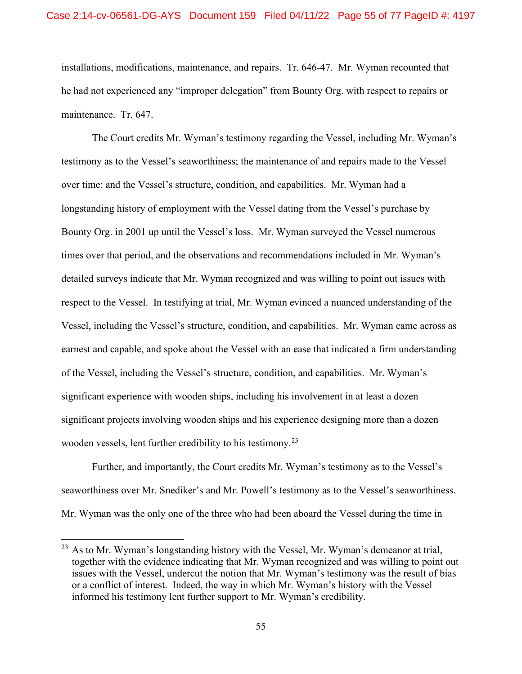installations, modifications, maintenance, and repairs. Tr. 646-47. Mr. Wyman recounted that he had not experienced any "improper delegation" from Bounty Org. with respect to repairs or maintenance. Tr. 647.

The Court credits Mr. Wyman's testimony regarding the Vessel, including Mr. Wyman's testimony as to the Vessel's seaworthiness; the maintenance of and repairs made to the Vessel over time; and the Vessel's structure, condition, and capabilities. Mr. Wyman had a longstanding history of employment with the Vessel dating from the Vessel's purchase by Bounty Org. in 2001 up until the Vessel's loss. Mr. Wyman surveyed the Vessel numerous times over that period, and the observations and recommendations included in Mr. Wyman's detailed surveys indicate that Mr. Wyman recognized and was willing to point out issues with respect to the Vessel. In testifying at trial, Mr. Wyman evinced a nuanced understanding of the Vessel, including the Vessel's structure, condition, and capabilities. Mr. Wyman came across as earnest and capable, and spoke about the Vessel with an ease that indicated a firm understanding of the Vessel, including the Vessel's structure, condition, and capabilities. Mr. Wyman's significant experience with wooden ships, including his involvement in at least a dozen significant projects involving wooden ships and his experience designing more than a dozen wooden vessels, lent further credibility to his testimony.<sup>[23](#page-54-0)</sup>

Further, and importantly, the Court credits Mr. Wyman's testimony as to the Vessel's seaworthiness over Mr. Snediker's and Mr. Powell's testimony as to the Vessel's seaworthiness. Mr. Wyman was the only one of the three who had been aboard the Vessel during the time in

<span id="page-54-0"></span><sup>&</sup>lt;sup>23</sup> As to Mr. Wyman's longstanding history with the Vessel, Mr. Wyman's demeanor at trial, together with the evidence indicating that Mr. Wyman recognized and was willing to point out issues with the Vessel, undercut the notion that Mr. Wyman's testimony was the result of bias or a conflict of interest. Indeed, the way in which Mr. Wyman's history with the Vessel informed his testimony lent further support to Mr. Wyman's credibility.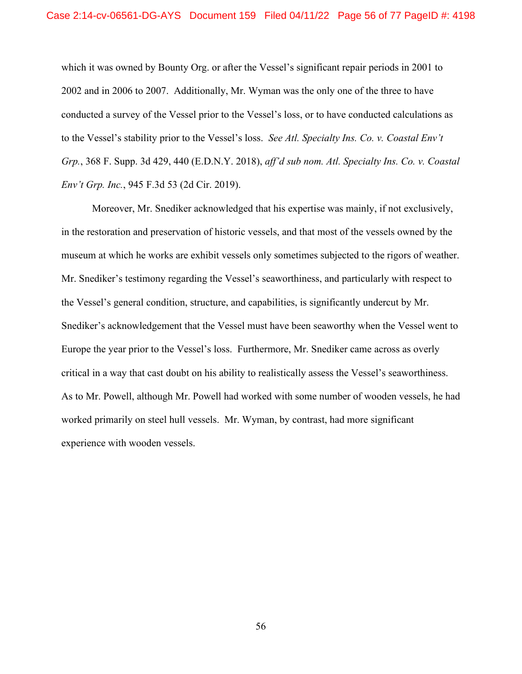which it was owned by Bounty Org. or after the Vessel's significant repair periods in 2001 to 2002 and in 2006 to 2007. Additionally, Mr. Wyman was the only one of the three to have conducted a survey of the Vessel prior to the Vessel's loss, or to have conducted calculations as to the Vessel's stability prior to the Vessel's loss. *See Atl. Specialty Ins. Co. v. Coastal Env't Grp.*, 368 F. Supp. 3d 429, 440 (E.D.N.Y. 2018), *aff'd sub nom. Atl. Specialty Ins. Co. v. Coastal Env't Grp. Inc.*, 945 F.3d 53 (2d Cir. 2019).

Moreover, Mr. Snediker acknowledged that his expertise was mainly, if not exclusively, in the restoration and preservation of historic vessels, and that most of the vessels owned by the museum at which he works are exhibit vessels only sometimes subjected to the rigors of weather. Mr. Snediker's testimony regarding the Vessel's seaworthiness, and particularly with respect to the Vessel's general condition, structure, and capabilities, is significantly undercut by Mr. Snediker's acknowledgement that the Vessel must have been seaworthy when the Vessel went to Europe the year prior to the Vessel's loss. Furthermore, Mr. Snediker came across as overly critical in a way that cast doubt on his ability to realistically assess the Vessel's seaworthiness. As to Mr. Powell, although Mr. Powell had worked with some number of wooden vessels, he had worked primarily on steel hull vessels. Mr. Wyman, by contrast, had more significant experience with wooden vessels.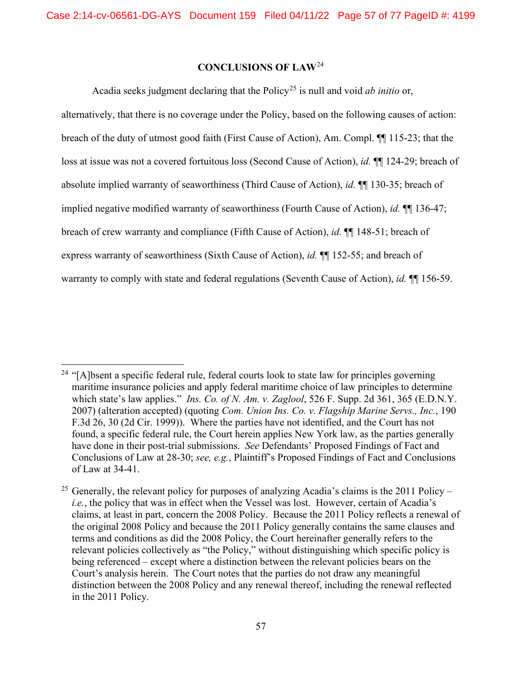## **CONCLUSIONS OF LAW**[24](#page-56-0)

Acadia seeks judgment declaring that the Policy<sup>[25](#page-56-1)</sup> is null and void *ab initio* or,

alternatively, that there is no coverage under the Policy, based on the following causes of action: breach of the duty of utmost good faith (First Cause of Action), Am. Compl. ¶¶ 115-23; that the loss at issue was not a covered fortuitous loss (Second Cause of Action), *id.* ¶¶ 124-29; breach of absolute implied warranty of seaworthiness (Third Cause of Action), *id.* ¶¶ 130-35; breach of implied negative modified warranty of seaworthiness (Fourth Cause of Action), *id.* ¶¶ 136-47; breach of crew warranty and compliance (Fifth Cause of Action), *id.* ¶¶ 148-51; breach of express warranty of seaworthiness (Sixth Cause of Action), *id.* ¶¶ 152-55; and breach of warranty to comply with state and federal regulations (Seventh Cause of Action), *id.* ¶¶ 156-59.

<span id="page-56-0"></span><sup>&</sup>lt;sup>24</sup> "[A]bsent a specific federal rule, federal courts look to state law for principles governing maritime insurance policies and apply federal maritime choice of law principles to determine which state's law applies." *Ins. Co. of N. Am. v. Zaglool*, 526 F. Supp. 2d 361, 365 (E.D.N.Y. 2007) (alteration accepted) (quoting *Com. Union Ins. Co. v. Flagship Marine Servs., Inc.*, 190 F.3d 26, 30 (2d Cir. 1999)). Where the parties have not identified, and the Court has not found, a specific federal rule, the Court herein applies New York law, as the parties generally have done in their post-trial submissions. *See* Defendants' Proposed Findings of Fact and Conclusions of Law at 28-30; *see, e.g.*, Plaintiff's Proposed Findings of Fact and Conclusions of Law at 34-41.

<span id="page-56-1"></span><sup>&</sup>lt;sup>25</sup> Generally, the relevant policy for purposes of analyzing Acadia's claims is the 2011 Policy – *i.e.*, the policy that was in effect when the Vessel was lost. However, certain of Acadia's claims, at least in part, concern the 2008 Policy. Because the 2011 Policy reflects a renewal of the original 2008 Policy and because the 2011 Policy generally contains the same clauses and terms and conditions as did the 2008 Policy, the Court hereinafter generally refers to the relevant policies collectively as "the Policy," without distinguishing which specific policy is being referenced – except where a distinction between the relevant policies bears on the Court's analysis herein. The Court notes that the parties do not draw any meaningful distinction between the 2008 Policy and any renewal thereof, including the renewal reflected in the 2011 Policy.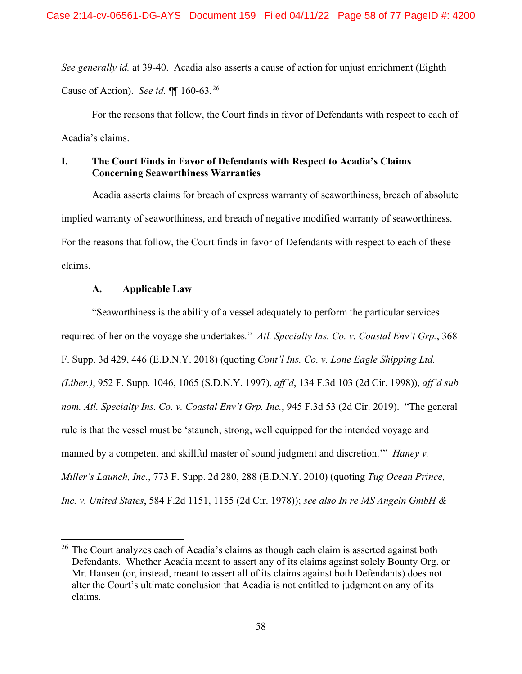*See generally id.* at 39-40. Acadia also asserts a cause of action for unjust enrichment (Eighth Cause of Action). *See id.* ¶¶ 160-63.[26](#page-57-0)

For the reasons that follow, the Court finds in favor of Defendants with respect to each of Acadia's claims.

## **I. The Court Finds in Favor of Defendants with Respect to Acadia's Claims Concerning Seaworthiness Warranties**

Acadia asserts claims for breach of express warranty of seaworthiness, breach of absolute implied warranty of seaworthiness, and breach of negative modified warranty of seaworthiness. For the reasons that follow, the Court finds in favor of Defendants with respect to each of these claims.

### **A. Applicable Law**

"Seaworthiness is the ability of a vessel adequately to perform the particular services required of her on the voyage she undertakes*.*" *Atl. Specialty Ins. Co. v. Coastal Env't Grp.*, 368 F. Supp. 3d 429, 446 (E.D.N.Y. 2018) (quoting *Cont'l Ins. Co. v. Lone Eagle Shipping Ltd. (Liber.)*, 952 F. Supp. 1046, 1065 (S.D.N.Y. 1997), *aff'd*, 134 F.3d 103 (2d Cir. 1998)), *aff'd sub nom. Atl. Specialty Ins. Co. v. Coastal Env't Grp. Inc.*, 945 F.3d 53 (2d Cir. 2019). "The general rule is that the vessel must be 'staunch, strong, well equipped for the intended voyage and manned by a competent and skillful master of sound judgment and discretion." *Haney v. Miller's Launch, Inc.*, 773 F. Supp. 2d 280, 288 (E.D.N.Y. 2010) (quoting *Tug Ocean Prince, Inc. v. United States*, 584 F.2d 1151, 1155 (2d Cir. 1978)); *see also In re MS Angeln GmbH &* 

<span id="page-57-0"></span> $26$  The Court analyzes each of Acadia's claims as though each claim is asserted against both Defendants. Whether Acadia meant to assert any of its claims against solely Bounty Org. or Mr. Hansen (or, instead, meant to assert all of its claims against both Defendants) does not alter the Court's ultimate conclusion that Acadia is not entitled to judgment on any of its claims.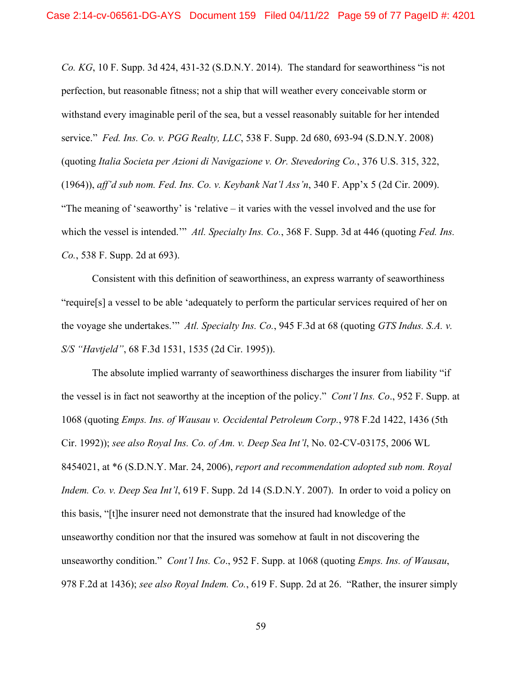*Co. KG*, 10 F. Supp. 3d 424, 431-32 (S.D.N.Y. 2014). The standard for seaworthiness "is not perfection, but reasonable fitness; not a ship that will weather every conceivable storm or withstand every imaginable peril of the sea, but a vessel reasonably suitable for her intended service." *Fed. Ins. Co. v. PGG Realty, LLC*, 538 F. Supp. 2d 680, 693-94 (S.D.N.Y. 2008) (quoting *Italia Societa per Azioni di Navigazione v. Or. Stevedoring Co.*, 376 U.S. 315, 322, (1964)), *aff'd sub nom. Fed. Ins. Co. v. Keybank Nat'l Ass'n*, 340 F. App'x 5 (2d Cir. 2009). "The meaning of 'seaworthy' is 'relative – it varies with the vessel involved and the use for which the vessel is intended."<sup>*Atl. Specialty Ins. Co.*, 368 F. Supp. 3d at 446 (quoting *Fed. Ins.*</sup> *Co.*, 538 F. Supp. 2d at 693).

Consistent with this definition of seaworthiness, an express warranty of seaworthiness "require[s] a vessel to be able 'adequately to perform the particular services required of her on the voyage she undertakes.'" *Atl. Specialty Ins. Co.*, 945 F.3d at 68 (quoting *GTS Indus. S.A. v. S/S "Havtjeld"*, 68 F.3d 1531, 1535 (2d Cir. 1995)).

The absolute implied warranty of seaworthiness discharges the insurer from liability "if the vessel is in fact not seaworthy at the inception of the policy." *Cont'l Ins. Co*., 952 F. Supp. at 1068 (quoting *Emps. Ins. of Wausau v. Occidental Petroleum Corp.*, 978 F.2d 1422, 1436 (5th Cir. 1992)); *see also Royal Ins. Co. of Am. v. Deep Sea Int'l*, No. 02-CV-03175, 2006 WL 8454021, at \*6 (S.D.N.Y. Mar. 24, 2006), *report and recommendation adopted sub nom. Royal Indem. Co. v. Deep Sea Int'l*, 619 F. Supp. 2d 14 (S.D.N.Y. 2007). In order to void a policy on this basis, "[t]he insurer need not demonstrate that the insured had knowledge of the unseaworthy condition nor that the insured was somehow at fault in not discovering the unseaworthy condition." *Cont'l Ins. Co*., 952 F. Supp. at 1068 (quoting *Emps. Ins. of Wausau*, 978 F.2d at 1436); *see also Royal Indem. Co.*, 619 F. Supp. 2d at 26. "Rather, the insurer simply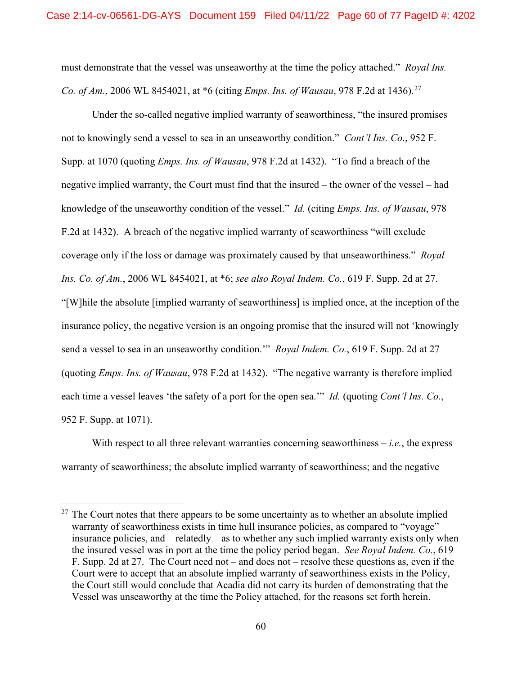must demonstrate that the vessel was unseaworthy at the time the policy attached." *Royal Ins. Co. of Am.*, 2006 WL 8454021, at \*6 (citing *Emps. Ins. of Wausau*, 978 F.2d at 1436).<sup>[27](#page-59-0)</sup>

Under the so-called negative implied warranty of seaworthiness, "the insured promises not to knowingly send a vessel to sea in an unseaworthy condition." *Cont'l Ins. Co.*, 952 F. Supp. at 1070 (quoting *Emps. Ins. of Wausau*, 978 F.2d at 1432). "To find a breach of the negative implied warranty, the Court must find that the insured – the owner of the vessel – had knowledge of the unseaworthy condition of the vessel." *Id.* (citing *Emps. Ins. of Wausau*, 978 F.2d at 1432). A breach of the negative implied warranty of seaworthiness "will exclude coverage only if the loss or damage was proximately caused by that unseaworthiness." *Royal Ins. Co. of Am.*, 2006 WL 8454021, at \*6; *see also Royal Indem. Co.*, 619 F. Supp. 2d at 27. "[W]hile the absolute [implied warranty of seaworthiness] is implied once, at the inception of the insurance policy, the negative version is an ongoing promise that the insured will not 'knowingly send a vessel to sea in an unseaworthy condition.'" *Royal Indem. Co.*, 619 F. Supp. 2d at 27 (quoting *Emps. Ins. of Wausau*, 978 F.2d at 1432). "The negative warranty is therefore implied each time a vessel leaves 'the safety of a port for the open sea.'" *Id.* (quoting *Cont'l Ins. Co.*, 952 F. Supp. at 1071).

With respect to all three relevant warranties concerning seaworthiness  $-i.e.,$  the express warranty of seaworthiness; the absolute implied warranty of seaworthiness; and the negative

<span id="page-59-0"></span> $27$  The Court notes that there appears to be some uncertainty as to whether an absolute implied warranty of seaworthiness exists in time hull insurance policies, as compared to "voyage" insurance policies, and – relatedly – as to whether any such implied warranty exists only when the insured vessel was in port at the time the policy period began. *See Royal Indem. Co.*, 619 F. Supp. 2d at 27. The Court need not – and does not – resolve these questions as, even if the Court were to accept that an absolute implied warranty of seaworthiness exists in the Policy, the Court still would conclude that Acadia did not carry its burden of demonstrating that the Vessel was unseaworthy at the time the Policy attached, for the reasons set forth herein.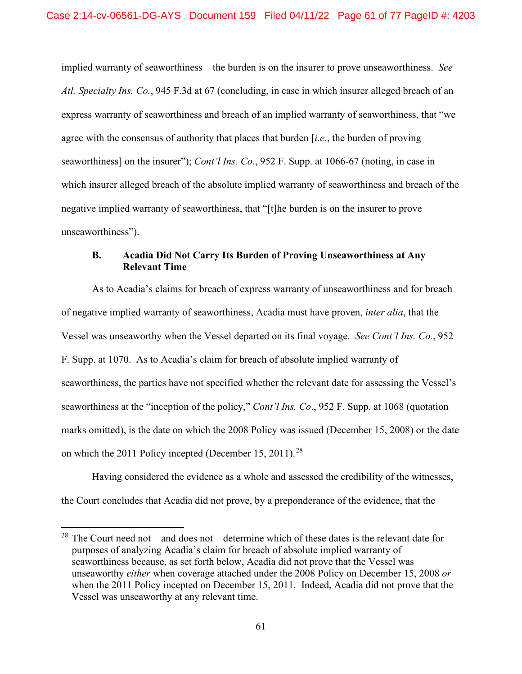implied warranty of seaworthiness – the burden is on the insurer to prove unseaworthiness. *See Atl. Specialty Ins. Co.*, 945 F.3d at 67 (concluding, in case in which insurer alleged breach of an express warranty of seaworthiness and breach of an implied warranty of seaworthiness, that "we agree with the consensus of authority that places that burden [*i.e.*, the burden of proving seaworthiness] on the insurer"); *Cont'l Ins. Co*., 952 F. Supp. at 1066-67 (noting, in case in which insurer alleged breach of the absolute implied warranty of seaworthiness and breach of the negative implied warranty of seaworthiness, that "[t]he burden is on the insurer to prove unseaworthiness").

## **B. Acadia Did Not Carry Its Burden of Proving Unseaworthiness at Any Relevant Time**

As to Acadia's claims for breach of express warranty of unseaworthiness and for breach of negative implied warranty of seaworthiness, Acadia must have proven, *inter alia*, that the Vessel was unseaworthy when the Vessel departed on its final voyage. *See Cont'l Ins. Co.*, 952 F. Supp. at 1070.As to Acadia's claim for breach of absolute implied warranty of seaworthiness, the parties have not specified whether the relevant date for assessing the Vessel's seaworthiness at the "inception of the policy," *Cont'l Ins. Co*., 952 F. Supp. at 1068 (quotation marks omitted), is the date on which the 2008 Policy was issued (December 15, 2008) or the date on which the 2011 Policy incepted (December 15, 2011).<sup>[28](#page-60-0)</sup>

Having considered the evidence as a whole and assessed the credibility of the witnesses, the Court concludes that Acadia did not prove, by a preponderance of the evidence, that the

<span id="page-60-0"></span> $28$  The Court need not – and does not – determine which of these dates is the relevant date for purposes of analyzing Acadia's claim for breach of absolute implied warranty of seaworthiness because, as set forth below, Acadia did not prove that the Vessel was unseaworthy *either* when coverage attached under the 2008 Policy on December 15, 2008 *or* when the 2011 Policy incepted on December 15, 2011. Indeed, Acadia did not prove that the Vessel was unseaworthy at any relevant time.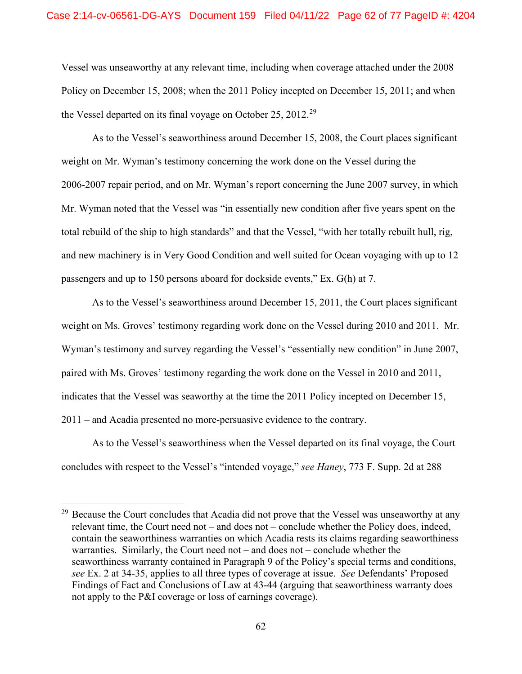Vessel was unseaworthy at any relevant time, including when coverage attached under the 2008 Policy on December 15, 2008; when the 2011 Policy incepted on December 15, 2011; and when the Vessel departed on its final voyage on October 25, 2012.<sup>[29](#page-61-0)</sup>

As to the Vessel's seaworthiness around December 15, 2008, the Court places significant weight on Mr. Wyman's testimony concerning the work done on the Vessel during the 2006-2007 repair period, and on Mr. Wyman's report concerning the June 2007 survey, in which Mr. Wyman noted that the Vessel was "in essentially new condition after five years spent on the total rebuild of the ship to high standards" and that the Vessel, "with her totally rebuilt hull, rig, and new machinery is in Very Good Condition and well suited for Ocean voyaging with up to 12 passengers and up to 150 persons aboard for dockside events," Ex. G(h) at 7.

As to the Vessel's seaworthiness around December 15, 2011, the Court places significant weight on Ms. Groves' testimony regarding work done on the Vessel during 2010 and 2011. Mr. Wyman's testimony and survey regarding the Vessel's "essentially new condition" in June 2007, paired with Ms. Groves' testimony regarding the work done on the Vessel in 2010 and 2011, indicates that the Vessel was seaworthy at the time the 2011 Policy incepted on December 15, 2011 – and Acadia presented no more-persuasive evidence to the contrary.

As to the Vessel's seaworthiness when the Vessel departed on its final voyage, the Court concludes with respect to the Vessel's "intended voyage," *see Haney*, 773 F. Supp. 2d at 288

<span id="page-61-0"></span><sup>&</sup>lt;sup>29</sup> Because the Court concludes that Acadia did not prove that the Vessel was unseaworthy at any relevant time, the Court need not – and does not – conclude whether the Policy does, indeed, contain the seaworthiness warranties on which Acadia rests its claims regarding seaworthiness warranties. Similarly, the Court need not – and does not – conclude whether the seaworthiness warranty contained in Paragraph 9 of the Policy's special terms and conditions, *see* Ex. 2 at 34-35, applies to all three types of coverage at issue. *See* Defendants' Proposed Findings of Fact and Conclusions of Law at 43-44 (arguing that seaworthiness warranty does not apply to the P&I coverage or loss of earnings coverage).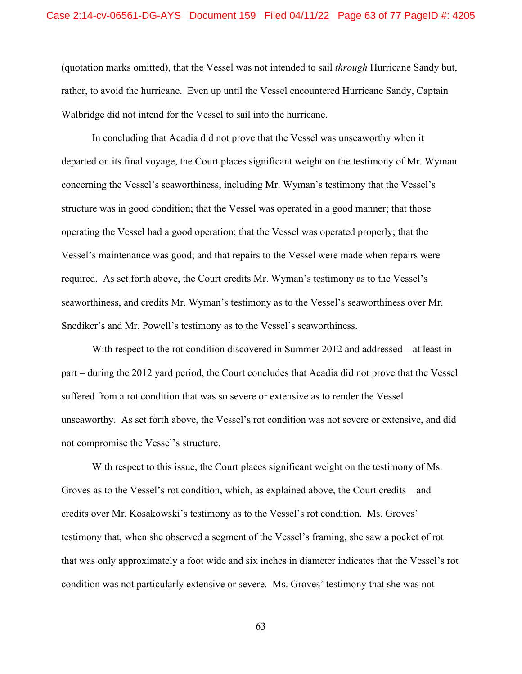(quotation marks omitted), that the Vessel was not intended to sail *through* Hurricane Sandy but, rather, to avoid the hurricane. Even up until the Vessel encountered Hurricane Sandy, Captain Walbridge did not intend for the Vessel to sail into the hurricane.

In concluding that Acadia did not prove that the Vessel was unseaworthy when it departed on its final voyage, the Court places significant weight on the testimony of Mr. Wyman concerning the Vessel's seaworthiness, including Mr. Wyman's testimony that the Vessel's structure was in good condition; that the Vessel was operated in a good manner; that those operating the Vessel had a good operation; that the Vessel was operated properly; that the Vessel's maintenance was good; and that repairs to the Vessel were made when repairs were required. As set forth above, the Court credits Mr. Wyman's testimony as to the Vessel's seaworthiness, and credits Mr. Wyman's testimony as to the Vessel's seaworthiness over Mr. Snediker's and Mr. Powell's testimony as to the Vessel's seaworthiness.

With respect to the rot condition discovered in Summer 2012 and addressed – at least in part – during the 2012 yard period, the Court concludes that Acadia did not prove that the Vessel suffered from a rot condition that was so severe or extensive as to render the Vessel unseaworthy. As set forth above, the Vessel's rot condition was not severe or extensive, and did not compromise the Vessel's structure.

With respect to this issue, the Court places significant weight on the testimony of Ms. Groves as to the Vessel's rot condition, which, as explained above, the Court credits – and credits over Mr. Kosakowski's testimony as to the Vessel's rot condition. Ms. Groves' testimony that, when she observed a segment of the Vessel's framing, she saw a pocket of rot that was only approximately a foot wide and six inches in diameter indicates that the Vessel's rot condition was not particularly extensive or severe. Ms. Groves' testimony that she was not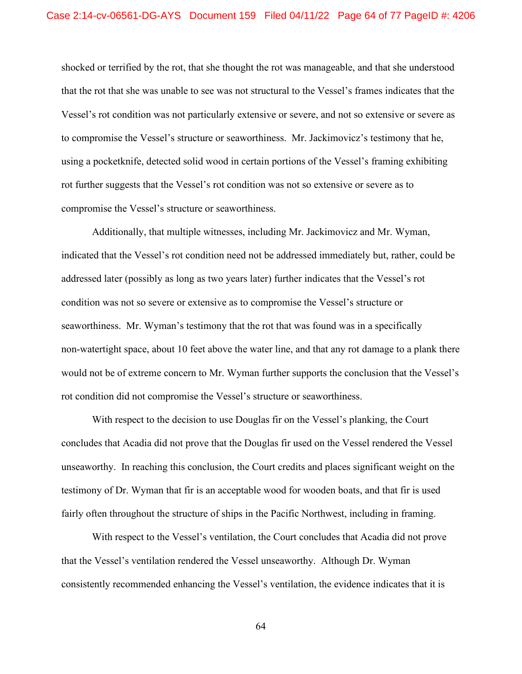shocked or terrified by the rot, that she thought the rot was manageable, and that she understood that the rot that she was unable to see was not structural to the Vessel's frames indicates that the Vessel's rot condition was not particularly extensive or severe, and not so extensive or severe as to compromise the Vessel's structure or seaworthiness. Mr. Jackimovicz's testimony that he, using a pocketknife, detected solid wood in certain portions of the Vessel's framing exhibiting rot further suggests that the Vessel's rot condition was not so extensive or severe as to compromise the Vessel's structure or seaworthiness.

Additionally, that multiple witnesses, including Mr. Jackimovicz and Mr. Wyman, indicated that the Vessel's rot condition need not be addressed immediately but, rather, could be addressed later (possibly as long as two years later) further indicates that the Vessel's rot condition was not so severe or extensive as to compromise the Vessel's structure or seaworthiness. Mr. Wyman's testimony that the rot that was found was in a specifically non-watertight space, about 10 feet above the water line, and that any rot damage to a plank there would not be of extreme concern to Mr. Wyman further supports the conclusion that the Vessel's rot condition did not compromise the Vessel's structure or seaworthiness.

With respect to the decision to use Douglas fir on the Vessel's planking, the Court concludes that Acadia did not prove that the Douglas fir used on the Vessel rendered the Vessel unseaworthy. In reaching this conclusion, the Court credits and places significant weight on the testimony of Dr. Wyman that fir is an acceptable wood for wooden boats, and that fir is used fairly often throughout the structure of ships in the Pacific Northwest, including in framing.

With respect to the Vessel's ventilation, the Court concludes that Acadia did not prove that the Vessel's ventilation rendered the Vessel unseaworthy. Although Dr. Wyman consistently recommended enhancing the Vessel's ventilation, the evidence indicates that it is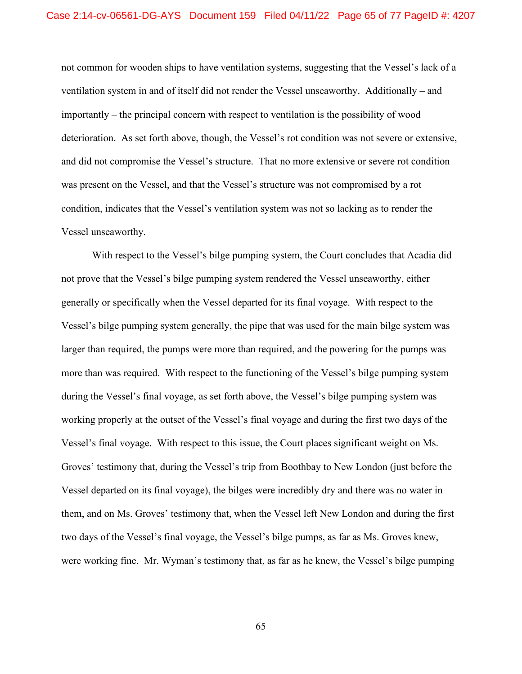not common for wooden ships to have ventilation systems, suggesting that the Vessel's lack of a ventilation system in and of itself did not render the Vessel unseaworthy. Additionally – and importantly – the principal concern with respect to ventilation is the possibility of wood deterioration. As set forth above, though, the Vessel's rot condition was not severe or extensive, and did not compromise the Vessel's structure. That no more extensive or severe rot condition was present on the Vessel, and that the Vessel's structure was not compromised by a rot condition, indicates that the Vessel's ventilation system was not so lacking as to render the Vessel unseaworthy.

With respect to the Vessel's bilge pumping system, the Court concludes that Acadia did not prove that the Vessel's bilge pumping system rendered the Vessel unseaworthy, either generally or specifically when the Vessel departed for its final voyage. With respect to the Vessel's bilge pumping system generally, the pipe that was used for the main bilge system was larger than required, the pumps were more than required, and the powering for the pumps was more than was required. With respect to the functioning of the Vessel's bilge pumping system during the Vessel's final voyage, as set forth above, the Vessel's bilge pumping system was working properly at the outset of the Vessel's final voyage and during the first two days of the Vessel's final voyage. With respect to this issue, the Court places significant weight on Ms. Groves' testimony that, during the Vessel's trip from Boothbay to New London (just before the Vessel departed on its final voyage), the bilges were incredibly dry and there was no water in them, and on Ms. Groves' testimony that, when the Vessel left New London and during the first two days of the Vessel's final voyage, the Vessel's bilge pumps, as far as Ms. Groves knew, were working fine. Mr. Wyman's testimony that, as far as he knew, the Vessel's bilge pumping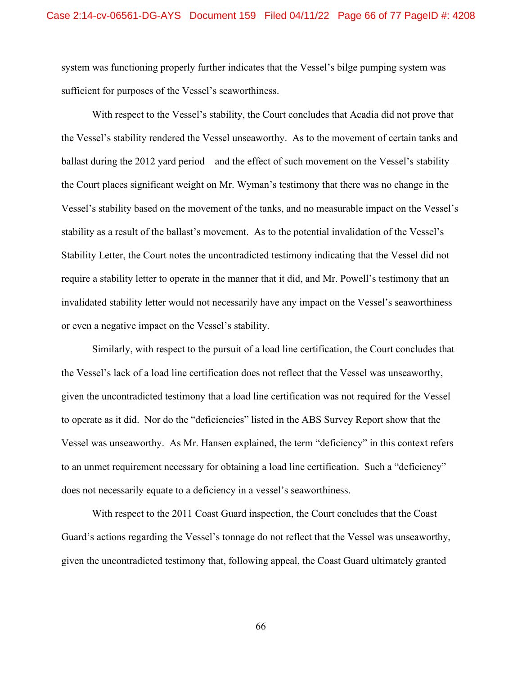system was functioning properly further indicates that the Vessel's bilge pumping system was sufficient for purposes of the Vessel's seaworthiness.

With respect to the Vessel's stability, the Court concludes that Acadia did not prove that the Vessel's stability rendered the Vessel unseaworthy. As to the movement of certain tanks and ballast during the 2012 yard period – and the effect of such movement on the Vessel's stability – the Court places significant weight on Mr. Wyman's testimony that there was no change in the Vessel's stability based on the movement of the tanks, and no measurable impact on the Vessel's stability as a result of the ballast's movement. As to the potential invalidation of the Vessel's Stability Letter, the Court notes the uncontradicted testimony indicating that the Vessel did not require a stability letter to operate in the manner that it did, and Mr. Powell's testimony that an invalidated stability letter would not necessarily have any impact on the Vessel's seaworthiness or even a negative impact on the Vessel's stability.

Similarly, with respect to the pursuit of a load line certification, the Court concludes that the Vessel's lack of a load line certification does not reflect that the Vessel was unseaworthy, given the uncontradicted testimony that a load line certification was not required for the Vessel to operate as it did. Nor do the "deficiencies" listed in the ABS Survey Report show that the Vessel was unseaworthy. As Mr. Hansen explained, the term "deficiency" in this context refers to an unmet requirement necessary for obtaining a load line certification. Such a "deficiency" does not necessarily equate to a deficiency in a vessel's seaworthiness.

With respect to the 2011 Coast Guard inspection, the Court concludes that the Coast Guard's actions regarding the Vessel's tonnage do not reflect that the Vessel was unseaworthy, given the uncontradicted testimony that, following appeal, the Coast Guard ultimately granted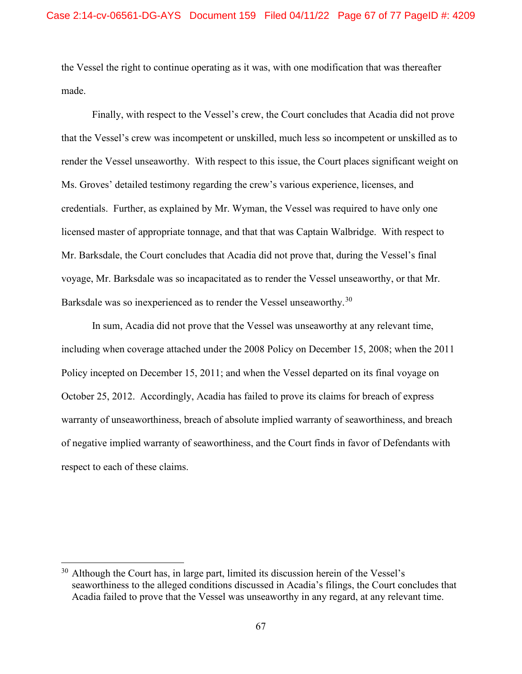the Vessel the right to continue operating as it was, with one modification that was thereafter made.

Finally, with respect to the Vessel's crew, the Court concludes that Acadia did not prove that the Vessel's crew was incompetent or unskilled, much less so incompetent or unskilled as to render the Vessel unseaworthy. With respect to this issue, the Court places significant weight on Ms. Groves' detailed testimony regarding the crew's various experience, licenses, and credentials. Further, as explained by Mr. Wyman, the Vessel was required to have only one licensed master of appropriate tonnage, and that that was Captain Walbridge. With respect to Mr. Barksdale, the Court concludes that Acadia did not prove that, during the Vessel's final voyage, Mr. Barksdale was so incapacitated as to render the Vessel unseaworthy, or that Mr. Barksdale was so inexperienced as to render the Vessel unseaworthy.<sup>[30](#page-66-0)</sup>

In sum, Acadia did not prove that the Vessel was unseaworthy at any relevant time, including when coverage attached under the 2008 Policy on December 15, 2008; when the 2011 Policy incepted on December 15, 2011; and when the Vessel departed on its final voyage on October 25, 2012. Accordingly, Acadia has failed to prove its claims for breach of express warranty of unseaworthiness, breach of absolute implied warranty of seaworthiness, and breach of negative implied warranty of seaworthiness, and the Court finds in favor of Defendants with respect to each of these claims.

<span id="page-66-0"></span> $30$  Although the Court has, in large part, limited its discussion herein of the Vessel's seaworthiness to the alleged conditions discussed in Acadia's filings, the Court concludes that Acadia failed to prove that the Vessel was unseaworthy in any regard, at any relevant time.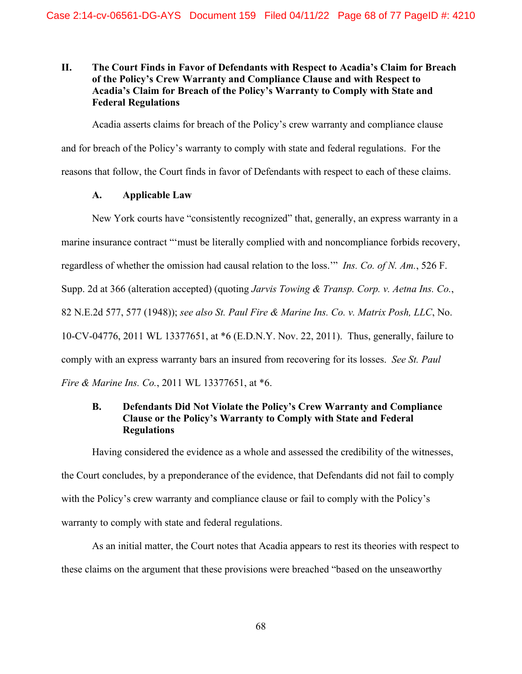# **II. The Court Finds in Favor of Defendants with Respect to Acadia's Claim for Breach of the Policy's Crew Warranty and Compliance Clause and with Respect to Acadia's Claim for Breach of the Policy's Warranty to Comply with State and Federal Regulations**

Acadia asserts claims for breach of the Policy's crew warranty and compliance clause and for breach of the Policy's warranty to comply with state and federal regulations. For the reasons that follow, the Court finds in favor of Defendants with respect to each of these claims.

# **A. Applicable Law**

New York courts have "consistently recognized" that, generally, an express warranty in a marine insurance contract "'must be literally complied with and noncompliance forbids recovery, regardless of whether the omission had causal relation to the loss.'" *Ins. Co. of N. Am.*, 526 F. Supp. 2d at 366 (alteration accepted) (quoting *Jarvis Towing & Transp. Corp. v. Aetna Ins. Co.*, 82 N.E.2d 577, 577 (1948)); *see also St. Paul Fire & Marine Ins. Co. v. Matrix Posh, LLC*, No. 10-CV-04776, 2011 WL 13377651, at \*6 (E.D.N.Y. Nov. 22, 2011). Thus, generally, failure to comply with an express warranty bars an insured from recovering for its losses. *See St. Paul Fire & Marine Ins. Co.*, 2011 WL 13377651, at \*6.

# **B. Defendants Did Not Violate the Policy's Crew Warranty and Compliance Clause or the Policy's Warranty to Comply with State and Federal Regulations**

Having considered the evidence as a whole and assessed the credibility of the witnesses, the Court concludes, by a preponderance of the evidence, that Defendants did not fail to comply with the Policy's crew warranty and compliance clause or fail to comply with the Policy's warranty to comply with state and federal regulations.

As an initial matter, the Court notes that Acadia appears to rest its theories with respect to these claims on the argument that these provisions were breached "based on the unseaworthy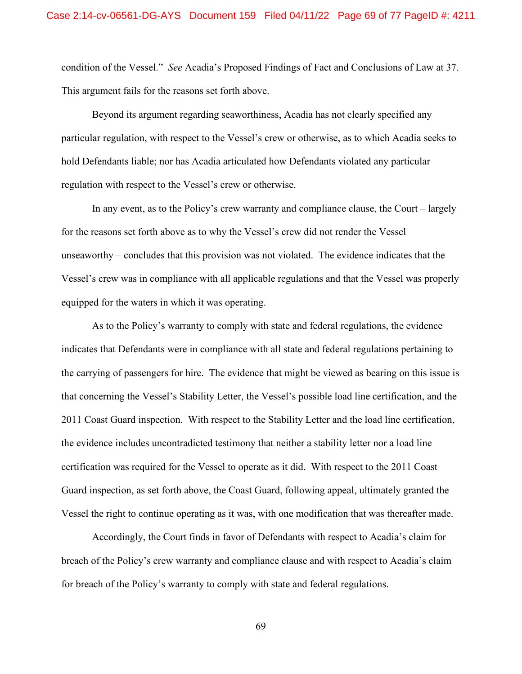condition of the Vessel." *See* Acadia's Proposed Findings of Fact and Conclusions of Law at 37. This argument fails for the reasons set forth above.

Beyond its argument regarding seaworthiness, Acadia has not clearly specified any particular regulation, with respect to the Vessel's crew or otherwise, as to which Acadia seeks to hold Defendants liable; nor has Acadia articulated how Defendants violated any particular regulation with respect to the Vessel's crew or otherwise.

In any event, as to the Policy's crew warranty and compliance clause, the Court – largely for the reasons set forth above as to why the Vessel's crew did not render the Vessel unseaworthy – concludes that this provision was not violated. The evidence indicates that the Vessel's crew was in compliance with all applicable regulations and that the Vessel was properly equipped for the waters in which it was operating.

As to the Policy's warranty to comply with state and federal regulations, the evidence indicates that Defendants were in compliance with all state and federal regulations pertaining to the carrying of passengers for hire. The evidence that might be viewed as bearing on this issue is that concerning the Vessel's Stability Letter, the Vessel's possible load line certification, and the 2011 Coast Guard inspection. With respect to the Stability Letter and the load line certification, the evidence includes uncontradicted testimony that neither a stability letter nor a load line certification was required for the Vessel to operate as it did. With respect to the 2011 Coast Guard inspection, as set forth above, the Coast Guard, following appeal, ultimately granted the Vessel the right to continue operating as it was, with one modification that was thereafter made.

Accordingly, the Court finds in favor of Defendants with respect to Acadia's claim for breach of the Policy's crew warranty and compliance clause and with respect to Acadia's claim for breach of the Policy's warranty to comply with state and federal regulations.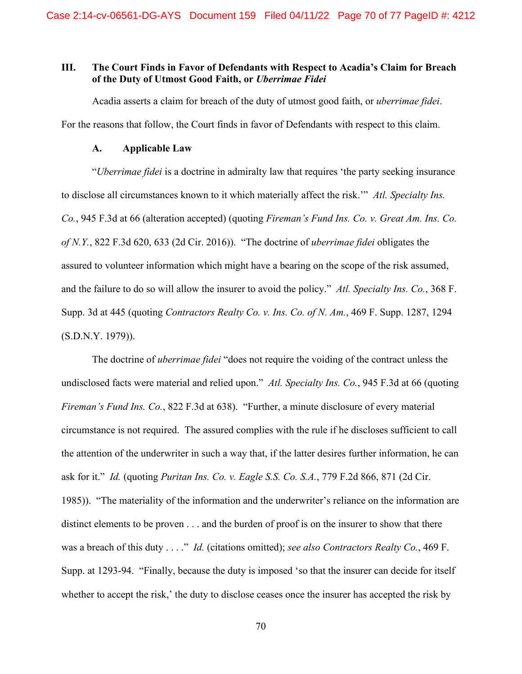### **III. The Court Finds in Favor of Defendants with Respect to Acadia's Claim for Breach of the Duty of Utmost Good Faith, or** *Uberrimae Fidei*

Acadia asserts a claim for breach of the duty of utmost good faith, or *uberrimae fidei*. For the reasons that follow, the Court finds in favor of Defendants with respect to this claim.

#### **A. Applicable Law**

"*Uberrimae fidei* is a doctrine in admiralty law that requires 'the party seeking insurance to disclose all circumstances known to it which materially affect the risk.'" *Atl. Specialty Ins. Co.*, 945 F.3d at 66 (alteration accepted) (quoting *Fireman's Fund Ins. Co. v. Great Am. Ins. Co. of N.Y.*, 822 F.3d 620, 633 (2d Cir. 2016)). "The doctrine of *uberrimae fidei* obligates the assured to volunteer information which might have a bearing on the scope of the risk assumed, and the failure to do so will allow the insurer to avoid the policy." *Atl. Specialty Ins. Co.*, 368 F. Supp. 3d at 445 (quoting *Contractors Realty Co. v. Ins. Co. of N. Am.*, 469 F. Supp. 1287, 1294 (S.D.N.Y. 1979)).

The doctrine of *uberrimae fidei* "does not require the voiding of the contract unless the undisclosed facts were material and relied upon." *Atl. Specialty Ins. Co.*, 945 F.3d at 66 (quoting *Fireman's Fund Ins. Co.*, 822 F.3d at 638). "Further, a minute disclosure of every material circumstance is not required. The assured complies with the rule if he discloses sufficient to call the attention of the underwriter in such a way that, if the latter desires further information, he can ask for it." *Id.* (quoting *Puritan Ins. Co. v. Eagle S.S. Co. S.A.*, 779 F.2d 866, 871 (2d Cir. 1985)). "The materiality of the information and the underwriter's reliance on the information are distinct elements to be proven . . . and the burden of proof is on the insurer to show that there was a breach of this duty . . . ." *Id.* (citations omitted); *see also Contractors Realty Co.*, 469 F. Supp. at 1293-94. "Finally, because the duty is imposed 'so that the insurer can decide for itself whether to accept the risk,' the duty to disclose ceases once the insurer has accepted the risk by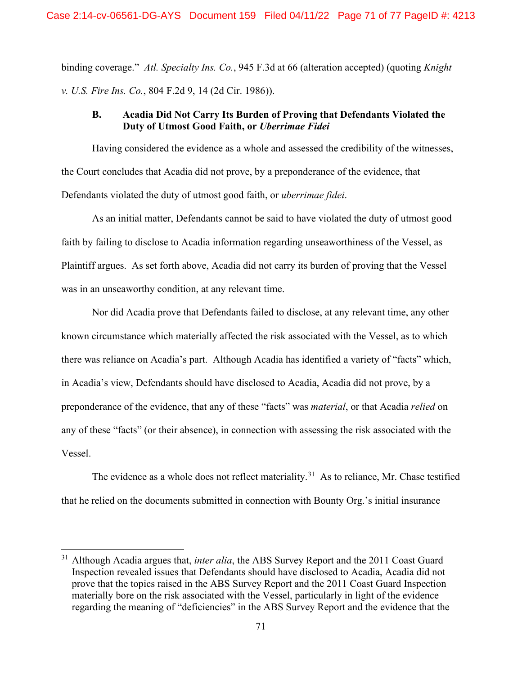binding coverage." *Atl. Specialty Ins. Co.*, 945 F.3d at 66 (alteration accepted) (quoting *Knight v. U.S. Fire Ins. Co.*, 804 F.2d 9, 14 (2d Cir. 1986)).

# **B. Acadia Did Not Carry Its Burden of Proving that Defendants Violated the Duty of Utmost Good Faith, or** *Uberrimae Fidei*

Having considered the evidence as a whole and assessed the credibility of the witnesses, the Court concludes that Acadia did not prove, by a preponderance of the evidence, that Defendants violated the duty of utmost good faith, or *uberrimae fidei*.

As an initial matter, Defendants cannot be said to have violated the duty of utmost good faith by failing to disclose to Acadia information regarding unseaworthiness of the Vessel, as Plaintiff argues. As set forth above, Acadia did not carry its burden of proving that the Vessel was in an unseaworthy condition, at any relevant time.

Nor did Acadia prove that Defendants failed to disclose, at any relevant time, any other known circumstance which materially affected the risk associated with the Vessel, as to which there was reliance on Acadia's part. Although Acadia has identified a variety of "facts" which, in Acadia's view, Defendants should have disclosed to Acadia, Acadia did not prove, by a preponderance of the evidence, that any of these "facts" was *material*, or that Acadia *relied* on any of these "facts" (or their absence), in connection with assessing the risk associated with the Vessel.

The evidence as a whole does not reflect materiality.<sup>31</sup> As to reliance, Mr. Chase testified that he relied on the documents submitted in connection with Bounty Org.'s initial insurance

<span id="page-70-0"></span><sup>&</sup>lt;sup>31</sup> Although Acadia argues that, *inter alia*, the ABS Survey Report and the 2011 Coast Guard Inspection revealed issues that Defendants should have disclosed to Acadia, Acadia did not prove that the topics raised in the ABS Survey Report and the 2011 Coast Guard Inspection materially bore on the risk associated with the Vessel, particularly in light of the evidence regarding the meaning of "deficiencies" in the ABS Survey Report and the evidence that the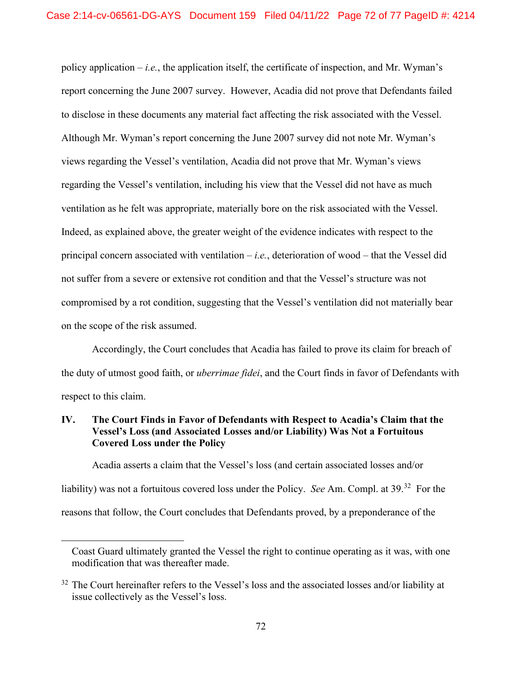policy application  $-i.e.,$  the application itself, the certificate of inspection, and Mr. Wyman's report concerning the June 2007 survey. However, Acadia did not prove that Defendants failed to disclose in these documents any material fact affecting the risk associated with the Vessel. Although Mr. Wyman's report concerning the June 2007 survey did not note Mr. Wyman's views regarding the Vessel's ventilation, Acadia did not prove that Mr. Wyman's views regarding the Vessel's ventilation, including his view that the Vessel did not have as much ventilation as he felt was appropriate, materially bore on the risk associated with the Vessel. Indeed, as explained above, the greater weight of the evidence indicates with respect to the principal concern associated with ventilation – *i.e.*, deterioration of wood – that the Vessel did not suffer from a severe or extensive rot condition and that the Vessel's structure was not compromised by a rot condition, suggesting that the Vessel's ventilation did not materially bear on the scope of the risk assumed.

Accordingly, the Court concludes that Acadia has failed to prove its claim for breach of the duty of utmost good faith, or *uberrimae fidei*, and the Court finds in favor of Defendants with respect to this claim.

### **IV. The Court Finds in Favor of Defendants with Respect to Acadia's Claim that the Vessel's Loss (and Associated Losses and/or Liability) Was Not a Fortuitous Covered Loss under the Policy**

Acadia asserts a claim that the Vessel's loss (and certain associated losses and/or liability) was not a fortuitous covered loss under the Policy. *See* Am. Compl. at 39.[32](#page-71-0) For the reasons that follow, the Court concludes that Defendants proved, by a preponderance of the

Coast Guard ultimately granted the Vessel the right to continue operating as it was, with one modification that was thereafter made.

<span id="page-71-0"></span> $32$  The Court hereinafter refers to the Vessel's loss and the associated losses and/or liability at issue collectively as the Vessel's loss.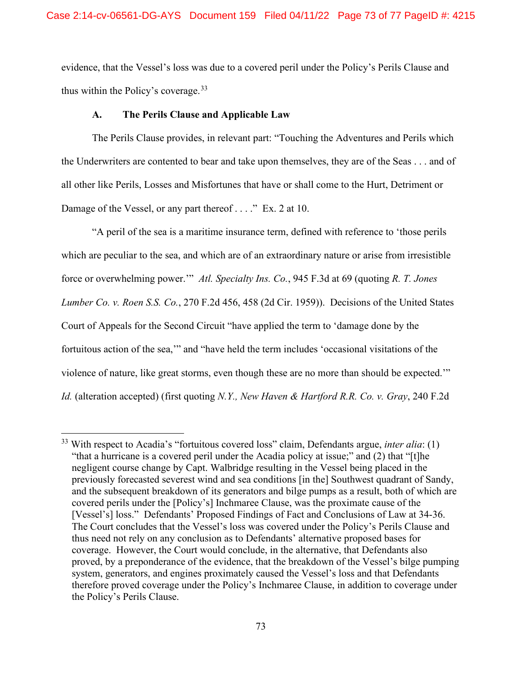evidence, that the Vessel's loss was due to a covered peril under the Policy's Perils Clause and thus within the Policy's coverage.  $33$ 

## **A. The Perils Clause and Applicable Law**

The Perils Clause provides, in relevant part: "Touching the Adventures and Perils which the Underwriters are contented to bear and take upon themselves, they are of the Seas . . . and of all other like Perils, Losses and Misfortunes that have or shall come to the Hurt, Detriment or Damage of the Vessel, or any part thereof . . . . " Ex. 2 at 10.

"A peril of the sea is a maritime insurance term, defined with reference to 'those perils which are peculiar to the sea, and which are of an extraordinary nature or arise from irresistible force or overwhelming power.'" *Atl. Specialty Ins. Co.*, 945 F.3d at 69 (quoting *R. T. Jones Lumber Co. v. Roen S.S. Co.*, 270 F.2d 456, 458 (2d Cir. 1959)). Decisions of the United States Court of Appeals for the Second Circuit "have applied the term to 'damage done by the fortuitous action of the sea,'" and "have held the term includes 'occasional visitations of the violence of nature, like great storms, even though these are no more than should be expected.'" *Id.* (alteration accepted) (first quoting *N.Y., New Haven & Hartford R.R. Co. v. Gray*, 240 F.2d

<span id="page-72-0"></span><sup>33</sup> With respect to Acadia's "fortuitous covered loss" claim, Defendants argue, *inter alia*: (1) "that a hurricane is a covered peril under the Acadia policy at issue;" and (2) that "[t]he negligent course change by Capt. Walbridge resulting in the Vessel being placed in the previously forecasted severest wind and sea conditions [in the] Southwest quadrant of Sandy, and the subsequent breakdown of its generators and bilge pumps as a result, both of which are covered perils under the [Policy's] Inchmaree Clause, was the proximate cause of the [Vessel's] loss." Defendants' Proposed Findings of Fact and Conclusions of Law at 34-36. The Court concludes that the Vessel's loss was covered under the Policy's Perils Clause and thus need not rely on any conclusion as to Defendants' alternative proposed bases for coverage. However, the Court would conclude, in the alternative, that Defendants also proved, by a preponderance of the evidence, that the breakdown of the Vessel's bilge pumping system, generators, and engines proximately caused the Vessel's loss and that Defendants therefore proved coverage under the Policy's Inchmaree Clause, in addition to coverage under the Policy's Perils Clause.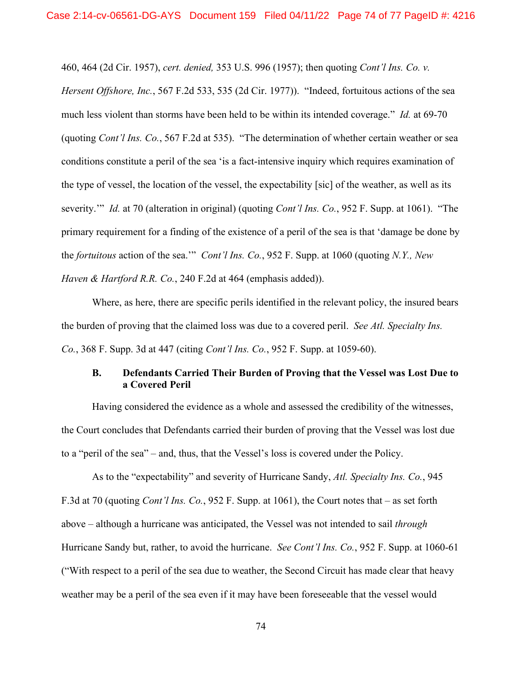460, 464 (2d Cir. 1957), *cert. denied,* 353 U.S. 996 (1957); then quoting *Cont'l Ins. Co. v.* 

*Hersent Offshore, Inc.*, 567 F.2d 533, 535 (2d Cir. 1977)). "Indeed, fortuitous actions of the sea much less violent than storms have been held to be within its intended coverage." *Id.* at 69-70 (quoting *Cont'l Ins. Co.*, 567 F.2d at 535). "The determination of whether certain weather or sea conditions constitute a peril of the sea 'is a fact-intensive inquiry which requires examination of the type of vessel, the location of the vessel, the expectability [sic] of the weather, as well as its severity.'" *Id.* at 70 (alteration in original) (quoting *Cont'l Ins. Co.*, 952 F. Supp. at 1061). "The primary requirement for a finding of the existence of a peril of the sea is that 'damage be done by the *fortuitous* action of the sea.'" *Cont'l Ins. Co.*, 952 F. Supp. at 1060 (quoting *N.Y., New Haven & Hartford R.R. Co.*, 240 F.2d at 464 (emphasis added)).

Where, as here, there are specific perils identified in the relevant policy, the insured bears the burden of proving that the claimed loss was due to a covered peril. *See Atl. Specialty Ins. Co.*, 368 F. Supp. 3d at 447 (citing *Cont'l Ins. Co.*, 952 F. Supp. at 1059-60).

## **B. Defendants Carried Their Burden of Proving that the Vessel was Lost Due to a Covered Peril**

Having considered the evidence as a whole and assessed the credibility of the witnesses, the Court concludes that Defendants carried their burden of proving that the Vessel was lost due to a "peril of the sea" – and, thus, that the Vessel's loss is covered under the Policy.

As to the "expectability" and severity of Hurricane Sandy, *Atl. Specialty Ins. Co.*, 945 F.3d at 70 (quoting *Cont'l Ins. Co.*, 952 F. Supp. at 1061), the Court notes that – as set forth above – although a hurricane was anticipated, the Vessel was not intended to sail *through* Hurricane Sandy but, rather, to avoid the hurricane. *See Cont'l Ins. Co.*, 952 F. Supp. at 1060-61 ("With respect to a peril of the sea due to weather, the Second Circuit has made clear that heavy weather may be a peril of the sea even if it may have been foreseeable that the vessel would

74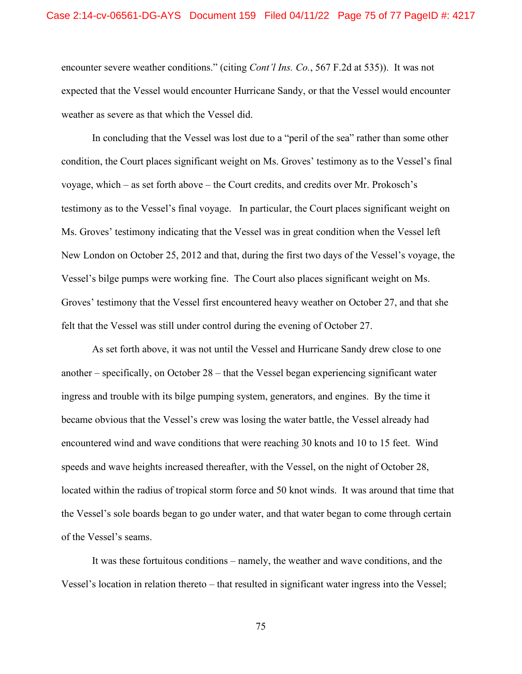encounter severe weather conditions." (citing *Cont'l Ins. Co.*, 567 F.2d at 535)). It was not expected that the Vessel would encounter Hurricane Sandy, or that the Vessel would encounter weather as severe as that which the Vessel did.

In concluding that the Vessel was lost due to a "peril of the sea" rather than some other condition, the Court places significant weight on Ms. Groves' testimony as to the Vessel's final voyage, which – as set forth above – the Court credits, and credits over Mr. Prokosch's testimony as to the Vessel's final voyage. In particular, the Court places significant weight on Ms. Groves' testimony indicating that the Vessel was in great condition when the Vessel left New London on October 25, 2012 and that, during the first two days of the Vessel's voyage, the Vessel's bilge pumps were working fine. The Court also places significant weight on Ms. Groves' testimony that the Vessel first encountered heavy weather on October 27, and that she felt that the Vessel was still under control during the evening of October 27.

As set forth above, it was not until the Vessel and Hurricane Sandy drew close to one another – specifically, on October 28 – that the Vessel began experiencing significant water ingress and trouble with its bilge pumping system, generators, and engines. By the time it became obvious that the Vessel's crew was losing the water battle, the Vessel already had encountered wind and wave conditions that were reaching 30 knots and 10 to 15 feet. Wind speeds and wave heights increased thereafter, with the Vessel, on the night of October 28, located within the radius of tropical storm force and 50 knot winds. It was around that time that the Vessel's sole boards began to go under water, and that water began to come through certain of the Vessel's seams.

It was these fortuitous conditions – namely, the weather and wave conditions, and the Vessel's location in relation thereto – that resulted in significant water ingress into the Vessel;

75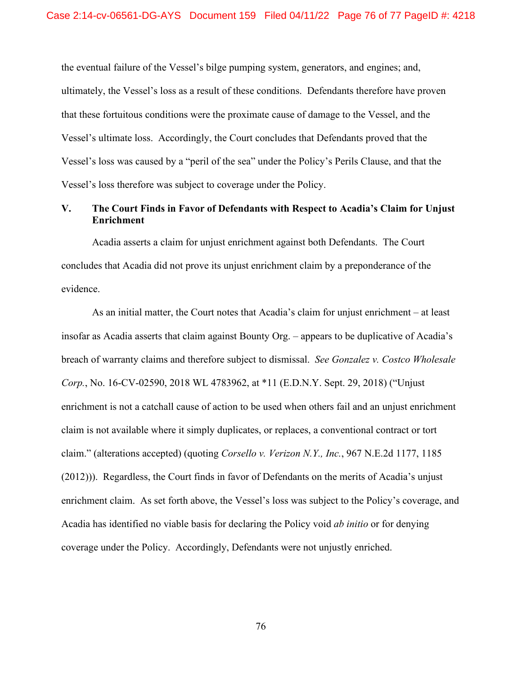the eventual failure of the Vessel's bilge pumping system, generators, and engines; and, ultimately, the Vessel's loss as a result of these conditions. Defendants therefore have proven that these fortuitous conditions were the proximate cause of damage to the Vessel, and the Vessel's ultimate loss. Accordingly, the Court concludes that Defendants proved that the Vessel's loss was caused by a "peril of the sea" under the Policy's Perils Clause, and that the Vessel's loss therefore was subject to coverage under the Policy.

## **V. The Court Finds in Favor of Defendants with Respect to Acadia's Claim for Unjust Enrichment**

Acadia asserts a claim for unjust enrichment against both Defendants. The Court concludes that Acadia did not prove its unjust enrichment claim by a preponderance of the evidence.

As an initial matter, the Court notes that Acadia's claim for unjust enrichment – at least insofar as Acadia asserts that claim against Bounty Org. – appears to be duplicative of Acadia's breach of warranty claims and therefore subject to dismissal. *See Gonzalez v. Costco Wholesale Corp.*, No. 16-CV-02590, 2018 WL 4783962, at \*11 (E.D.N.Y. Sept. 29, 2018) ("Unjust enrichment is not a catchall cause of action to be used when others fail and an unjust enrichment claim is not available where it simply duplicates, or replaces, a conventional contract or tort claim." (alterations accepted) (quoting *Corsello v. Verizon N.Y., Inc.*, 967 N.E.2d 1177, 1185 (2012))). Regardless, the Court finds in favor of Defendants on the merits of Acadia's unjust enrichment claim. As set forth above, the Vessel's loss was subject to the Policy's coverage, and Acadia has identified no viable basis for declaring the Policy void *ab initio* or for denying coverage under the Policy. Accordingly, Defendants were not unjustly enriched.